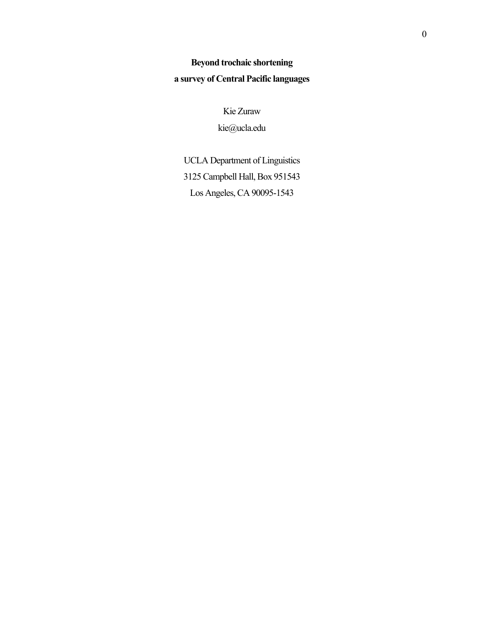# **Beyond trochaic shortening a survey of Central Pacific languages**

Kie Zuraw kie@ucla.edu

UCLA Department of Linguistics 3125 Campbell Hall, Box 951543 Los Angeles, CA 90095-1543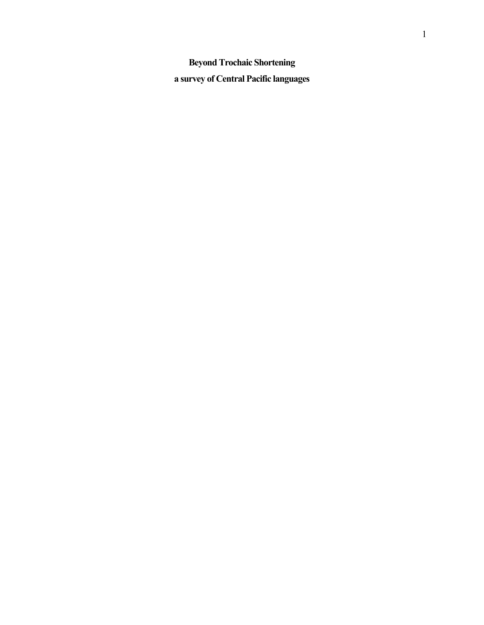**Beyond Trochaic Shortening a survey of Central Pacific languages**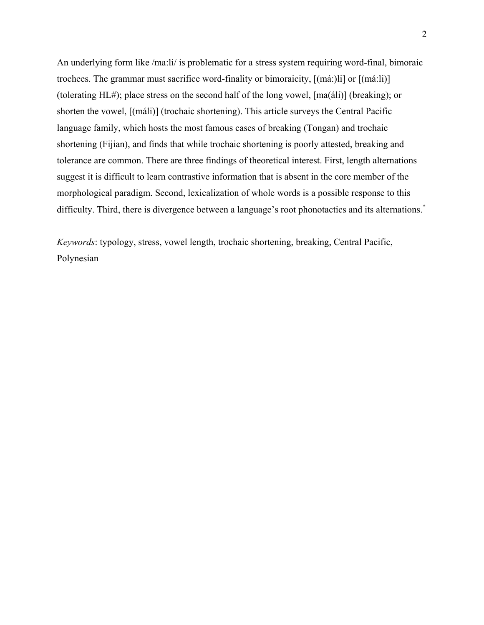An underlying form like /ma:li/ is problematic for a stress system requiring word-final, bimoraic trochees. The grammar must sacrifice word-finality or bimoraicity, [(má:)li] or [(má:li)] (tolerating HL#); place stress on the second half of the long vowel, [ma(áli)] (breaking); or shorten the vowel, [(máli)] (trochaic shortening). This article surveys the Central Pacific language family, which hosts the most famous cases of breaking (Tongan) and trochaic shortening (Fijian), and finds that while trochaic shortening is poorly attested, breaking and tolerance are common. There are three findings of theoretical interest. First, length alternations suggest it is difficult to learn contrastive information that is absent in the core member of the morphological paradigm. Second, lexicalization of whole words is a possible response to this difficulty. Third, there is divergence between a language's root phonotactics and its alternations.<sup>\*</sup>

*Keywords*: typology, stress, vowel length, trochaic shortening, breaking, Central Pacific, Polynesian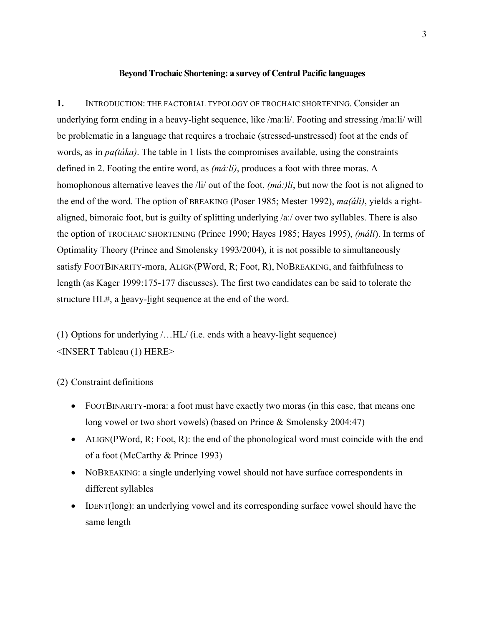#### **Beyond Trochaic Shortening: a survey of Central Pacific languages**

**1.** INTRODUCTION: THE FACTORIAL TYPOLOGY OF TROCHAIC SHORTENING. Consider an underlying form ending in a heavy-light sequence, like /maːli/. Footing and stressing /maːli/ will be problematic in a language that requires a trochaic (stressed-unstressed) foot at the ends of words, as in *pa(táka)*. The table in 1 lists the compromises available, using the constraints defined in 2. Footing the entire word, as *(máːli)*, produces a foot with three moras. A homophonous alternative leaves the /li/ out of the foot, *(máː)li*, but now the foot is not aligned to the end of the word. The option of BREAKING (Poser 1985; Mester 1992), *ma(áli)*, yields a rightaligned, bimoraic foot, but is guilty of splitting underlying /aː/ over two syllables. There is also the option of TROCHAIC SHORTENING (Prince 1990; Hayes 1985; Hayes 1995), *(máli*). In terms of Optimality Theory (Prince and Smolensky 1993/2004), it is not possible to simultaneously satisfy FOOTBINARITY-mora, ALIGN(PWord, R; Foot, R), NOBREAKING, and faithfulness to length (as Kager 1999:175-177 discusses). The first two candidates can be said to tolerate the structure HL#, a heavy-light sequence at the end of the word.

(1) Options for underlying /…HL/ (i.e. ends with a heavy-light sequence) <INSERT Tableau (1) HERE>

(2) Constraint definitions

- FOOTBINARITY-mora: a foot must have exactly two moras (in this case, that means one long vowel or two short vowels) (based on Prince & Smolensky 2004:47)
- ALIGN(PWord, R; Foot, R): the end of the phonological word must coincide with the end of a foot (McCarthy & Prince 1993)
- NOBREAKING: a single underlying vowel should not have surface correspondents in different syllables
- IDENT(long): an underlying vowel and its corresponding surface vowel should have the same length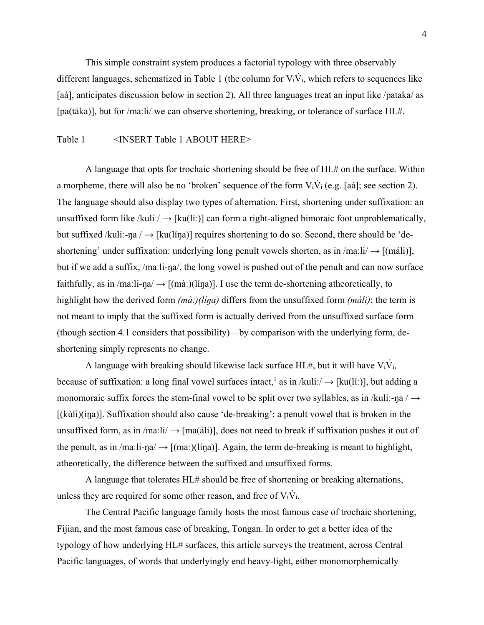This simple constraint system produces a factorial typology with three observably different languages, schematized in Table 1 (the column for  $V_i\dot{V}_i$ , which refers to sequences like [aá], anticipates discussion below in section 2). All three languages treat an input like /pataka/ as [pa(táka)], but for /maːli/ we can observe shortening, breaking, or tolerance of surface HL#.

#### Table 1 <INSERT Table 1 ABOUT HERE>

A language that opts for trochaic shortening should be free of HL# on the surface. Within a morpheme, there will also be no 'broken' sequence of the form  $V_i\dot{V}_i$  (e.g. [aá]; see section 2). The language should also display two types of alternation. First, shortening under suffixation: an unsuffixed form like /kuliː/  $\rightarrow$  [ku(líː)] can form a right-aligned bimoraic foot unproblematically, but suffixed /kuli:-ŋa /  $\rightarrow$  [ku(líŋa)] requires shortening to do so. Second, there should be 'deshortening' under suffixation: underlying long penult vowels shorten, as in /maːli/  $\rightarrow$  [(máli)], but if we add a suffix, /maːli-ŋa/, the long vowel is pushed out of the penult and can now surface faithfully, as in /maːli-ŋa/  $\rightarrow$  [(màː)(líŋa)]. I use the term de-shortening atheoretically, to highlight how the derived form  $(m\dot{a})/(\dot{a})$  differs from the unsuffixed form  $(m\dot{a}li)$ ; the term is not meant to imply that the suffixed form is actually derived from the unsuffixed surface form (though section 4.1 considers that possibility)—by comparison with the underlying form, deshortening simply represents no change.

A language with breaking should likewise lack surface  $HL#$ , but it will have  $V_iV_i$ , because of suffixation: a long final vowel surfaces intact,<sup>1</sup> as in /kuliː/  $\rightarrow$  [ku(líː)], but adding a monomoraic suffix forces the stem-final vowel to be split over two syllables, as in /kuli:-na /  $\rightarrow$  $[(kùli)(ing)]$ . Suffixation should also cause 'de-breaking': a penult vowel that is broken in the unsuffixed form, as in  $/ma$ :  $i \rightarrow [ma$ (*a*li)], does not need to break if suffixation pushes it out of the penult, as in /maːli-ŋa/  $\rightarrow$  [(maː)(líŋa)]. Again, the term de-breaking is meant to highlight, atheoretically, the difference between the suffixed and unsuffixed forms.

A language that tolerates HL# should be free of shortening or breaking alternations, unless they are required for some other reason, and free of  $V_iV_i$ .

The Central Pacific language family hosts the most famous case of trochaic shortening, Fijian, and the most famous case of breaking, Tongan. In order to get a better idea of the typology of how underlying HL# surfaces, this article surveys the treatment, across Central Pacific languages, of words that underlyingly end heavy-light, either monomorphemically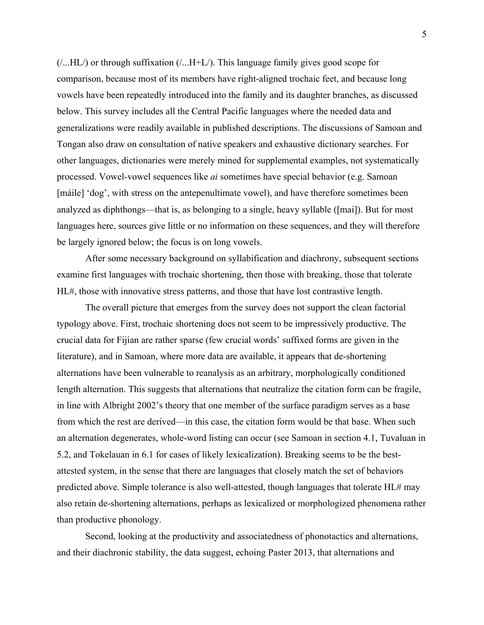$($ ...HL $/$ ) or through suffixation  $($ ...H+L $/$ ). This language family gives good scope for comparison, because most of its members have right-aligned trochaic feet, and because long vowels have been repeatedly introduced into the family and its daughter branches, as discussed below. This survey includes all the Central Pacific languages where the needed data and generalizations were readily available in published descriptions. The discussions of Samoan and Tongan also draw on consultation of native speakers and exhaustive dictionary searches. For other languages, dictionaries were merely mined for supplemental examples, not systematically processed. Vowel-vowel sequences like *ai* sometimes have special behavior (e.g. Samoan [máile] 'dog', with stress on the antepenultimate vowel), and have therefore sometimes been analyzed as diphthongs—that is, as belonging to a single, heavy syllable ([mai]). But for most languages here, sources give little or no information on these sequences, and they will therefore be largely ignored below; the focus is on long vowels.

After some necessary background on syllabification and diachrony, subsequent sections examine first languages with trochaic shortening, then those with breaking, those that tolerate HL#, those with innovative stress patterns, and those that have lost contrastive length.

The overall picture that emerges from the survey does not support the clean factorial typology above. First, trochaic shortening does not seem to be impressively productive. The crucial data for Fijian are rather sparse (few crucial words' suffixed forms are given in the literature), and in Samoan, where more data are available, it appears that de-shortening alternations have been vulnerable to reanalysis as an arbitrary, morphologically conditioned length alternation. This suggests that alternations that neutralize the citation form can be fragile, in line with Albright 2002's theory that one member of the surface paradigm serves as a base from which the rest are derived—in this case, the citation form would be that base. When such an alternation degenerates, whole-word listing can occur (see Samoan in section 4.1, Tuvaluan in 5.2, and Tokelauan in 6.1 for cases of likely lexicalization). Breaking seems to be the bestattested system, in the sense that there are languages that closely match the set of behaviors predicted above. Simple tolerance is also well-attested, though languages that tolerate HL# may also retain de-shortening alternations, perhaps as lexicalized or morphologized phenomena rather than productive phonology.

Second, looking at the productivity and associatedness of phonotactics and alternations, and their diachronic stability, the data suggest, echoing Paster 2013, that alternations and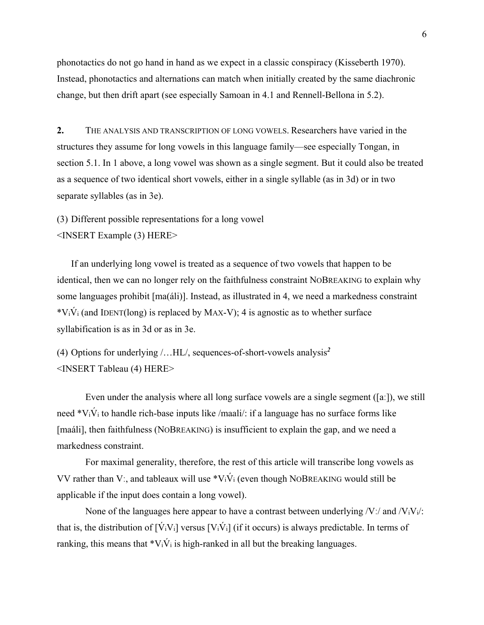phonotactics do not go hand in hand as we expect in a classic conspiracy (Kisseberth 1970). Instead, phonotactics and alternations can match when initially created by the same diachronic change, but then drift apart (see especially Samoan in 4.1 and Rennell-Bellona in 5.2).

**2.** THE ANALYSIS AND TRANSCRIPTION OF LONG VOWELS. Researchers have varied in the structures they assume for long vowels in this language family—see especially Tongan, in section 5.1. In 1 above, a long vowel was shown as a single segment. But it could also be treated as a sequence of two identical short vowels, either in a single syllable (as in 3d) or in two separate syllables (as in 3e).

(3) Different possible representations for a long vowel <INSERT Example (3) HERE>

If an underlying long vowel is treated as a sequence of two vowels that happen to be identical, then we can no longer rely on the faithfulness constraint NOBREAKING to explain why some languages prohibit [ma(áli)]. Instead, as illustrated in 4, we need a markedness constraint  $*V_i\acute{V}_i$  (and IDENT(long) is replaced by MAX-V); 4 is agnostic as to whether surface syllabification is as in 3d or as in 3e.

(4) Options for underlying /…HL/, sequences-of-short-vowels analysis*<sup>2</sup>* <INSERT Tableau (4) HERE>

Even under the analysis where all long surface vowels are a single segment ([aː]), we still need  $V_iV_i$  to handle rich-base inputs like /maali/: if a language has no surface forms like [maáli], then faithfulness (NOBREAKING) is insufficient to explain the gap, and we need a markedness constraint.

For maximal generality, therefore, the rest of this article will transcribe long vowels as VV rather than V;, and tableaux will use  $\sqrt[k]{v_i}$  (even though NOBREAKING would still be applicable if the input does contain a long vowel).

None of the languages here appear to have a contrast between underlying  $/V$ :/ and  $/V$ <sub>i</sub> $V$ <sub>i</sub> $/$ : that is, the distribution of  $[\dot{V}_iV_i]$  versus  $[V_i\dot{V}_i]$  (if it occurs) is always predictable. In terms of ranking, this means that  $\mathbf{v}_i \dot{V}_i$  is high-ranked in all but the breaking languages.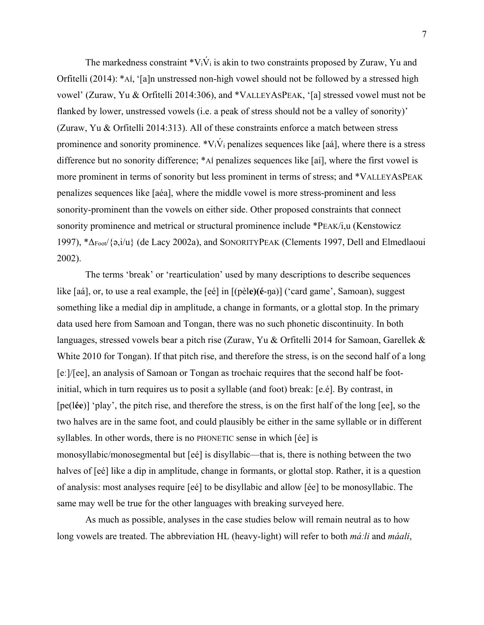The markedness constraint  $V_iV_i$  is akin to two constraints proposed by Zuraw, Yu and Orfitelli (2014): \*AÍ, '[a]n unstressed non-high vowel should not be followed by a stressed high vowel' (Zuraw, Yu & Orfitelli 2014:306), and \*VALLEYASPEAK, '[a] stressed vowel must not be flanked by lower, unstressed vowels (i.e. a peak of stress should not be a valley of sonority)' (Zuraw, Yu & Orfitelli 2014:313). All of these constraints enforce a match between stress prominence and sonority prominence.  $*V_i\dot{V}_i$  penalizes sequences like [aá], where there is a stress difference but no sonority difference; \*AÍ penalizes sequences like [aí], where the first vowel is more prominent in terms of sonority but less prominent in terms of stress; and \*VALLEYASPEAK penalizes sequences like [aéa], where the middle vowel is more stress-prominent and less sonority-prominent than the vowels on either side. Other proposed constraints that connect sonority prominence and metrical or structural prominence include \*PEAK/i,u (Kenstowicz 1997), \*ΔFoot/{ə,i/u} (de Lacy 2002a), and SONORITYPEAK (Clements 1997, Dell and Elmedlaoui 2002).

The terms 'break' or 'rearticulation' used by many descriptions to describe sequences like [aá], or, to use a real example, the [eé] in [(pèl**e)(é**-ŋa)] ('card game', Samoan), suggest something like a medial dip in amplitude, a change in formants, or a glottal stop. In the primary data used here from Samoan and Tongan, there was no such phonetic discontinuity. In both languages, stressed vowels bear a pitch rise (Zuraw, Yu & Orfitelli 2014 for Samoan, Garellek & White 2010 for Tongan). If that pitch rise, and therefore the stress, is on the second half of a long [eː]/[ee], an analysis of Samoan or Tongan as trochaic requires that the second half be footinitial, which in turn requires us to posit a syllable (and foot) break: [e.é]. By contrast, in [pe(l**ée**)] 'play', the pitch rise, and therefore the stress, is on the first half of the long [ee], so the two halves are in the same foot, and could plausibly be either in the same syllable or in different syllables. In other words, there is no PHONETIC sense in which [ée] is monosyllabic/monosegmental but [eé] is disyllabic—that is, there is nothing between the two halves of [eé] like a dip in amplitude, change in formants, or glottal stop. Rather, it is a question of analysis: most analyses require [eé] to be disyllabic and allow [ée] to be monosyllabic. The same may well be true for the other languages with breaking surveyed here.

As much as possible, analyses in the case studies below will remain neutral as to how long vowels are treated. The abbreviation HL (heavy-light) will refer to both *máːli* and *máali*,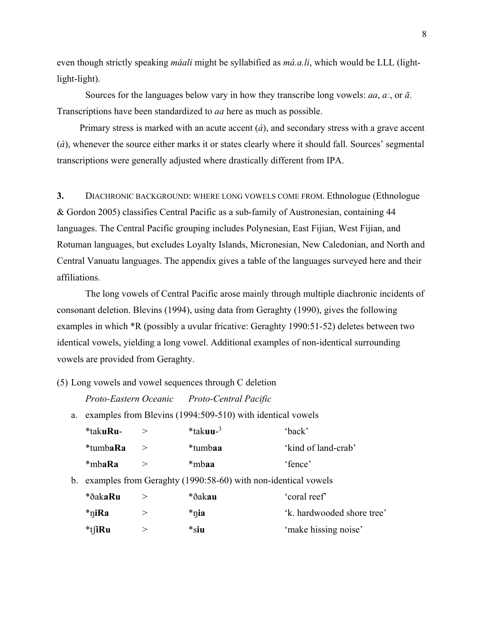even though strictly speaking *máali* might be syllabified as *má.a.li*, which would be LLL (lightlight-light).

 Sources for the languages below vary in how they transcribe long vowels: *aa*, *aː*, or *ā*. Transcriptions have been standardized to *aa* here as much as possible.

Primary stress is marked with an acute accent (*á*), and secondary stress with a grave accent (*à*), whenever the source either marks it or states clearly where it should fall. Sources' segmental transcriptions were generally adjusted where drastically different from IPA.

**3.** DIACHRONIC BACKGROUND: WHERE LONG VOWELS COME FROM. Ethnologue (Ethnologue & Gordon 2005) classifies Central Pacific as a sub-family of Austronesian, containing 44 languages. The Central Pacific grouping includes Polynesian, East Fijian, West Fijian, and Rotuman languages, but excludes Loyalty Islands, Micronesian, New Caledonian, and North and Central Vanuatu languages. The appendix gives a table of the languages surveyed here and their affiliations.

 The long vowels of Central Pacific arose mainly through multiple diachronic incidents of consonant deletion. Blevins (1994), using data from Geraghty (1990), gives the following examples in which \*R (possibly a uvular fricative: Geraghty 1990:51-52) deletes between two identical vowels, yielding a long vowel. Additional examples of non-identical surrounding vowels are provided from Geraghty.

(5) Long vowels and vowel sequences through C deletion

*Proto-Eastern Oceanic Proto-Central Pacific* 

a. examples from Blevins (1994:509-510) with identical vowels

| *tak <b>uRu-</b> | $*$ takuu- $^3$ | 'back'              |
|------------------|-----------------|---------------------|
| *tumba <b>Ra</b> | *tumbaa         | 'kind of land-crab' |
| *mbaRa           | *mbaa           | 'fence'             |

b. examples from Geraghty (1990:58-60) with non-identical vowels

| *ðak <b>aRu</b> | *ðakau | 'coral reef'               |
|-----------------|--------|----------------------------|
| *niRa           | *nia   | 'k, hardwooded shore tree' |
| *tfiRu          | *siu   | 'make hissing noise'       |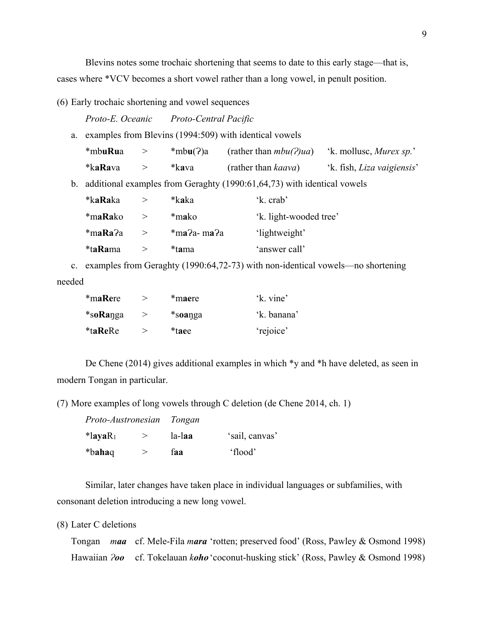Blevins notes some trochaic shortening that seems to date to this early stage—that is, cases where \*VCV becomes a short vowel rather than a long vowel, in penult position.

(6) Early trochaic shortening and vowel sequences

*Proto-E. Oceanic Proto-Central Pacific* 

a. examples from Blevins (1994:509) with identical vowels

| *mbuRua          | *mbu(?)a | (rather than $mbu(2)ua$ )   | 'k. mollusc, <i>Murex sp.</i> '   |
|------------------|----------|-----------------------------|-----------------------------------|
| *ka <b>Ra</b> va | *kava    | (rather than <i>kaava</i> ) | 'k. fish, <i>Liza vaigiensis'</i> |

b. additional examples from Geraghty (1990:61,64,73) with identical vowels

| *ka <b>Ra</b> ka | *kaka          | 'k. crab'              |  |
|------------------|----------------|------------------------|--|
| *m <b>aRa</b> ko | *mako          | 'k. light-wooded tree' |  |
| *maRa?a          | $*$ ma?a- ma?a | 'lightweight'          |  |
| *t <b>aRa</b> ma | *tama          | 'answer call'          |  |

 c. examples from Geraghty (1990:64,72-73) with non-identical vowels—no shortening needed

| *maRere        | *maere  | 'k. vine'   |
|----------------|---------|-------------|
| *soRanga       | *soanga | 'k. banana' |
| <i>*taReRe</i> | *taee   | 'rejoice'   |

De Chene (2014) gives additional examples in which \*y and \*h have deleted, as seen in modern Tongan in particular.

(7) More examples of long vowels through C deletion (de Chene 2014, ch. 1)

|                        | Proto-Austronesian Tongan |        |                |
|------------------------|---------------------------|--------|----------------|
| $*$ layaR <sub>1</sub> |                           | la-laa | 'sail, canvas' |
| *bahaq*                |                           | faa    | 'flood'        |

Similar, later changes have taken place in individual languages or subfamilies, with consonant deletion introducing a new long vowel.

(8) Later C deletions

Tongan *maa* cf. Mele-Fila *mara* 'rotten; preserved food' (Ross, Pawley & Osmond 1998) Hawaiian *Ɂoo* cf. Tokelauan *koho* 'coconut-husking stick' (Ross, Pawley & Osmond 1998)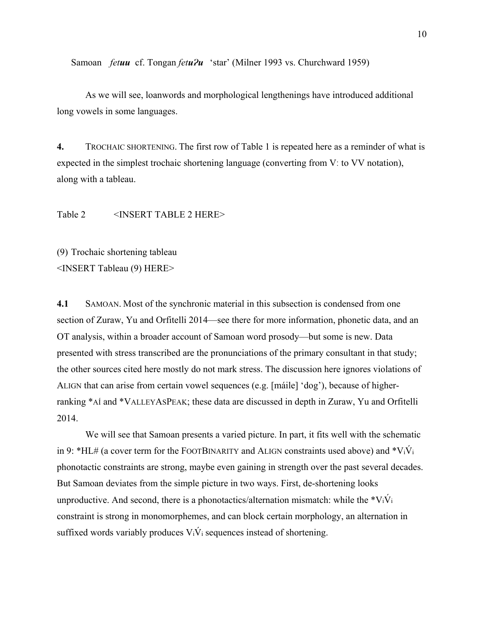Samoan *fetuu* cf. Tongan *fetu?u* 'star' (Milner 1993 vs. Churchward 1959)

As we will see, loanwords and morphological lengthenings have introduced additional long vowels in some languages.

**4.** TROCHAIC SHORTENING. The first row of Table 1 is repeated here as a reminder of what is expected in the simplest trochaic shortening language (converting from Vː to VV notation), along with a tableau.

Table 2 <INSERT TABLE 2 HERE>

(9) Trochaic shortening tableau <INSERT Tableau (9) HERE>

**4.1** SAMOAN. Most of the synchronic material in this subsection is condensed from one section of Zuraw, Yu and Orfitelli 2014—see there for more information, phonetic data, and an OT analysis, within a broader account of Samoan word prosody—but some is new. Data presented with stress transcribed are the pronunciations of the primary consultant in that study; the other sources cited here mostly do not mark stress. The discussion here ignores violations of ALIGN that can arise from certain vowel sequences (e.g. [máile] 'dog'), because of higherranking \*AÍ and \*VALLEYASPEAK; these data are discussed in depth in Zuraw, Yu and Orfitelli 2014.

We will see that Samoan presents a varied picture. In part, it fits well with the schematic in 9: \*HL# (a cover term for the FOOTBINARITY and ALIGN constraints used above) and \*V<sub>i</sub>V<sub>i</sub> phonotactic constraints are strong, maybe even gaining in strength over the past several decades. But Samoan deviates from the simple picture in two ways. First, de-shortening looks unproductive. And second, there is a phonotactics/alternation mismatch: while the  $*V_iV_i$ constraint is strong in monomorphemes, and can block certain morphology, an alternation in suffixed words variably produces  $V_i\dot{V}_i$  sequences instead of shortening.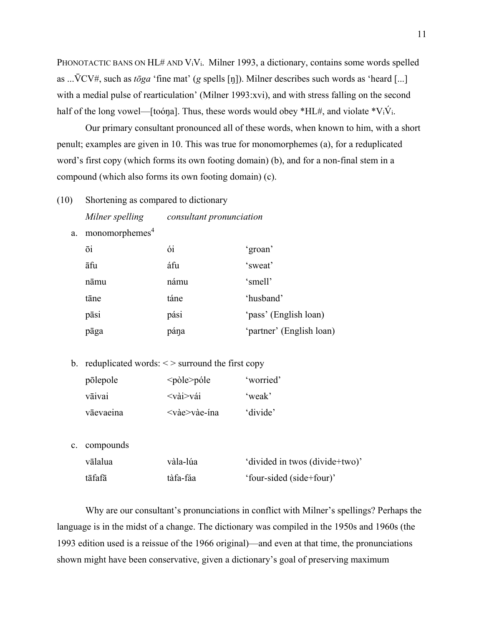PHONOTACTIC BANS ON HL# AND  $V_iV_i$ . Milner 1993, a dictionary, contains some words spelled as ...V̄CV#, such as *tōga* 'fine mat' (*g* spells [ŋ]). Milner describes such words as 'heard [...] with a medial pulse of rearticulation' (Milner 1993:xvi), and with stress falling on the second half of the long vowel—[toóna]. Thus, these words would obey  $*HL#$ , and violate  $*V_iV_i$ .

 Our primary consultant pronounced all of these words, when known to him, with a short penult; examples are given in 10. This was true for monomorphemes (a), for a reduplicated word's first copy (which forms its own footing domain) (b), and for a non-final stem in a compound (which also forms its own footing domain) (c).

- (10) Shortening as compared to dictionary *Milner spelling consultant pronunciation* 
	- a. monomorphemes<sup>4</sup>

| ōi   | ói   | 'groan'                  |
|------|------|--------------------------|
| āfu  | áfu  | 'sweat'                  |
| nāmu | námu | 'smell'                  |
| tāne | táne | 'husband'                |
| pāsi | pási | 'pass' (English loan)    |
| pāga | pána | 'partner' (English loan) |

b. reduplicated words:  $\langle \rangle$  surround the first copy

| põlepole  | $<$ pòle $>$ póle                      | 'worried' |
|-----------|----------------------------------------|-----------|
| vāivai    | $\langle \text{vài}\rangle$ vái        | 'weak'    |
| vāevaeina | $\langle \text{v\`a}e \rangle$ vàe-ína | 'divide'  |

c. compounds

| vālalua | vàla-lúa | 'divided in twos (divide+two)' |
|---------|----------|--------------------------------|
| tāfafā  | tàfa-fáa | 'four-sided (side+four)'       |

 Why are our consultant's pronunciations in conflict with Milner's spellings? Perhaps the language is in the midst of a change. The dictionary was compiled in the 1950s and 1960s (the 1993 edition used is a reissue of the 1966 original)—and even at that time, the pronunciations shown might have been conservative, given a dictionary's goal of preserving maximum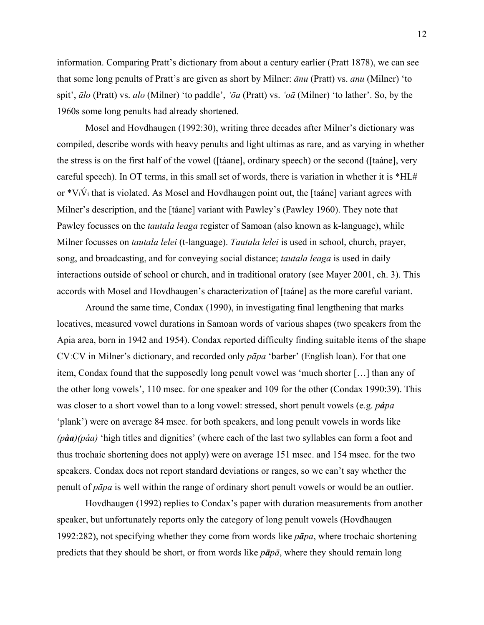information. Comparing Pratt's dictionary from about a century earlier (Pratt 1878), we can see that some long penults of Pratt's are given as short by Milner: *ānu* (Pratt) vs. *anu* (Milner) 'to spit', *ālo* (Pratt) vs. *alo* (Milner) 'to paddle', *'ōa* (Pratt) vs. *'oā* (Milner) 'to lather'. So, by the 1960s some long penults had already shortened.

 Mosel and Hovdhaugen (1992:30), writing three decades after Milner's dictionary was compiled, describe words with heavy penults and light ultimas as rare, and as varying in whether the stress is on the first half of the vowel ([táane], ordinary speech) or the second ([taáne], very careful speech). In OT terms, in this small set of words, there is variation in whether it is \*HL# or  $*V_i\acute{V}_i$  that is violated. As Mosel and Hovdhaugen point out, the [taáne] variant agrees with Milner's description, and the [táane] variant with Pawley's (Pawley 1960). They note that Pawley focusses on the *tautala leaga* register of Samoan (also known as k-language), while Milner focusses on *tautala lelei* (t-language). *Tautala lelei* is used in school, church, prayer, song, and broadcasting, and for conveying social distance; *tautala leaga* is used in daily interactions outside of school or church, and in traditional oratory (see Mayer 2001, ch. 3). This accords with Mosel and Hovdhaugen's characterization of [taáne] as the more careful variant.

Around the same time, Condax (1990), in investigating final lengthening that marks locatives, measured vowel durations in Samoan words of various shapes (two speakers from the Apia area, born in 1942 and 1954). Condax reported difficulty finding suitable items of the shape CVːCV in Milner's dictionary, and recorded only *pāpa* 'barber' (English loan). For that one item, Condax found that the supposedly long penult vowel was 'much shorter […] than any of the other long vowels', 110 msec. for one speaker and 109 for the other (Condax 1990:39). This was closer to a short vowel than to a long vowel: stressed, short penult vowels (e.g. *pápa* 'plank') were on average 84 msec. for both speakers, and long penult vowels in words like *(pàa)(páa)* 'high titles and dignities' (where each of the last two syllables can form a foot and thus trochaic shortening does not apply) were on average 151 msec. and 154 msec. for the two speakers. Condax does not report standard deviations or ranges, so we can't say whether the penult of *pāpa* is well within the range of ordinary short penult vowels or would be an outlier.

Hovdhaugen (1992) replies to Condax's paper with duration measurements from another speaker, but unfortunately reports only the category of long penult vowels (Hovdhaugen 1992:282), not specifying whether they come from words like *pāpa*, where trochaic shortening predicts that they should be short, or from words like *pāpā*, where they should remain long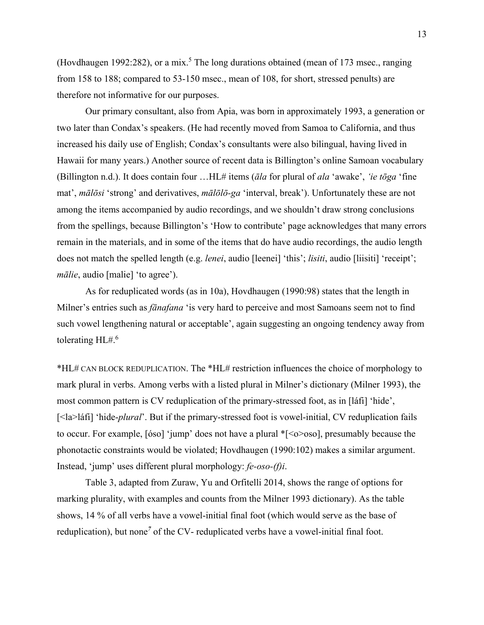(Hovdhaugen 1992:282), or a mix.<sup>5</sup> The long durations obtained (mean of 173 msec., ranging from 158 to 188; compared to 53-150 msec., mean of 108, for short, stressed penults) are therefore not informative for our purposes.

Our primary consultant, also from Apia, was born in approximately 1993, a generation or two later than Condax's speakers. (He had recently moved from Samoa to California, and thus increased his daily use of English; Condax's consultants were also bilingual, having lived in Hawaii for many years.) Another source of recent data is Billington's online Samoan vocabulary (Billington n.d.). It does contain four …HL# items (*āla* for plural of *ala* 'awake', *'ie tōga* 'fine mat', *mālōsi* 'strong' and derivatives, *mālōlō-ga* 'interval, break'). Unfortunately these are not among the items accompanied by audio recordings, and we shouldn't draw strong conclusions from the spellings, because Billington's 'How to contribute' page acknowledges that many errors remain in the materials, and in some of the items that do have audio recordings, the audio length does not match the spelled length (e.g. *lenei*, audio [leenei] 'this'; *lisiti*, audio [liisiti] 'receipt'; *mālie*, audio [malie] 'to agree').

 As for reduplicated words (as in 10a), Hovdhaugen (1990:98) states that the length in Milner's entries such as *fānafana* 'is very hard to perceive and most Samoans seem not to find such vowel lengthening natural or acceptable', again suggesting an ongoing tendency away from tolerating HL#.6

\*HL# CAN BLOCK REDUPLICATION. The \*HL# restriction influences the choice of morphology to mark plural in verbs. Among verbs with a listed plural in Milner's dictionary (Milner 1993), the most common pattern is CV reduplication of the primary-stressed foot, as in [láfi] 'hide', [<la>láfi] 'hide-*plural*'. But if the primary-stressed foot is vowel-initial, CV reduplication fails to occur. For example, [óso] 'jump' does not have a plural \*[<o>oso], presumably because the phonotactic constraints would be violated; Hovdhaugen (1990:102) makes a similar argument. Instead, 'jump' uses different plural morphology: *fe-oso-(f)i*.

 Table 3, adapted from Zuraw, Yu and Orfitelli 2014, shows the range of options for marking plurality, with examples and counts from the Milner 1993 dictionary). As the table shows, 14 % of all verbs have a vowel-initial final foot (which would serve as the base of reduplication), but none<sup>7</sup> of the CV- reduplicated verbs have a vowel-initial final foot.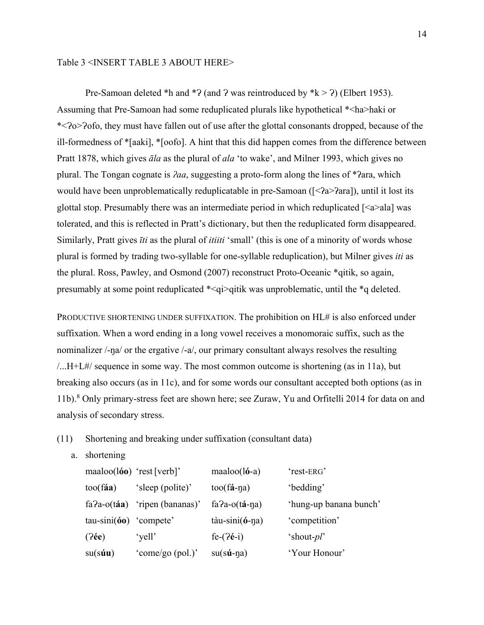#### Table 3 <INSERT TABLE 3 ABOUT HERE>

Pre-Samoan deleted \*h and \*? (and ? was reintroduced by \* $k > ?$ ) (Elbert 1953). Assuming that Pre-Samoan had some reduplicated plurals like hypothetical \*<ha>haki or \*<Ɂo>Ɂofo, they must have fallen out of use after the glottal consonants dropped, because of the ill-formedness of \*[aaki], \*[oofo]. A hint that this did happen comes from the difference between Pratt 1878, which gives *āla* as the plural of *ala* 'to wake', and Milner 1993, which gives no plural. The Tongan cognate is *ʔaa*, suggesting a proto-form along the lines of \*ʔara, which would have been unproblematically reduplicatable in pre-Samoan  $(\leq 2a > 2a$ ara]), until it lost its glottal stop. Presumably there was an intermediate period in which reduplicated  $\lfloor$  <a>ala $\rfloor$  was tolerated, and this is reflected in Pratt's dictionary, but then the reduplicated form disappeared. Similarly, Pratt gives *īti* as the plural of *itiiti* 'small' (this is one of a minority of words whose plural is formed by trading two-syllable for one-syllable reduplication), but Milner gives *iti* as the plural. Ross, Pawley, and Osmond (2007) reconstruct Proto-Oceanic \*qitik, so again, presumably at some point reduplicated \*<qi>qitik was unproblematic, until the \*q deleted.

PRODUCTIVE SHORTENING UNDER SUFFIXATION. The prohibition on HL# is also enforced under suffixation. When a word ending in a long vowel receives a monomoraic suffix, such as the nominalizer /-ŋa/ or the ergative /-a/, our primary consultant always resolves the resulting /...H+L#/ sequence in some way. The most common outcome is shortening (as in 11a), but breaking also occurs (as in 11c), and for some words our consultant accepted both options (as in 11b).8 Only primary-stress feet are shown here; see Zuraw, Yu and Orfitelli 2014 for data on and analysis of secondary stress.

- (11) Shortening and breaking under suffixation (consultant data)
	- a. shortening

| $maaloo(160)$ 'rest [verb]'      |                   | $maaloo(l6-a)$              | 'rest-ERG'             |
|----------------------------------|-------------------|-----------------------------|------------------------|
| $\text{too}(\text{f\'aa})$       | 'sleep (polite)'  | $\text{too}(\text{fa-na})$  | 'bedding'              |
| $fa$ ?a-o $(t$ áa)               | 'ripen (bananas)' | $fa$ ?a-o( $ta$ -na)        | 'hung-up banana bunch' |
| $tau\text{-sini}$ (60) 'compete' |                   | $t\$ {au-sini} $(6-\eta a)$ | 'competition'          |
| $(2\acute{e}e)$                  | 'yell'            | $fe-(2e-i)$                 | 'shout-pl'             |
| $su(s$ <b>úu</b> )               | 'come/go (pol.)'  | $su(s\acute{u}$ -ŋa)        | 'Your Honour'          |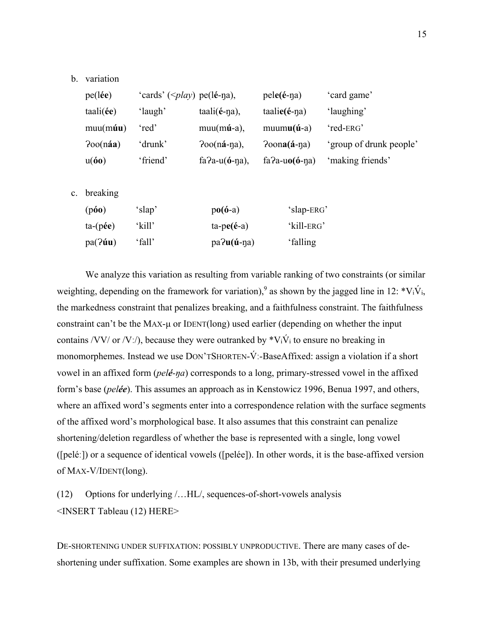#### b. variation

| $pe(l\acute{e}e)$ | 'cards' ( $\leq$ <i>play</i> ) pe(lé-na), |                           | $pele(\text{\'e-na})$     | 'card game'             |
|-------------------|-------------------------------------------|---------------------------|---------------------------|-------------------------|
| tail(ee)          | 'laugh'                                   | $taali(e-na)$ ,           | $taalie(\acute{e}\eta a)$ | 'laughing'              |
| $mu(m\acute{u}u)$ | 'red'                                     | $muum(mu-a)$ ,            | $muumu(\mathbf{u}-a)$     | 'red-ERG'               |
| Poo(naa)          | 'drunk'                                   | $700(nA-na)$ ,            | $Poona(\hat{a} - \eta a)$ | 'group of drunk people' |
| u(60)             | 'friend'                                  | fa?a-u( $\acute{o}$ -na), | fa?a-u $o$ (ó-na)         | 'making friends'        |
|                   |                                           |                           |                           |                         |

c. breaking

| (po)            | 'slap' | $po(6-a)$             | 'slap-ERG' |
|-----------------|--------|-----------------------|------------|
| $ta$ - $(p$ ée) | 'kill' | $ta-pe(é-a)$          | 'kill-ERG' |
| pa(2uu)         | 'fall' | $pa$ ? $u$ (ú- $n$ a) | 'falling   |

We analyze this variation as resulting from variable ranking of two constraints (or similar weighting, depending on the framework for variation),<sup>9</sup> as shown by the jagged line in 12:  $*V_i\dot{V}_i$ , the markedness constraint that penalizes breaking, and a faithfulness constraint. The faithfulness constraint can't be the MAX-μ or IDENT(long) used earlier (depending on whether the input contains /VV/ or /Vː/), because they were outranked by  $*V_i\dot{V}_i$  to ensure no breaking in monomorphemes. Instead we use DON'TSHORTEN-V́ː-BaseAffixed: assign a violation if a short vowel in an affixed form (*pelé-ŋa*) corresponds to a long, primary-stressed vowel in the affixed form's base (*pelée*). This assumes an approach as in Kenstowicz 1996, Benua 1997, and others, where an affixed word's segments enter into a correspondence relation with the surface segments of the affixed word's morphological base. It also assumes that this constraint can penalize shortening/deletion regardless of whether the base is represented with a single, long vowel ([peléː]) or a sequence of identical vowels ([pelée]). In other words, it is the base-affixed version of MAX-V/IDENT(long).

(12) Options for underlying /…HL/, sequences-of-short-vowels analysis <INSERT Tableau (12) HERE>

DE-SHORTENING UNDER SUFFIXATION: POSSIBLY UNPRODUCTIVE. There are many cases of deshortening under suffixation. Some examples are shown in 13b, with their presumed underlying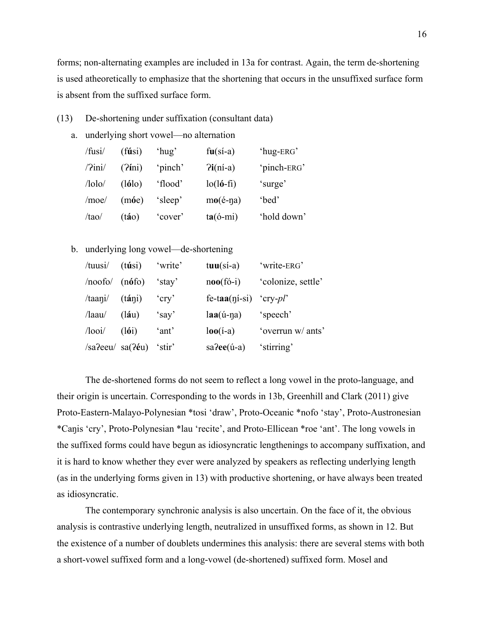forms; non-alternating examples are included in 13a for contrast. Again, the term de-shortening is used atheoretically to emphasize that the shortening that occurs in the unsuffixed surface form is absent from the suffixed surface form.

- (13) De-shortening under suffixation (consultant data)
	- a. underlying short vowel—no alternation

| /fusi/                 | (f <b>ú</b> si) | 'hug'   | $fu(s'_1-a)$              | 'hug-ERG'   |
|------------------------|-----------------|---------|---------------------------|-------------|
| $\frac{7}{\text{ini}}$ | $(2$ ini)       | 'pinch' | $Pi(ni-a)$                | 'pinch-ERG' |
| $/$ lolo $/$           | (lólo)          | 'flood' | $lo(l6-fi)$               | 'surge'     |
| /moe/                  | $(m\acute{o}e)$ | 'sleep' | $mo(\acute{e}\text{-na})$ | 'bed'       |
| /tao/                  | (táo)           | 'cover' | $ta(6-mi)$                | 'hold down' |

b. underlying long vowel—de-shortening

| /tuusi/                  | $(t$ úsi)            | 'write'  | $tau(s$ <i>i</i> -a)          | 'write-ERG'        |
|--------------------------|----------------------|----------|-------------------------------|--------------------|
| /noofo/                  | (n6f)                | 'stay'   | $\textbf{noo}(\textbf{fo}-i)$ | 'colonize, settle' |
| /tani/                   | $(t\acute{a}\eta i)$ | $'$ cry' | fe-taa( $\eta$ i-si) 'cry-pl' |                    |
| $\lambda$ laau $\lambda$ | (láu)                | 'say'    | $laa(\acute{u}$ -na)          | 'speech'           |
| $\Lambda$ ooi $\Lambda$  | (l6i)                | 'ant'    | $\log(i-a)$                   | 'overrun w/ ants'  |
| $/sa$ ?eeu $/sa($ ?éu)   |                      | 'stir    | $sa$ ?ee $(i-a)$              | 'stirring'         |

The de-shortened forms do not seem to reflect a long vowel in the proto-language, and their origin is uncertain. Corresponding to the words in 13b, Greenhill and Clark (2011) give Proto-Eastern-Malayo-Polynesian \*tosi 'draw', Proto-Oceanic \*nofo 'stay', Proto-Austronesian \*Caŋis 'cry', Proto-Polynesian \*lau 'recite', and Proto-Ellicean \*roe 'ant'. The long vowels in the suffixed forms could have begun as idiosyncratic lengthenings to accompany suffixation, and it is hard to know whether they ever were analyzed by speakers as reflecting underlying length (as in the underlying forms given in 13) with productive shortening, or have always been treated as idiosyncratic.

The contemporary synchronic analysis is also uncertain. On the face of it, the obvious analysis is contrastive underlying length, neutralized in unsuffixed forms, as shown in 12. But the existence of a number of doublets undermines this analysis: there are several stems with both a short-vowel suffixed form and a long-vowel (de-shortened) suffixed form. Mosel and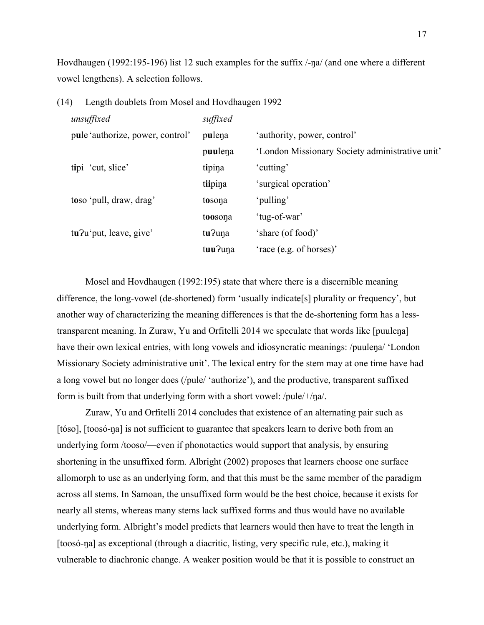Hovdhaugen (1992:195-196) list 12 such examples for the suffix  $/$ -na/ (and one where a different vowel lengthens). A selection follows.

| unsuffixed                       | suffixed |                                                 |
|----------------------------------|----------|-------------------------------------------------|
| pule 'authorize, power, control' | pulena   | 'authority, power, control'                     |
|                                  | puulena  | 'London Missionary Society administrative unit' |
| tipi 'cut, slice'                | tipina   | 'cutting'                                       |
|                                  | tiipina  | 'surgical operation'                            |
| toso 'pull, draw, drag'          | tosona   | 'pulling'                                       |
|                                  | toosona  | 'tug-of-war'                                    |
| tu?u'put, leave, give'           | tu?una   | 'share (of food)'                               |
|                                  | tuu?una  | 'race (e.g. of horses)'                         |

(14) Length doublets from Mosel and Hovdhaugen 1992

 Mosel and Hovdhaugen (1992:195) state that where there is a discernible meaning difference, the long-vowel (de-shortened) form 'usually indicate[s] plurality or frequency', but another way of characterizing the meaning differences is that the de-shortening form has a lesstransparent meaning. In Zuraw, Yu and Orfitelli 2014 we speculate that words like [puuleŋa] have their own lexical entries, with long vowels and idiosyncratic meanings: /puulena/ 'London Missionary Society administrative unit'. The lexical entry for the stem may at one time have had a long vowel but no longer does (/pule/ 'authorize'), and the productive, transparent suffixed form is built from that underlying form with a short vowel: /pule/+/ŋa/.

 Zuraw, Yu and Orfitelli 2014 concludes that existence of an alternating pair such as [tóso], [toosó-ŋa] is not sufficient to guarantee that speakers learn to derive both from an underlying form /tooso/—even if phonotactics would support that analysis, by ensuring shortening in the unsuffixed form. Albright (2002) proposes that learners choose one surface allomorph to use as an underlying form, and that this must be the same member of the paradigm across all stems. In Samoan, the unsuffixed form would be the best choice, because it exists for nearly all stems, whereas many stems lack suffixed forms and thus would have no available underlying form. Albright's model predicts that learners would then have to treat the length in [toosó-ŋa] as exceptional (through a diacritic, listing, very specific rule, etc.), making it vulnerable to diachronic change. A weaker position would be that it is possible to construct an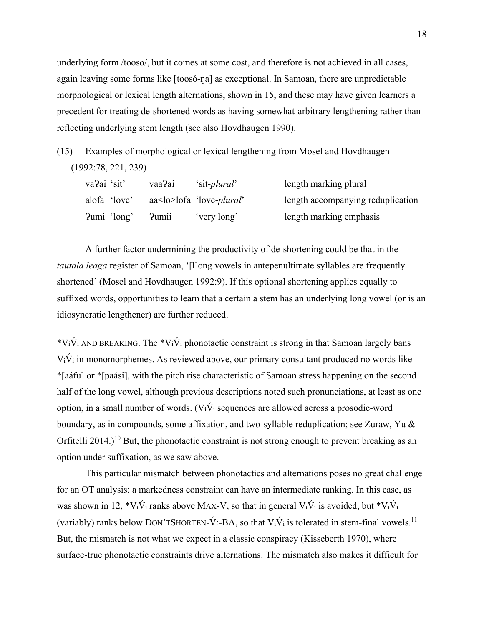underlying form /tooso/, but it comes at some cost, and therefore is not achieved in all cases, again leaving some forms like [toosó-na] as exceptional. In Samoan, there are unpredictable morphological or lexical length alternations, shown in 15, and these may have given learners a precedent for treating de-shortened words as having somewhat-arbitrary lengthening rather than reflecting underlying stem length (see also Hovdhaugen 1990).

(15) Examples of morphological or lexical lengthening from Mosel and Hovdhaugen (1992:78, 221, 239)

| va?ai 'sit'  | vaa?ai | 'sit- <i>plural</i> '                     | length marking plural             |
|--------------|--------|-------------------------------------------|-----------------------------------|
| alofa 'love' |        | $aa <$ lo $>$ lofa 'love- <i>plural</i> ' | length accompanying reduplication |
| ?umi 'long'  | Pumii  | 'very long'                               | length marking emphasis           |

 A further factor undermining the productivity of de-shortening could be that in the *tautala leaga* register of Samoan, '[l]ong vowels in antepenultimate syllables are frequently shortened' (Mosel and Hovdhaugen 1992:9). If this optional shortening applies equally to suffixed words, opportunities to learn that a certain a stem has an underlying long vowel (or is an idiosyncratic lengthener) are further reduced.

\*V<sub>i</sub>V<sub>i</sub> AND BREAKING. The \*V<sub>i</sub>V<sub>i</sub> phonotactic constraint is strong in that Samoan largely bans  $V_i\dot{V}_i$  in monomorphemes. As reviewed above, our primary consultant produced no words like \*[aáfu] or \*[paási], with the pitch rise characteristic of Samoan stress happening on the second half of the long vowel, although previous descriptions noted such pronunciations, at least as one option, in a small number of words.  $(V_i\dot{V}_i)$  sequences are allowed across a prosodic-word boundary, as in compounds, some affixation, and two-syllable reduplication; see Zuraw, Yu & Orfitelli 2014.)<sup>10</sup> But, the phonotactic constraint is not strong enough to prevent breaking as an option under suffixation, as we saw above.

This particular mismatch between phonotactics and alternations poses no great challenge for an OT analysis: a markedness constraint can have an intermediate ranking. In this case, as was shown in 12,  $*V_i\acute{V}_i$  ranks above MAX-V, so that in general  $V_i\acute{V}_i$  is avoided, but  $*V_i\acute{V}_i$ (variably) ranks below DON'TSHORTEN- $\acute{V}$ :-BA, so that V<sub>i</sub> $\acute{V}$ <sub>i</sub> is tolerated in stem-final vowels.<sup>11</sup> But, the mismatch is not what we expect in a classic conspiracy (Kisseberth 1970), where surface-true phonotactic constraints drive alternations. The mismatch also makes it difficult for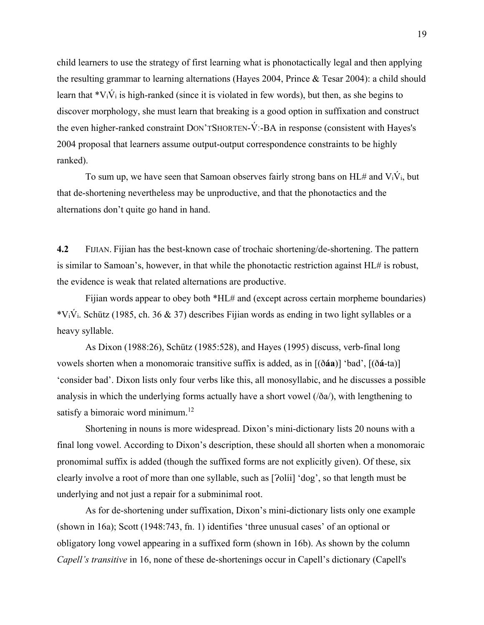child learners to use the strategy of first learning what is phonotactically legal and then applying the resulting grammar to learning alternations (Hayes 2004, Prince & Tesar 2004): a child should learn that  $*V_i\dot{V}_i$  is high-ranked (since it is violated in few words), but then, as she begins to discover morphology, she must learn that breaking is a good option in suffixation and construct the even higher-ranked constraint DON'TSHORTEN-V́ː-BA in response (consistent with Hayes's 2004 proposal that learners assume output-output correspondence constraints to be highly ranked).

To sum up, we have seen that Samoan observes fairly strong bans on  $HL#$  and  $V_i\dot{V}_i$ , but that de-shortening nevertheless may be unproductive, and that the phonotactics and the alternations don't quite go hand in hand.

**4.2** FIJIAN. Fijian has the best-known case of trochaic shortening/de-shortening. The pattern is similar to Samoan's, however, in that while the phonotactic restriction against HL# is robust, the evidence is weak that related alternations are productive.

Fijian words appear to obey both \*HL# and (except across certain morpheme boundaries) \*V<sub>i</sub>V<sub>i</sub>. Schütz (1985, ch. 36 & 37) describes Fijian words as ending in two light syllables or a heavy syllable.

 As Dixon (1988:26), Schütz (1985:528), and Hayes (1995) discuss, verb-final long vowels shorten when a monomoraic transitive suffix is added, as in [(ð**áa**)] 'bad', [(ð**á**-ta)] 'consider bad'. Dixon lists only four verbs like this, all monosyllabic, and he discusses a possible analysis in which the underlying forms actually have a short vowel  $(\delta a)$ , with lengthening to satisfy a bimoraic word minimum.<sup>12</sup>

Shortening in nouns is more widespread. Dixon's mini-dictionary lists 20 nouns with a final long vowel. According to Dixon's description, these should all shorten when a monomoraic pronomimal suffix is added (though the suffixed forms are not explicitly given). Of these, six clearly involve a root of more than one syllable, such as [ $2$ olíi] 'dog', so that length must be underlying and not just a repair for a subminimal root.

As for de-shortening under suffixation, Dixon's mini-dictionary lists only one example (shown in 16a); Scott (1948:743, fn. 1) identifies 'three unusual cases' of an optional or obligatory long vowel appearing in a suffixed form (shown in 16b). As shown by the column *Capell's transitive* in 16, none of these de-shortenings occur in Capell's dictionary (Capell's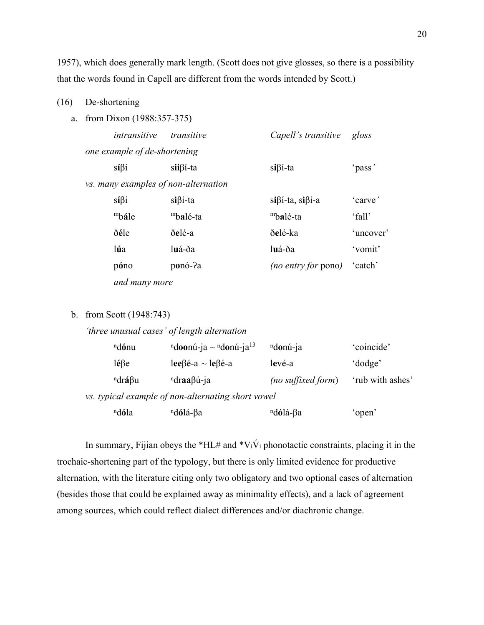1957), which does generally mark length. (Scott does not give glosses, so there is a possibility that the words found in Capell are different from the words intended by Scott.)

#### (16) De-shortening

a. from Dixon (1988:357-375)

| intransitive                 | transitive                           | Capell's transitive            | gloss     |
|------------------------------|--------------------------------------|--------------------------------|-----------|
| one example of de-shortening |                                      |                                |           |
| $si\beta i$                  | $si\beta$ i-ta                       | $si\beta$ <i>i</i> -ta         | 'pass'    |
|                              | vs. many examples of non-alternation |                                |           |
| $si\beta i$                  | $si\beta$ <i>i</i> -ta               | $si\beta$ i-ta, si $\beta$ i-a | 'carve'   |
| mbále                        | mbalé-ta                             | mbalé-ta                       | 'fall'    |
| ðéle                         | ðelé-a                               | ðelé-ka                        | 'uncover' |
| lúa                          | luá-ða                               | luá-ða                         | 'vomit'   |
| póno                         | ponó-?a                              | (no entry for pono)            | 'catch'   |
| and many more                |                                      |                                |           |

#### b. from Scott (1948:743)

## *'three unusual cases' of length alternation*

| <sup>n</sup> dónu        | "doonú-ja ~ "donú-ja"                              | <sup>n</sup> donú-ja | 'coincide'       |
|--------------------------|----------------------------------------------------|----------------------|------------------|
| $l\acute{e} \beta$ e     | lee $\beta$ é-a ~ le $\beta$ é-a                   | levé-a               | 'dodge'          |
| $ndr\acute{a}$ $\beta u$ | $ndraa\beta\acute{u}$ -ja                          | (no suffixed form)   | 'rub with ashes' |
|                          | vs. typical example of non-alternating short vowel |                      |                  |
| <sup>n</sup> dóla        | <sup>n</sup> dólá-βa                               | <sup>n</sup> dólá-βa | 'open'           |

In summary, Fijian obeys the \*HL# and \*V<sub>i</sub>V<sub>i</sub> phonotactic constraints, placing it in the trochaic-shortening part of the typology, but there is only limited evidence for productive alternation, with the literature citing only two obligatory and two optional cases of alternation (besides those that could be explained away as minimality effects), and a lack of agreement among sources, which could reflect dialect differences and/or diachronic change.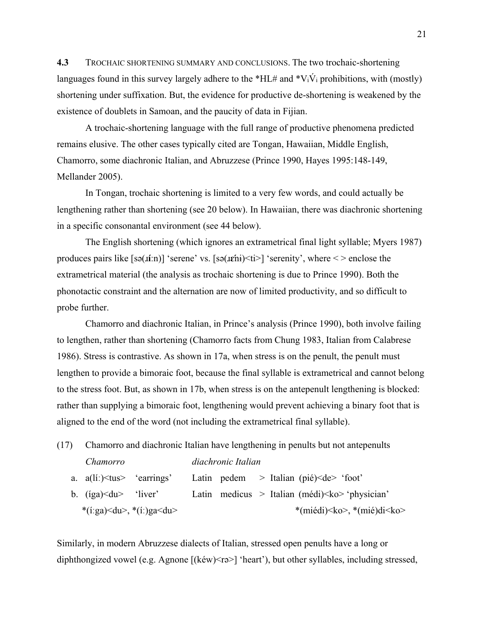**4.3** TROCHAIC SHORTENING SUMMARY AND CONCLUSIONS. The two trochaic-shortening languages found in this survey largely adhere to the \*HL# and \*V<sub>i</sub>V<sub>i</sub> prohibitions, with (mostly) shortening under suffixation. But, the evidence for productive de-shortening is weakened by the existence of doublets in Samoan, and the paucity of data in Fijian.

 A trochaic-shortening language with the full range of productive phenomena predicted remains elusive. The other cases typically cited are Tongan, Hawaiian, Middle English, Chamorro, some diachronic Italian, and Abruzzese (Prince 1990, Hayes 1995:148-149, Mellander 2005).

 In Tongan, trochaic shortening is limited to a very few words, and could actually be lengthening rather than shortening (see 20 below). In Hawaiian, there was diachronic shortening in a specific consonantal environment (see 44 below).

 The English shortening (which ignores an extrametrical final light syllable; Myers 1987) produces pairs like [sə(ɹ**íː**n)] 'serene' vs. [sə(ɹ**ɛ́**nɨ)<ti>] 'serenity', where < > enclose the extrametrical material (the analysis as trochaic shortening is due to Prince 1990). Both the phonotactic constraint and the alternation are now of limited productivity, and so difficult to probe further.

 Chamorro and diachronic Italian, in Prince's analysis (Prince 1990), both involve failing to lengthen, rather than shortening (Chamorro facts from Chung 1983, Italian from Calabrese 1986). Stress is contrastive. As shown in 17a, when stress is on the penult, the penult must lengthen to provide a bimoraic foot, because the final syllable is extrametrical and cannot belong to the stress foot. But, as shown in 17b, when stress is on the antepenult lengthening is blocked: rather than supplying a bimoraic foot, lengthening would prevent achieving a binary foot that is aligned to the end of the word (not including the extrametrical final syllable).

| (17) | Chamorro and diachronic Italian have lengthening in penults but not antepenults |  |                    |  |  |                                                                  |
|------|---------------------------------------------------------------------------------|--|--------------------|--|--|------------------------------------------------------------------|
|      | Chamorro                                                                        |  | diachronic Italian |  |  |                                                                  |
|      | a. $a(li.) \leq tus$ 'earrings'                                                 |  |                    |  |  | Latin pedem > Italian (pié) $\leq$ de> 'foot'                    |
|      | b. $(iga)$ $\langle du \rangle$ 'liver'                                         |  |                    |  |  | Latin medicus > Italian (médi) $\langle k_0 \rangle$ 'physician' |
|      | *(i:ga) <du>, *(i:)ga<du></du></du>                                             |  |                    |  |  | *(miédi) < ko >, *(mié) di < ko >                                |

Similarly, in modern Abruzzese dialects of Italian, stressed open penults have a long or diphthongized vowel (e.g. Agnone [(kéw)<ra>] 'heart'), but other syllables, including stressed,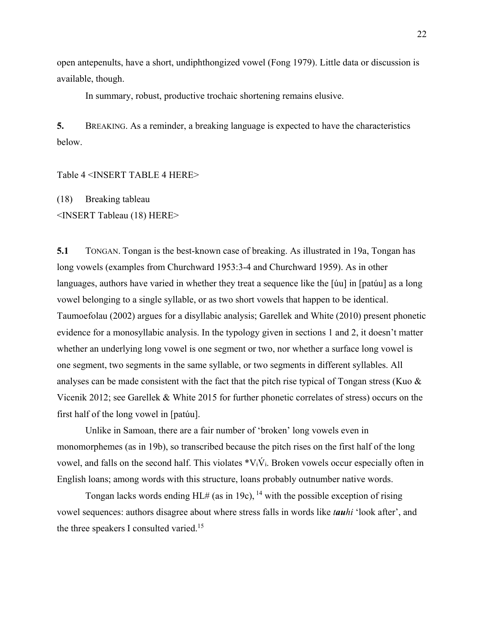open antepenults, have a short, undiphthongized vowel (Fong 1979). Little data or discussion is available, though.

In summary, robust, productive trochaic shortening remains elusive.

**5.** BREAKING. As a reminder, a breaking language is expected to have the characteristics below.

Table 4 <INSERT TABLE 4 HERE>

(18) Breaking tableau <INSERT Tableau (18) HERE>

**5.1** TONGAN. Tongan is the best-known case of breaking. As illustrated in 19a, Tongan has long vowels (examples from Churchward 1953:3-4 and Churchward 1959). As in other languages, authors have varied in whether they treat a sequence like the [úu] in [patúu] as a long vowel belonging to a single syllable, or as two short vowels that happen to be identical. Taumoefolau (2002) argues for a disyllabic analysis; Garellek and White (2010) present phonetic evidence for a monosyllabic analysis. In the typology given in sections 1 and 2, it doesn't matter whether an underlying long vowel is one segment or two, nor whether a surface long vowel is one segment, two segments in the same syllable, or two segments in different syllables. All analyses can be made consistent with the fact that the pitch rise typical of Tongan stress (Kuo  $\&$ Vicenik 2012; see Garellek & White 2015 for further phonetic correlates of stress) occurs on the first half of the long vowel in [patúu].

Unlike in Samoan, there are a fair number of 'broken' long vowels even in monomorphemes (as in 19b), so transcribed because the pitch rises on the first half of the long vowel, and falls on the second half. This violates  $*V_iV_i$ . Broken vowels occur especially often in English loans; among words with this structure, loans probably outnumber native words.

Tongan lacks words ending  $HL#$  (as in 19c), <sup>14</sup> with the possible exception of rising vowel sequences: authors disagree about where stress falls in words like *tauhi* 'look after', and the three speakers I consulted varied.<sup>15</sup>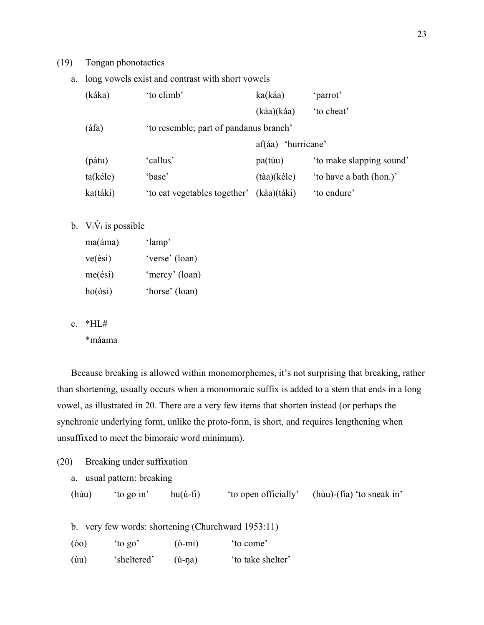### (19) Tongan phonotactics

a. long vowels exist and contrast with short vowels

| (káka)   | 'to climb'                             | ka(káa)                       | 'parrot'                 |
|----------|----------------------------------------|-------------------------------|--------------------------|
|          |                                        | $(k\dot{a}a)(k\dot{a}a)$      | 'to cheat'               |
| (áfa)    | 'to resemble; part of pandanus branch' |                               |                          |
|          |                                        | af(áa) 'hurricane'            |                          |
| (pátu)   | 'callus'                               | pa(túu)                       | 'to make slapping sound' |
| ta(kéle) | 'base'                                 | $(t\grave{a}a)(k\acute{e}le)$ | 'to have a bath (hon.)'  |
| ka(táki) | 'to eat vegetables together'           | (kàa)(táki)                   | 'to endure'              |

# b.  $V_i\acute{V}_i$  is possible

| $ma(\text{áma})$ | 'lamp'         |
|------------------|----------------|
| ve(ési)          | 'verse' (loan) |
| me(ési)          | 'mercy' (loan) |
| ho(ósi)          | 'horse' (loan) |

c.  $*HI#$ 

\*máama

Because breaking is allowed within monomorphemes, it's not surprising that breaking, rather than shortening, usually occurs when a monomoraic suffix is added to a stem that ends in a long vowel, as illustrated in 20. There are a very few items that shorten instead (or perhaps the synchronic underlying form, unlike the proto-form, is short, and requires lengthening when unsuffixed to meet the bimoraic word minimum).

|       | a. usual pattern: breaking |                     |                      |                           |
|-------|----------------------------|---------------------|----------------------|---------------------------|
| (húu) | to go in'                  | $hu(\acute{u}$ -fi) | 'to open officially' | (hùu)-(fía) 'to sneak in' |

b. very few words: shortening (Churchward 1953:11)

| 'to come' |
|-----------|
|           |

(úu) 'sheltered' (ú-ŋa) 'to take shelter'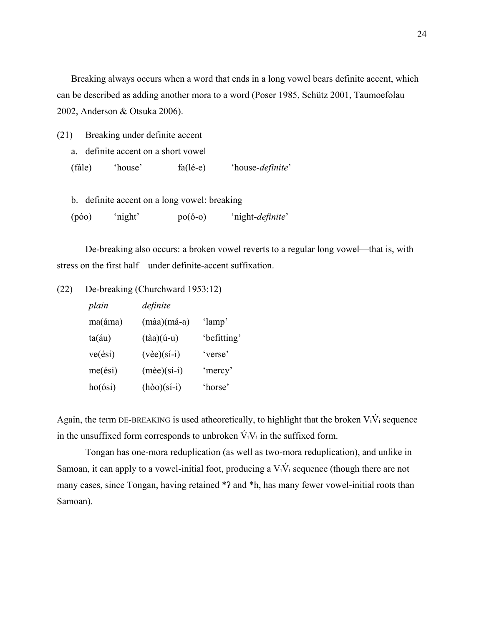Breaking always occurs when a word that ends in a long vowel bears definite accent, which can be described as adding another mora to a word (Poser 1985, Schütz 2001, Taumoefolau 2002, Anderson & Otsuka 2006).

- (21) Breaking under definite accent
	- a. definite accent on a short vowel
	- (fále) 'house' fa(lé-e) 'house*-definite*'
	- b. definite accent on a long vowel: breaking
	- (póo) 'night' po(ó-o) 'night-*definite*'

 De-breaking also occurs: a broken vowel reverts to a regular long vowel—that is, with stress on the first half—under definite-accent suffixation.

(22) De-breaking (Churchward 1953:12)

| plain          | definite                         |             |
|----------------|----------------------------------|-------------|
| ma(áma)        | $(m\aa)(m\aa-a)$                 | 'lamp'      |
| $ta(\dot{a}u)$ | $(t\dot{a}a)(\dot{u}-u)$         | 'befitting' |
| ve(ési)        | $(v\text{èe})(s\text{i}-i)$      | 'verse'     |
| me(ési)        | $(m\text{èe})(\text{si}-i)$      | 'mercy'     |
| ho(ósi)        | $(h\dot{\delta}o)(s\acute{i}-i)$ | 'horse'     |

Again, the term DE-BREAKING is used atheoretically, to highlight that the broken  $V_i\dot{V}_i$  sequence in the unsuffixed form corresponds to unbroken  $\dot{V}_iV_i$  in the suffixed form.

 Tongan has one-mora reduplication (as well as two-mora reduplication), and unlike in Samoan, it can apply to a vowel-initial foot, producing a  $V_i\dot{V}_i$  sequence (though there are not many cases, since Tongan, having retained \*? and \*h, has many fewer vowel-initial roots than Samoan).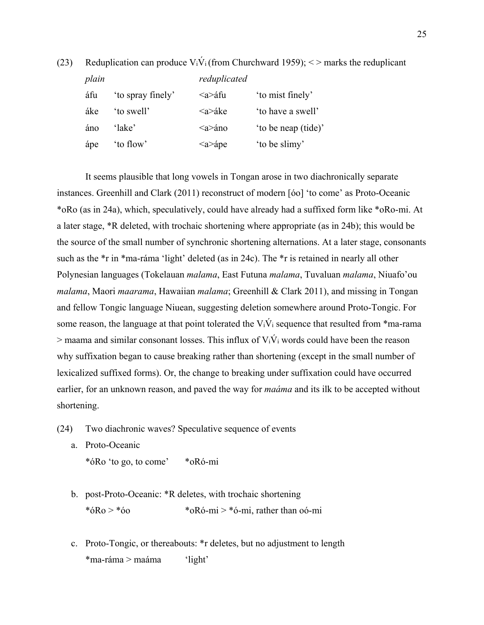(23) Reduplication can produce  $V_i\dot{V}_i$  (from Churchward 1959);  $\langle V_i \rangle$  marks the reduplicant

*plain reduplicated* áfu 'to spray finely' <a>áfu 'to mist finely' áke 'to swell' <a>áke 'to have a swell' áno 'lake' <a>áno 'to be neap (tide)' ápe 'to flow'  $\langle a \rangle$   $\langle a \rangle$  'to be slimy'

 It seems plausible that long vowels in Tongan arose in two diachronically separate instances. Greenhill and Clark (2011) reconstruct of modern [óo] 'to come' as Proto-Oceanic \*oRo (as in 24a), which, speculatively, could have already had a suffixed form like \*oRo-mi. At a later stage, \*R deleted, with trochaic shortening where appropriate (as in 24b); this would be the source of the small number of synchronic shortening alternations. At a later stage, consonants such as the \*r in \*ma-ráma 'light' deleted (as in 24c). The \*r is retained in nearly all other Polynesian languages (Tokelauan *malama*, East Futuna *malama*, Tuvaluan *malama*, Niuafo'ou *malama*, Maori *maarama*, Hawaiian *malama*; Greenhill & Clark 2011), and missing in Tongan and fellow Tongic language Niuean, suggesting deletion somewhere around Proto-Tongic. For some reason, the language at that point tolerated the  $V_i\dot{V}_i$  sequence that resulted from \*ma-rama  $>$  maama and similar consonant losses. This influx of  $V_i\dot{V}_i$  words could have been the reason why suffixation began to cause breaking rather than shortening (except in the small number of lexicalized suffixed forms). Or, the change to breaking under suffixation could have occurred earlier, for an unknown reason, and paved the way for *maáma* and its ilk to be accepted without shortening.

(24) Two diachronic waves? Speculative sequence of events

a. Proto-Oceanic \*óRo 'to go, to come' \*oRó-mi

- 
- b. post-Proto-Oceanic: \*R deletes, with trochaic shortening \*óRo > \*óo \*oRó-mi > \*ó-mi, rather than oó-mi
- c. Proto-Tongic, or thereabouts: \*r deletes, but no adjustment to length \*ma-ráma > maáma 'light'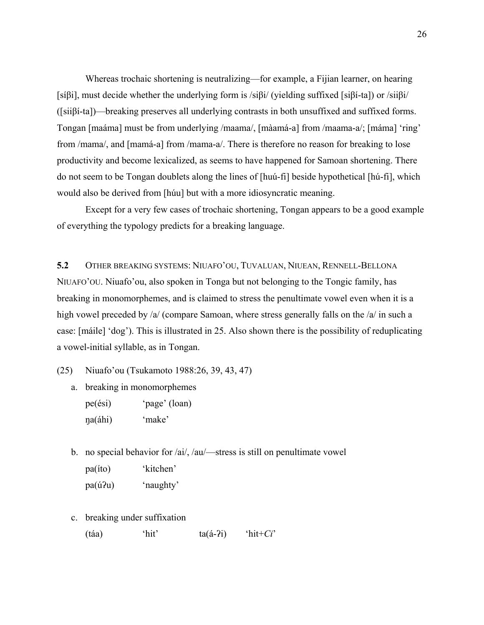Whereas trochaic shortening is neutralizing—for example, a Fijian learner, on hearing [síβi], must decide whether the underlying form is /siβi/ (yielding suffixed [siβí-ta]) or /siiβi/ ([siiβí-ta])—breaking preserves all underlying contrasts in both unsuffixed and suffixed forms. Tongan [maáma] must be from underlying /maama/, [màamá-a] from /maama-a/; [máma] 'ring' from /mama/, and [mamá-a] from /mama-a/. There is therefore no reason for breaking to lose productivity and become lexicalized, as seems to have happened for Samoan shortening. There do not seem to be Tongan doublets along the lines of [huú-fi] beside hypothetical [hú-fi], which would also be derived from [húu] but with a more idiosyncratic meaning.

 Except for a very few cases of trochaic shortening, Tongan appears to be a good example of everything the typology predicts for a breaking language.

**5.2** OTHER BREAKING SYSTEMS: NIUAFO'OU, TUVALUAN, NIUEAN, RENNELL-BELLONA NIUAFO'OU. Niuafo'ou, also spoken in Tonga but not belonging to the Tongic family, has breaking in monomorphemes, and is claimed to stress the penultimate vowel even when it is a high vowel preceded by /a/ (compare Samoan, where stress generally falls on the /a/ in such a case: [máile] 'dog'). This is illustrated in 25. Also shown there is the possibility of reduplicating a vowel-initial syllable, as in Tongan.

- (25) Niuafo'ou (Tsukamoto 1988:26, 39, 43, 47)
	- a. breaking in monomorphemes
		- pe(ési) 'page' (loan) ŋa(áhi) 'make'
	- b. no special behavior for /ai/, /au/—stress is still on penultimate vowel pa(íto) 'kitchen' pa(úʔu) 'naughty'
	- c. breaking under suffixation
		- (táa) 'hit' ta(á-ʔi) 'hit+*Ci*'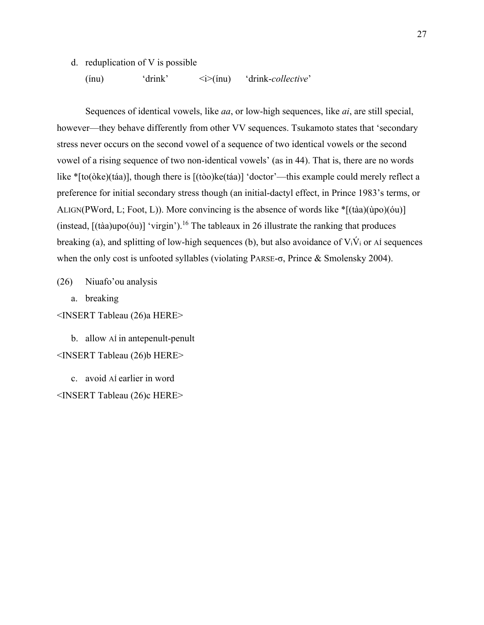d. reduplication of V is possible

(ínu) 'drink' <i>(ínu) 'drink-*collective*'

 Sequences of identical vowels, like *aa*, or low-high sequences, like *ai*, are still special, however—they behave differently from other VV sequences. Tsukamoto states that 'secondary stress never occurs on the second vowel of a sequence of two identical vowels or the second vowel of a rising sequence of two non-identical vowels' (as in 44). That is, there are no words like \*[to(òke)(táa)], though there is [(tòo)ke(táa)] 'doctor'—this example could merely reflect a preference for initial secondary stress though (an initial-dactyl effect, in Prince 1983's terms, or ALIGN(PWord, L; Foot, L)). More convincing is the absence of words like  $\sqrt{\frac{h}{k}}$  ((tàa)(ùpo)(óu)] (instead,  $[(\text{taa})\text{upo}(\text{ou})]'$  'virgin').<sup>16</sup> The tableaux in 26 illustrate the ranking that produces breaking (a), and splitting of low-high sequences (b), but also avoidance of  $V_i\dot{V}_i$  or AÍ sequences when the only cost is unfooted syllables (violating PARSE-σ, Prince & Smolensky 2004).

(26) Niuafo'ou analysis

a. breaking

<INSERT Tableau (26)a HERE>

b. allow AÍ in antepenult-penult <INSERT Tableau (26)b HERE>

c. avoid AÍ earlier in word <INSERT Tableau (26)c HERE>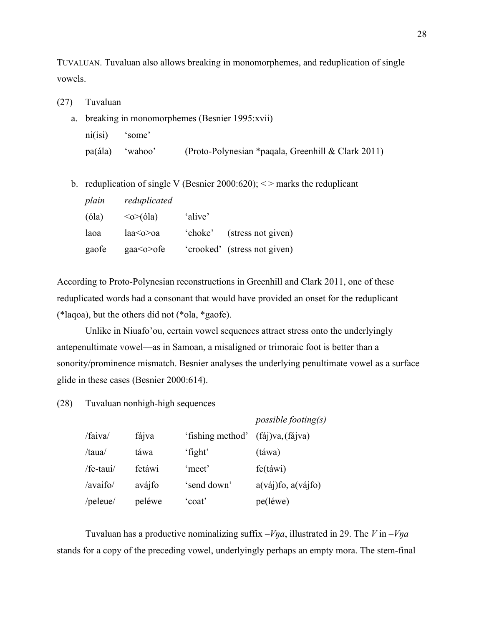TUVALUAN. Tuvaluan also allows breaking in monomorphemes, and reduplication of single vowels.

- (27) Tuvaluan
	- a. breaking in monomorphemes (Besnier 1995:xvii) ni(ísi) 'some' pa(ála) 'wahoo' (Proto-Polynesian \*paqala, Greenhill & Clark 2011)
	- b. reduplication of single V (Besnier 2000:620);  $\le$  > marks the reduplicant

| plain | reduplicated                     |         |                              |
|-------|----------------------------------|---------|------------------------------|
| (óla) | $\langle \circ \rangle$ (óla)    | 'alive' |                              |
| laoa  | la <sub>0</sub> > o <sub>a</sub> | 'choke' | (stress not given)           |
| gaofe | gaa <o>ofe</o>                   |         | 'crooked' (stress not given) |

According to Proto-Polynesian reconstructions in Greenhill and Clark 2011, one of these reduplicated words had a consonant that would have provided an onset for the reduplicant (\*laqoa), but the others did not (\*ola, \*gaofe).

 Unlike in Niuafo'ou, certain vowel sequences attract stress onto the underlyingly antepenultimate vowel—as in Samoan, a misaligned or trimoraic foot is better than a sonority/prominence mismatch. Besnier analyses the underlying penultimate vowel as a surface glide in these cases (Besnier 2000:614).

(28) Tuvaluan nonhigh-high sequences

|           |        |                  | possible footing(s) |
|-----------|--------|------------------|---------------------|
| /faiva/   | fájva  | 'fishing method' | (faj)va, (fajva)    |
| /taua/    | táwa   | 'fight'          | (táwa)              |
| /fe-taui/ | fetáwi | 'meet'           | $f_{\rm e}$ (táwi)  |
| /avaifo/  | avájfo | 'send down'      | a(váj)fo, a(vájfo)  |
| /peleue/  | peléwe | 'coat'           | pe(léwe)            |

Tuvaluan has a productive nominalizing suffix  $-V\eta a$ , illustrated in 29. The *V* in  $-V\eta a$ stands for a copy of the preceding vowel, underlyingly perhaps an empty mora. The stem-final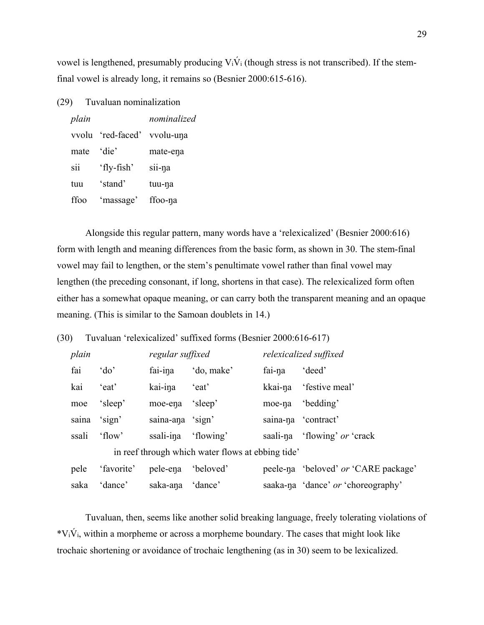vowel is lengthened, presumably producing  $V_i\acute{V}_i$  (though stress is not transcribed). If the stemfinal vowel is already long, it remains so (Besnier 2000:615-616).

(29) Tuvaluan nominalization

| plain |             | nominalized |
|-------|-------------|-------------|
| vvolu | 'red-faced' | vvolu-una   |
| mate  | 'die'       | mate-ena    |
| sii   | 'fly-fish'  | sii-na      |
| tuu   | 'stand'     | tuu-na      |
| ffoo  | 'massage'   | ffoo-na     |

Alongside this regular pattern, many words have a 'relexicalized' (Besnier 2000:616) form with length and meaning differences from the basic form, as shown in 30. The stem-final vowel may fail to lengthen, or the stem's penultimate vowel rather than final vowel may lengthen (the preceding consonant, if long, shortens in that case). The relexicalized form often either has a somewhat opaque meaning, or can carry both the transparent meaning and an opaque meaning. (This is similar to the Samoan doublets in 14.)

(30) Tuvaluan 'relexicalized' suffixed forms (Besnier 2000:616-617)

| plain |            | regular suffixed |                                                   |         | relexicalized suffixed               |
|-------|------------|------------------|---------------------------------------------------|---------|--------------------------------------|
| fai   | 'do'       | fai-ina          | 'do, make'                                        | fai-na  | 'deed'                               |
| kai   | 'eat'      | kai-ina          | 'eat'                                             | kkai-na | 'festive meal'                       |
| moe   | 'sleep'    | moe-ena          | 'sleep'                                           | moe-na  | 'bedding'                            |
| saina | 'sign'     | saina-ana 'sign' |                                                   |         | saina-na 'contract'                  |
| ssali | 'flow'     | ssali-ina        | 'flowing'                                         |         | saali-na 'flowing' or 'crack         |
|       |            |                  | in reef through which water flows at ebbing tide' |         |                                      |
| pele  | 'favorite' | pele-ena         | 'beloved'                                         |         | peele-na 'beloved' or 'CARE package' |
| saka  | 'dance'    | saka-ana         | 'dance'                                           |         | saaka-na 'dance' or 'choreography'   |

Tuvaluan, then, seems like another solid breaking language, freely tolerating violations of  $*V_i\dot{V}_i$ , within a morpheme or across a morpheme boundary. The cases that might look like trochaic shortening or avoidance of trochaic lengthening (as in 30) seem to be lexicalized.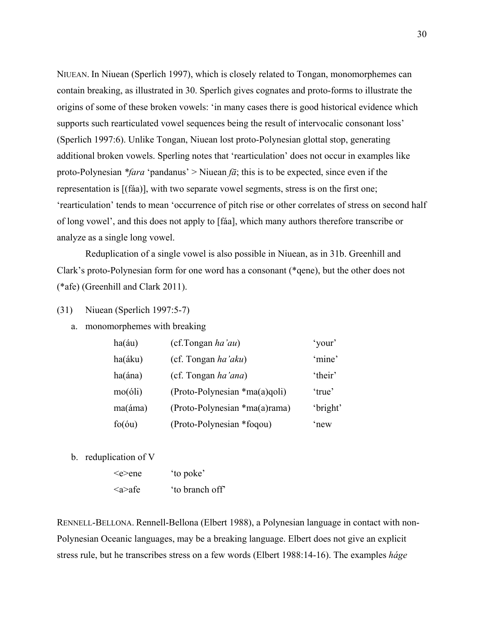NIUEAN. In Niuean (Sperlich 1997), which is closely related to Tongan, monomorphemes can contain breaking, as illustrated in 30. Sperlich gives cognates and proto-forms to illustrate the origins of some of these broken vowels: 'in many cases there is good historical evidence which supports such rearticulated vowel sequences being the result of intervocalic consonant loss' (Sperlich 1997:6). Unlike Tongan, Niuean lost proto-Polynesian glottal stop, generating additional broken vowels. Sperling notes that 'rearticulation' does not occur in examples like proto-Polynesian *\*fara* 'pandanus' > Niuean *fā*; this is to be expected, since even if the representation is [(fáa)], with two separate vowel segments, stress is on the first one; 'rearticulation' tends to mean 'occurrence of pitch rise or other correlates of stress on second half of long vowel', and this does not apply to [fáa], which many authors therefore transcribe or analyze as a single long vowel.

 Reduplication of a single vowel is also possible in Niuean, as in 31b. Greenhill and Clark's proto-Polynesian form for one word has a consonant (\*qene), but the other does not (\*afe) (Greenhill and Clark 2011).

(31) Niuean (Sperlich 1997:5-7)

a. monomorphemes with breaking

| ha(áu)          | (cf.Tongan ha'au)               | 'your'   |
|-----------------|---------------------------------|----------|
| ha(áku)         | (cf. Tongan ha'aku)             | 'mine'   |
| ha(ána)         | (cf. Tongan ha'ana)             | 'their'  |
| $mo(\delta li)$ | $(Proto-Polynesian *ma(a)qoli)$ | 'true'   |
| ma(áma)         | (Proto-Polynesian *ma(a)rama)   | 'bright' |
| $f_0(\delta u)$ | (Proto-Polynesian *foqou)       | 'new     |

b. reduplication of V

| ∕e>ene        | 'to poke'       |
|---------------|-----------------|
| $\alpha$ >afe | 'to branch off' |

RENNELL-BELLONA. Rennell-Bellona (Elbert 1988), a Polynesian language in contact with non-Polynesian Oceanic languages, may be a breaking language. Elbert does not give an explicit stress rule, but he transcribes stress on a few words (Elbert 1988:14-16). The examples *háge*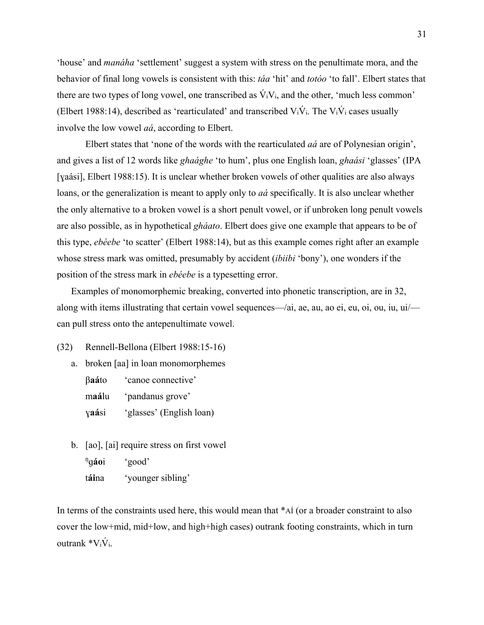'house' and *manáha* 'settlement' suggest a system with stress on the penultimate mora, and the behavior of final long vowels is consistent with this: *táa* 'hit' and *totóo* 'to fall'. Elbert states that there are two types of long vowel, one transcribed as  $\acute{V}_iV_i$ , and the other, 'much less common' (Elbert 1988:14), described as 'rearticulated' and transcribed  $V_i\dot{V}_i$ . The  $V_i\dot{V}_i$  cases usually involve the low vowel *aá*, according to Elbert.

 Elbert states that 'none of the words with the rearticulated *aá* are of Polynesian origin', and gives a list of 12 words like *ghaághe* 'to hum', plus one English loan, *ghaási* 'glasses' (IPA [yaási], Elbert 1988:15). It is unclear whether broken vowels of other qualities are also always loans, or the generalization is meant to apply only to *aá* specifically. It is also unclear whether the only alternative to a broken vowel is a short penult vowel, or if unbroken long penult vowels are also possible, as in hypothetical *gháato*. Elbert does give one example that appears to be of this type, *ebéebe* 'to scatter' (Elbert 1988:14), but as this example comes right after an example whose stress mark was omitted, presumably by accident (*ibiibi* 'bony'), one wonders if the position of the stress mark in *ebéebe* is a typesetting error.

Examples of monomorphemic breaking, converted into phonetic transcription, are in 32, along with items illustrating that certain vowel sequences—/ai, ae, au, ao ei, eu, oi, ou, iu, ui/ can pull stress onto the antepenultimate vowel.

(32) Rennell-Bellona (Elbert 1988:15-16)

- a. broken [aa] in loan monomorphemes β**aá**to 'canoe connective' m**aá**lu 'pandanus grove' ɣ**aá**si 'glasses' (English loan)
- b. [ao], [ai] require stress on first vowel  $<sup>η</sup>qáoi$ </sup> ɡ**áo**i 'good' t**ái**na 'younger sibling'

In terms of the constraints used here, this would mean that \*AÍ (or a broader constraint to also cover the low+mid, mid+low, and high+high cases) outrank footing constraints, which in turn outrank  $V_i$ i $\dot{V}_i$ .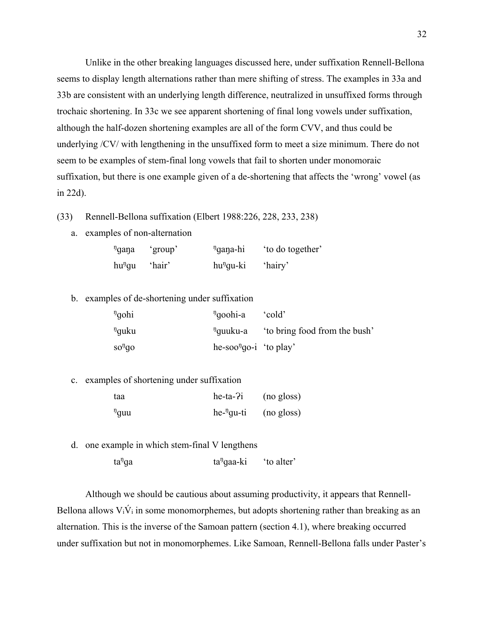Unlike in the other breaking languages discussed here, under suffixation Rennell-Bellona seems to display length alternations rather than mere shifting of stress. The examples in 33a and 33b are consistent with an underlying length difference, neutralized in unsuffixed forms through trochaic shortening. In 33c we see apparent shortening of final long vowels under suffixation, although the half-dozen shortening examples are all of the form CVV, and thus could be underlying /CV/ with lengthening in the unsuffixed form to meet a size minimum. There do not seem to be examples of stem-final long vowels that fail to shorten under monomoraic suffixation, but there is one example given of a de-shortening that affects the 'wrong' vowel (as in 22d).

- (33) Rennell-Bellona suffixation (Elbert 1988:226, 228, 233, 238)
	- a. examples of non-alternation

| <sup>n</sup> gana    | 'group' | <sup>n</sup> gana-hi  | to do together' |
|----------------------|---------|-----------------------|-----------------|
| $hu$ <sup>n</sup> gu | 'hair'  | hu <sup>n</sup> gu-ki | 'hairy'         |

b. examples of de-shortening under suffixation

| <sup>n</sup> gohi | <sup>n</sup> goohi-a               | cold'                        |
|-------------------|------------------------------------|------------------------------|
| <sup>n</sup> quku | <sup>ŋ</sup> quuku-a               | to bring food from the bush' |
| $SO1$ go          | he-soo <sup>n</sup> go-i 'to play' |                              |

c. examples of shortening under suffixation

| taa        | $he-ta-2i$             | (no gloss) |
|------------|------------------------|------------|
| $\eta$ quu | he- <sup>n</sup> qu-ti | (no gloss) |

d. one example in which stem-final V lengthens  $ta<sup>n</sup>$ ga ga ta $^{1}$  $ta<sup>n</sup>$ qaa-ki 'to alter'

Although we should be cautious about assuming productivity, it appears that Rennell-Bellona allows  $V_i\acute{V}_i$  in some monomorphemes, but adopts shortening rather than breaking as an alternation. This is the inverse of the Samoan pattern (section 4.1), where breaking occurred

under suffixation but not in monomorphemes. Like Samoan, Rennell-Bellona falls under Paster's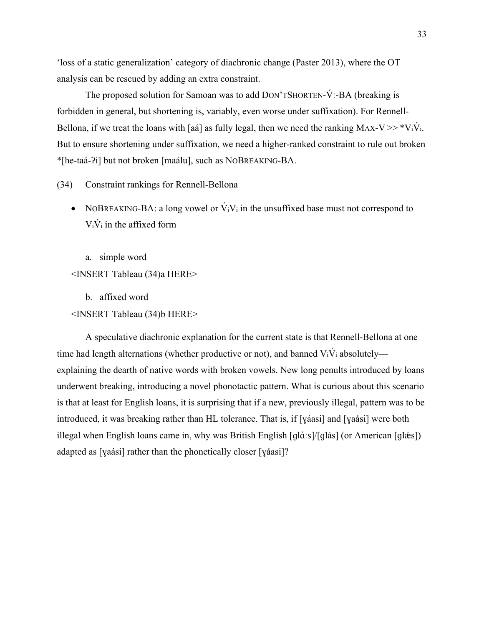'loss of a static generalization' category of diachronic change (Paster 2013), where the OT analysis can be rescued by adding an extra constraint.

The proposed solution for Samoan was to add DON'TSHORTEN-V:-BA (breaking is forbidden in general, but shortening is, variably, even worse under suffixation). For Rennell-Bellona, if we treat the loans with [aá] as fully legal, then we need the ranking MAX-V  $>>$  \*V<sub>i</sub>V<sub>i</sub>. But to ensure shortening under suffixation, we need a higher-ranked constraint to rule out broken \*[he-taá-ʔi] but not broken [maálu], such as NOBREAKING-BA.

(34) Constraint rankings for Rennell-Bellona

- NOBREAKING-BA: a long vowel or  $\dot{V}_iV_i$  in the unsuffixed base must not correspond to  $V_i\dot{V}_i$  in the affixed form
	- a. simple word
- <INSERT Tableau (34)a HERE>
	- b. affixed word
- <INSERT Tableau (34)b HERE>

A speculative diachronic explanation for the current state is that Rennell-Bellona at one time had length alternations (whether productive or not), and banned  $V_i\dot{V}_i$  absolutely explaining the dearth of native words with broken vowels. New long penults introduced by loans underwent breaking, introducing a novel phonotactic pattern. What is curious about this scenario is that at least for English loans, it is surprising that if a new, previously illegal, pattern was to be introduced, it was breaking rather than HL tolerance. That is, if [ɣáasi] and [ɣaási] were both illegal when English loans came in, why was British English [ɡlɑ́ ːs]/[ɡlás] (or American [ɡlǽs]) adapted as [ɣaási] rather than the phonetically closer [ɣáasi]?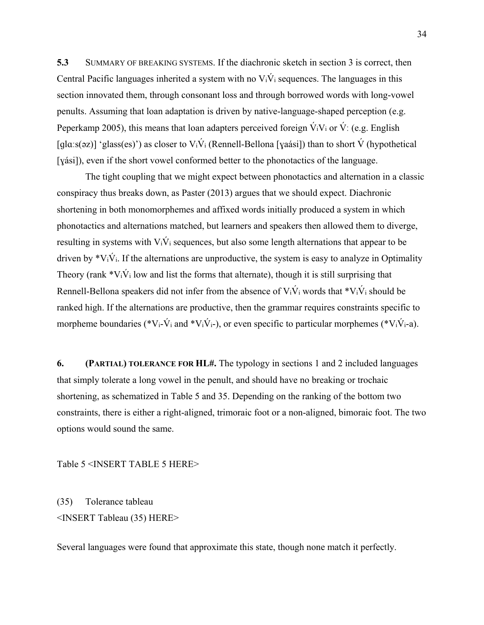**5.3** SUMMARY OF BREAKING SYSTEMS. If the diachronic sketch in section 3 is correct, then Central Pacific languages inherited a system with no  $V_i\dot{V}_i$  sequences. The languages in this section innovated them, through consonant loss and through borrowed words with long-vowel penults. Assuming that loan adaptation is driven by native-language-shaped perception (e.g. Peperkamp 2005), this means that loan adapters perceived foreign  $V_iV_i$  or  $V_i$ : (e.g. English [qlɑːs(əz)] 'glass(es)') as closer to  $V_i\dot{V}_i$  (Rennell-Bellona [yaási]) than to short  $\dot{V}$  (hypothetical [yási]), even if the short vowel conformed better to the phonotactics of the language.

 The tight coupling that we might expect between phonotactics and alternation in a classic conspiracy thus breaks down, as Paster (2013) argues that we should expect. Diachronic shortening in both monomorphemes and affixed words initially produced a system in which phonotactics and alternations matched, but learners and speakers then allowed them to diverge, resulting in systems with  $V_i\dot{V}_i$  sequences, but also some length alternations that appear to be driven by  $*V_i\dot{V}_i$ . If the alternations are unproductive, the system is easy to analyze in Optimality Theory (rank  $*V_i\dot{V}_i$  low and list the forms that alternate), though it is still surprising that Rennell-Bellona speakers did not infer from the absence of  $V_iV_i$  words that  $V_iV_i$  should be ranked high. If the alternations are productive, then the grammar requires constraints specific to morpheme boundaries (\*V<sub>i</sub>-V<sub>i</sub> and \*V<sub>i</sub>V<sub>i</sub>-), or even specific to particular morphemes (\*V<sub>i</sub>V<sub>i</sub>-a).

**6. (PARTIAL) TOLERANCE FOR HL#.** The typology in sections 1 and 2 included languages that simply tolerate a long vowel in the penult, and should have no breaking or trochaic shortening, as schematized in Table 5 and 35. Depending on the ranking of the bottom two constraints, there is either a right-aligned, trimoraic foot or a non-aligned, bimoraic foot. The two options would sound the same.

Table 5 <INSERT TABLE 5 HERE>

(35) Tolerance tableau <INSERT Tableau (35) HERE>

Several languages were found that approximate this state, though none match it perfectly.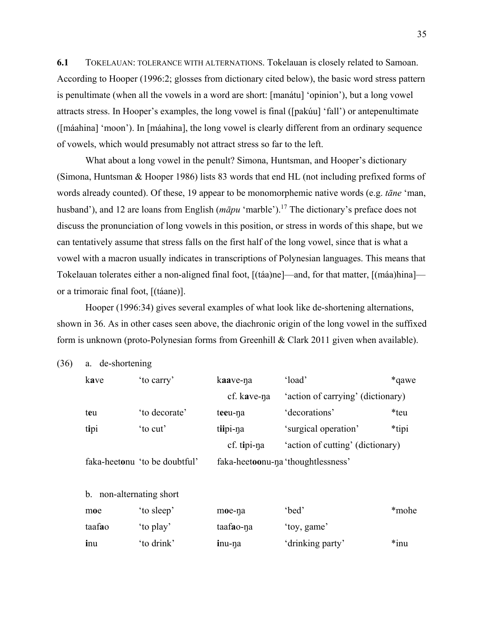**6.1** TOKELAUAN: TOLERANCE WITH ALTERNATIONS. Tokelauan is closely related to Samoan. According to Hooper (1996:2; glosses from dictionary cited below), the basic word stress pattern is penultimate (when all the vowels in a word are short: [manátu] 'opinion'), but a long vowel attracts stress. In Hooper's examples, the long vowel is final ([pakúu] 'fall') or antepenultimate ([máahina] 'moon'). In [máahina], the long vowel is clearly different from an ordinary sequence of vowels, which would presumably not attract stress so far to the left.

 What about a long vowel in the penult? Simona, Huntsman, and Hooper's dictionary (Simona, Huntsman & Hooper 1986) lists 83 words that end HL (not including prefixed forms of words already counted). Of these, 19 appear to be monomorphemic native words (e.g. *tāne* 'man, husband'), and 12 are loans from English (*māpu* 'marble').<sup>17</sup> The dictionary's preface does not discuss the pronunciation of long vowels in this position, or stress in words of this shape, but we can tentatively assume that stress falls on the first half of the long vowel, since that is what a vowel with a macron usually indicates in transcriptions of Polynesian languages. This means that Tokelauan tolerates either a non-aligned final foot, [(táa)ne]—and, for that matter, [(máa)hina] or a trimoraic final foot, [(táane)].

 Hooper (1996:34) gives several examples of what look like de-shortening alternations, shown in 36. As in other cases seen above, the diachronic origin of the long vowel in the suffixed form is unknown (proto-Polynesian forms from Greenhill & Clark 2011 given when available).

(36) a. de-shortening

| kave   | 'to carry'                    | kaave-na    | 'load'                             | *qawe   |
|--------|-------------------------------|-------------|------------------------------------|---------|
|        |                               | cf. kave-na | 'action of carrying' (dictionary)  |         |
| teu    | 'to decorate'                 | teeu-na     | 'decorations'                      | *teu    |
| tipi   | to cut'                       | tiipi-na    | 'surgical operation'               | *tipi   |
|        |                               | cf. tipi-na | 'action of cutting' (dictionary)   |         |
|        | faka-heetonu 'to be doubtful' |             | faka-heetoonu-na 'thoughtlessness' |         |
|        |                               |             |                                    |         |
| b.     | non-alternating short         |             |                                    |         |
| moe    | 'to sleep'                    | moe-na      | 'bed'                              | *mohe-  |
| taafao | 'to play'                     | taafao-na   | 'toy, game'                        |         |
| inu    | 'to drink'                    | inu-na      | 'drinking party'                   | $*$ inu |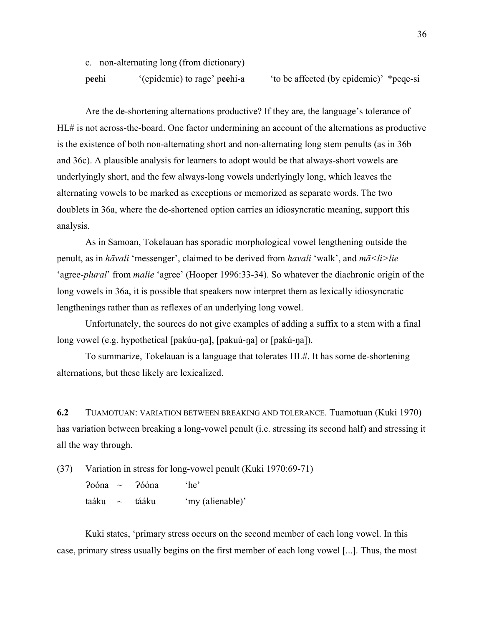c. non-alternating long (from dictionary) p**ee**hi '(epidemic) to rage' p**ee**hi-a 'to be affected (by epidemic)' \*peqe-si

 Are the de-shortening alternations productive? If they are, the language's tolerance of HL# is not across-the-board. One factor undermining an account of the alternations as productive is the existence of both non-alternating short and non-alternating long stem penults (as in 36b and 36c). A plausible analysis for learners to adopt would be that always-short vowels are underlyingly short, and the few always-long vowels underlyingly long, which leaves the alternating vowels to be marked as exceptions or memorized as separate words. The two doublets in 36a, where the de-shortened option carries an idiosyncratic meaning, support this analysis.

 As in Samoan, Tokelauan has sporadic morphological vowel lengthening outside the penult, as in *hāvali* 'messenger', claimed to be derived from *havali* 'walk', and *mā<li>lie* 'agree-*plural*' from *malie* 'agree' (Hooper 1996:33-34). So whatever the diachronic origin of the long vowels in 36a, it is possible that speakers now interpret them as lexically idiosyncratic lengthenings rather than as reflexes of an underlying long vowel.

 Unfortunately, the sources do not give examples of adding a suffix to a stem with a final long vowel (e.g. hypothetical [pakúu-ŋa], [pakuú-ŋa] or [pakú-ŋa]).

To summarize, Tokelauan is a language that tolerates HL#. It has some de-shortening alternations, but these likely are lexicalized.

**6.2** TUAMOTUAN: VARIATION BETWEEN BREAKING AND TOLERANCE. Tuamotuan (Kuki 1970) has variation between breaking a long-vowel penult (i.e. stressing its second half) and stressing it all the way through.

(37) Variation in stress for long-vowel penult (Kuki 1970:69-71)

Ɂoóna ~ Ɂóóna 'he' taáku ~ tááku 'my (alienable)'

Kuki states, 'primary stress occurs on the second member of each long vowel. In this case, primary stress usually begins on the first member of each long vowel [...]. Thus, the most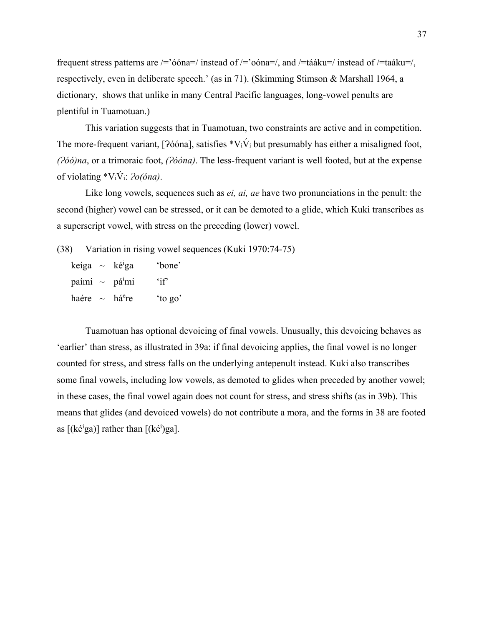frequent stress patterns are  $\ell$ ='óóna=/ instead of  $\ell$ ='oóna=/, and  $\ell$ =tááku=/ instead of  $\ell$ =taáku=/, respectively, even in deliberate speech.' (as in 71). (Skimming Stimson & Marshall 1964, a dictionary, shows that unlike in many Central Pacific languages, long-vowel penults are plentiful in Tuamotuan.)

This variation suggests that in Tuamotuan, two constraints are active and in competition. The more-frequent variant, [ $\frac{266}{n}$ ], satisfies \*V<sub>i</sub>V<sub>i</sub> but presumably has either a misaligned foot, *(Ɂóó)na*, or a trimoraic foot, *(Ɂóóna)*. The less-frequent variant is well footed, but at the expense of violating \*ViV́i: *Ɂo(óna)*.

 Like long vowels, sequences such as *ei, ai, ae* have two pronunciations in the penult: the second (higher) vowel can be stressed, or it can be demoted to a glide, which Kuki transcribes as a superscript vowel, with stress on the preceding (lower) vowel.

(38) Variation in rising vowel sequences (Kuki 1970:74-75)

keíga ~ ké<sup>i</sup>ga 'bone' paími ~ pá<sup>i</sup>mi 'if' haére  $\sim$  há<sup>e</sup>re 'to go'

Tuamotuan has optional devoicing of final vowels. Unusually, this devoicing behaves as 'earlier' than stress, as illustrated in 39a: if final devoicing applies, the final vowel is no longer counted for stress, and stress falls on the underlying antepenult instead. Kuki also transcribes some final vowels, including low vowels, as demoted to glides when preceded by another vowel; in these cases, the final vowel again does not count for stress, and stress shifts (as in 39b). This means that glides (and devoiced vowels) do not contribute a mora, and the forms in 38 are footed as  $[(k\acute{e}^i\text{g}a)]$  rather than  $[(k\acute{e}^i)\text{g}a]$ .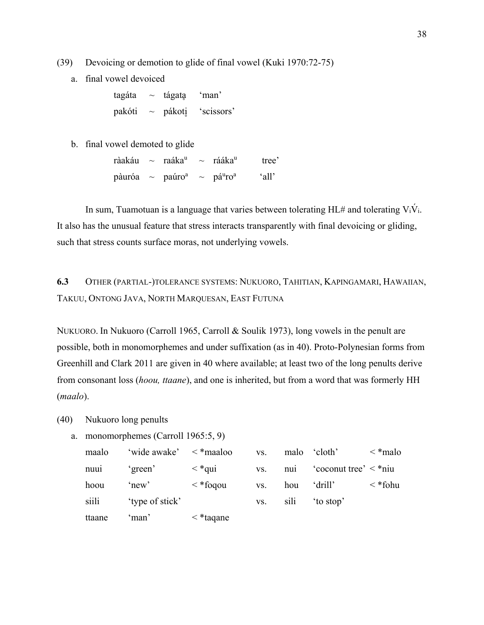(39) Devoicing or demotion to glide of final vowel (Kuki 1970:72-75)

a. final vowel devoiced

 $tagata \sim tag$  tágata 'man' pakóti ~ pákoti̥ 'scissors'

b. final vowel demoted to glide

ràakáu ~ raáka<sup>u</sup> ~ rááka<sup>u</sup> tree' pàuróa ~ paúro<sup>a</sup> ~ pá<sup>u</sup>ro<sup>a</sup> 'all'

In sum, Tuamotuan is a language that varies between tolerating HL# and tolerating  $V_i\dot{V}_i$ . It also has the unusual feature that stress interacts transparently with final devoicing or gliding, such that stress counts surface moras, not underlying vowels.

**6.3** OTHER (PARTIAL-)TOLERANCE SYSTEMS: NUKUORO, TAHITIAN, KAPINGAMARI, HAWAIIAN, TAKUU, ONTONG JAVA, NORTH MARQUESAN, EAST FUTUNA

NUKUORO. In Nukuoro (Carroll 1965, Carroll & Soulik 1973), long vowels in the penult are possible, both in monomorphemes and under suffixation (as in 40). Proto-Polynesian forms from Greenhill and Clark 2011 are given in 40 where available; at least two of the long penults derive from consonant loss (*hoou, ttaane*), and one is inherited, but from a word that was formerly HH (*maalo*).

- (40) Nukuoro long penults
	- a. monomorphemes (Carroll 1965:5, 9)

| maalo  | 'wide awake'    | $\langle \rangle$ *maaloo | VS. | malo           | 'cloth'                    | $\langle \n\ast$ malo |
|--------|-----------------|---------------------------|-----|----------------|----------------------------|-----------------------|
| nuui   | 'green'         | $\langle$ *qui            | VS. | nui            | 'coconut tree' $\lt^*$ niu |                       |
| hoou   | 'new'           | $\langle$ *foqou          | VS. | hou            | 'drill'                    | $\langle$ *fohu       |
| siili  | 'type of stick' |                           | VS. | S <sub>1</sub> | to stop                    |                       |
| ttaane | ʻman'           | $\langle$ *taqane         |     |                |                            |                       |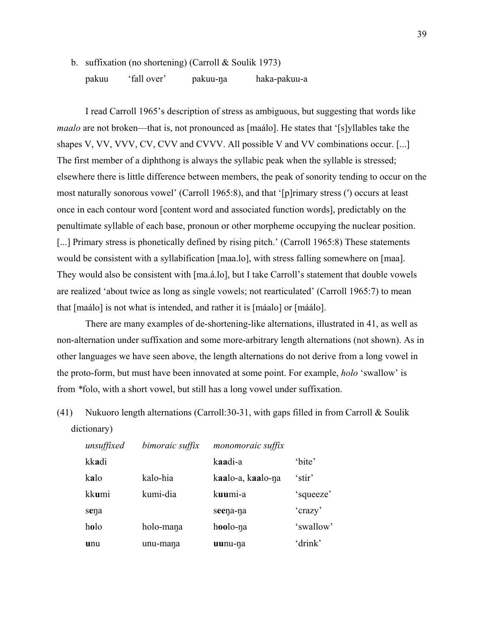I read Carroll 1965's description of stress as ambiguous, but suggesting that words like *maalo* are not broken—that is, not pronounced as [maálo]. He states that '[s]yllables take the shapes V, VV, VVV, CV, CVV and CVVV. All possible V and VV combinations occur. [...] The first member of a diphthong is always the syllabic peak when the syllable is stressed; elsewhere there is little difference between members, the peak of sonority tending to occur on the most naturally sonorous vowel' (Carroll 1965:8), and that '[p]rimary stress (ʹ) occurs at least once in each contour word [content word and associated function words], predictably on the penultimate syllable of each base, pronoun or other morpheme occupying the nuclear position. [...] Primary stress is phonetically defined by rising pitch.' (Carroll 1965:8) These statements would be consistent with a syllabification [maa.lo], with stress falling somewhere on [maa]. They would also be consistent with [ma.á.lo], but I take Carroll's statement that double vowels are realized 'about twice as long as single vowels; not rearticulated' (Carroll 1965:7) to mean that [maálo] is not what is intended, and rather it is [máalo] or [máálo].

There are many examples of de-shortening-like alternations, illustrated in 41, as well as non-alternation under suffixation and some more-arbitrary length alternations (not shown). As in other languages we have seen above, the length alternations do not derive from a long vowel in the proto-form, but must have been innovated at some point. For example, *holo* 'swallow' is from *\**folo, with a short vowel, but still has a long vowel under suffixation.

(41) Nukuoro length alternations (Carroll:30-31, with gaps filled in from Carroll & Soulik dictionary)

| unsuffixed | bimoraic suffix | monomoraic suffix |           |
|------------|-----------------|-------------------|-----------|
| kkadi      |                 | kaadi-a           | 'bite'    |
| kalo       | kalo-hia        | kaalo-a, kaalo-na | 'stir'    |
| kkumi      | kumi-dia        | kuumi-a           | 'squeeze' |
| sena       |                 | seena-na          | 'crazy'   |
| holo       | holo-mana       | hoolo-na          | 'swallow' |
| unu        | unu-mana        | uunu-na           | 'drink'   |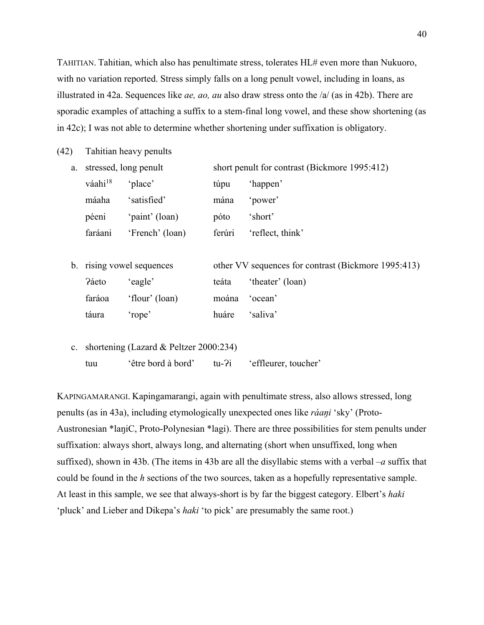TAHITIAN. Tahitian, which also has penultimate stress, tolerates HL# even more than Nukuoro, with no variation reported. Stress simply falls on a long penult vowel, including in loans, as illustrated in 42a. Sequences like *ae, ao, au* also draw stress onto the /a/ (as in 42b). There are sporadic examples of attaching a suffix to a stem-final long vowel, and these show shortening (as in 42c); I was not able to determine whether shortening under suffixation is obligatory.

(42) Tahitian heavy penults

| a. | stressed, long penult |                 | short penult for contrast (Bickmore 1995:412) |                  |  |
|----|-----------------------|-----------------|-----------------------------------------------|------------------|--|
|    | váahi <sup>18</sup>   | 'place'         | túpu                                          | 'happen'         |  |
|    | máaha                 | 'satisfied'     | mána                                          | 'power'          |  |
|    | péeni                 | 'paint' (loan)  | póto                                          | 'short'          |  |
|    | faráani               | 'French' (loan) | ferúri                                        | 'reflect, think' |  |
|    |                       |                 |                                               |                  |  |

- b. rising vowel sequences other VV sequences for contrast (Bickmore 1995:413) Páeto 'eagle' teáta 'theater' (loan) faráoa 'flour' (loan) moána 'ocean' táura 'rope' huáre 'saliva'
- c. shortening (Lazard & Peltzer 2000:234) tuu 'être bord à bord' tu-?i 'effleurer, toucher'

KAPINGAMARANGI. Kapingamarangi, again with penultimate stress, also allows stressed, long penults (as in 43a), including etymologically unexpected ones like *ráaŋi* 'sky' (Proto-Austronesian \*laŋiC, Proto-Polynesian \*lagi). There are three possibilities for stem penults under suffixation: always short, always long, and alternating (short when unsuffixed, long when suffixed), shown in 43b. (The items in 43b are all the disyllabic stems with a verbal *–a* suffix that could be found in the *h* sections of the two sources, taken as a hopefully representative sample. At least in this sample, we see that always-short is by far the biggest category. Elbert's *haki* 'pluck' and Lieber and Dikepa's *haki* 'to pick' are presumably the same root.)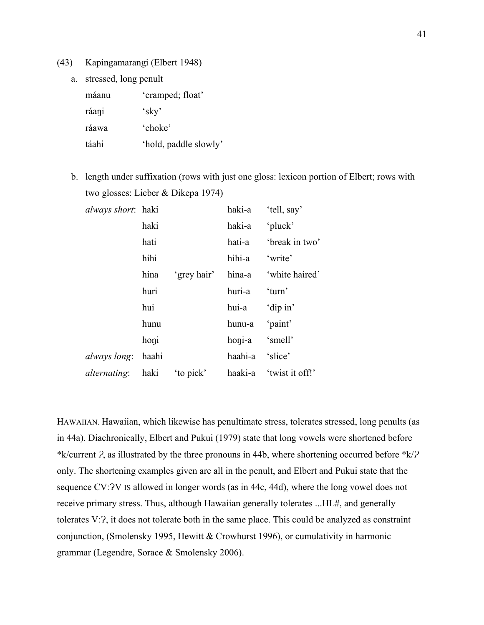- (43) Kapingamarangi (Elbert 1948)
	- a. stressed, long penult

| máanu | 'cramped; float'      |
|-------|-----------------------|
| ráani | $\kappa$ sky'         |
| ráawa | 'choke'               |
| táahi | 'hold, paddle slowly' |

b. length under suffixation (rows with just one gloss: lexicon portion of Elbert; rows with two glosses: Lieber & Dikepa 1974)

| <i>always short</i> : haki |      |             |                 | haki-a 'tell, say'      |
|----------------------------|------|-------------|-----------------|-------------------------|
|                            | haki |             | haki-a          | 'pluck'                 |
|                            | hati |             |                 | hati-a 'break in two'   |
|                            | hihi |             | hihi-a 'write'  |                         |
|                            | hina | 'grey hair' |                 | hina-a 'white haired'   |
|                            | huri |             | huri-a 'turn'   |                         |
|                            | hui  |             | hui-a 'dip in'  |                         |
|                            | hunu |             | hunu-a 'paint'  |                         |
|                            | honi |             | honi-a 'smell'  |                         |
| <i>always long</i> : haahi |      |             | haahi-a 'slice' |                         |
| <i>alternating</i> : haki  |      | to pick'    |                 | haaki-a 'twist it off!' |

HAWAIIAN. Hawaiian, which likewise has penultimate stress, tolerates stressed, long penults (as in 44a). Diachronically, Elbert and Pukui (1979) state that long vowels were shortened before \*k/current *Ɂ*, as illustrated by the three pronouns in 44b, where shortening occurred before \*k/*Ɂ* only. The shortening examples given are all in the penult, and Elbert and Pukui state that the sequence CV:  $2V$  IS allowed in longer words (as in 44c, 44d), where the long vowel does not receive primary stress. Thus, although Hawaiian generally tolerates ...HL#, and generally tolerates V:2, it does not tolerate both in the same place. This could be analyzed as constraint conjunction, (Smolensky 1995, Hewitt & Crowhurst 1996), or cumulativity in harmonic grammar (Legendre, Sorace & Smolensky 2006).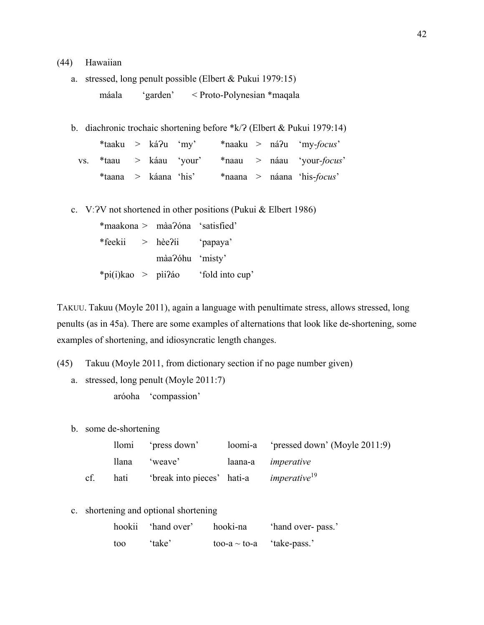## (44) Hawaiian

a. stressed, long penult possible (Elbert & Pukui 1979:15) máala 'garden' < Proto-Polynesian \*maqala

b. diachronic trochaic shortening before  $k/2$  (Elbert & Pukui 1979:14)

| $*$ taaku > ká?u 'my' |  |  |  | $*$ naaku > ná?u 'my- <i>focus</i> '                      |
|-----------------------|--|--|--|-----------------------------------------------------------|
|                       |  |  |  | vs. *taau > káau 'your' *naau > náau 'your- <i>focus'</i> |
| *taana > káana 'his'  |  |  |  | $*$ naana > náana 'his- <i>focus'</i>                     |

c. V:  $2V$  not shortened in other positions (Pukui & Elbert 1986)

\*maakona > màaɁóna 'satisfied' \*feekii > hèeʔíi 'papaya' màa?óhu 'misty' \*pi(i)kao > pìiʔáo 'fold into cup'

TAKUU. Takuu (Moyle 2011), again a language with penultimate stress, allows stressed, long penults (as in 45a). There are some examples of alternations that look like de-shortening, some examples of shortening, and idiosyncratic length changes.

- (45) Takuu (Moyle 2011, from dictionary section if no page number given)
	- a. stressed, long penult (Moyle 2011:7) aróoha 'compassion'
	- b. some de-shortening

|     |      | llomi 'press down'                                         | loomi-a 'pressed down' (Moyle 2011:9) |
|-----|------|------------------------------------------------------------|---------------------------------------|
|     |      | llana 'weave'                                              | laana-a <i>imperative</i>             |
| cf. | hati | 'break into pieces' hati-a <i>imperative</i> <sup>19</sup> |                                       |

c. shortening and optional shortening

|     | hookii 'hand over' | hooki-na          | 'hand over- pass.' |
|-----|--------------------|-------------------|--------------------|
| too | 'take'             | too-a $\sim$ to-a | 'take-pass.'       |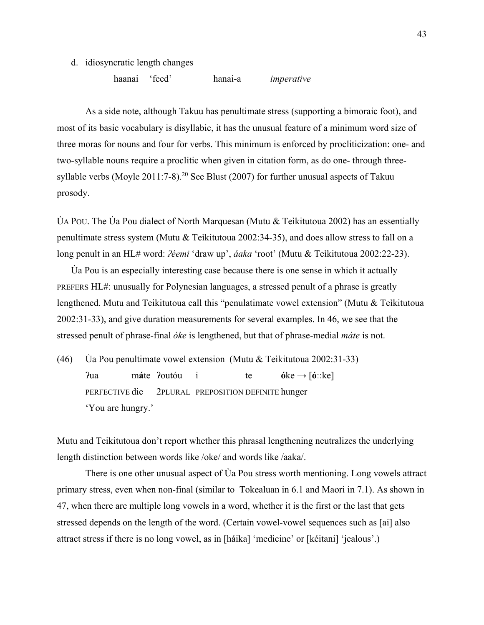- d. idiosyncratic length changes
	- haanai 'feed' hanai-a *imperative*

As a side note, although Takuu has penultimate stress (supporting a bimoraic foot), and most of its basic vocabulary is disyllabic, it has the unusual feature of a minimum word size of three moras for nouns and four for verbs. This minimum is enforced by procliticization: one- and two-syllable nouns require a proclitic when given in citation form, as do one- through threesyllable verbs (Moyle  $2011:7-8$ ).<sup>20</sup> See Blust (2007) for further unusual aspects of Takuu prosody.

ÙA POU. The Ùa Pou dialect of North Marquesan (Mutu & Teìkitutoua 2002) has an essentially penultimate stress system (Mutu & Teìkitutoua 2002:34-35), and does allow stress to fall on a long penult in an HL# word: *ʔéemi* 'draw up', *áaka* 'root' (Mutu & Teìkitutoua 2002:22-23).

Ùa Pou is an especially interesting case because there is one sense in which it actually PREFERS HL#: unusually for Polynesian languages, a stressed penult of a phrase is greatly lengthened. Mutu and Teikitutoua call this "penulatimate vowel extension" (Mutu & Teìkitutoua 2002:31-33), and give duration measurements for several examples. In 46, we see that the stressed penult of phrase-final *óke* is lengthened, but that of phrase-medial *máte* is not.

(46) Ùa Pou penultimate vowel extension (Mutu & Teìkitutoua 2002:31-33) ʔua m**á**te ʔoutóu i te **ó**ke → [**óːː**ke] PERFECTIVE die 2PLURAL PREPOSITION DEFINITE hunger 'You are hungry.'

Mutu and Teikitutoua don't report whether this phrasal lengthening neutralizes the underlying length distinction between words like /oke/ and words like /aaka/.

 There is one other unusual aspect of Ùa Pou stress worth mentioning. Long vowels attract primary stress, even when non-final (similar to Tokealuan in 6.1 and Maori in 7.1). As shown in 47, when there are multiple long vowels in a word, whether it is the first or the last that gets stressed depends on the length of the word. (Certain vowel-vowel sequences such as [ai] also attract stress if there is no long vowel, as in [háika] 'medicine' or [kéitani] 'jealous'.)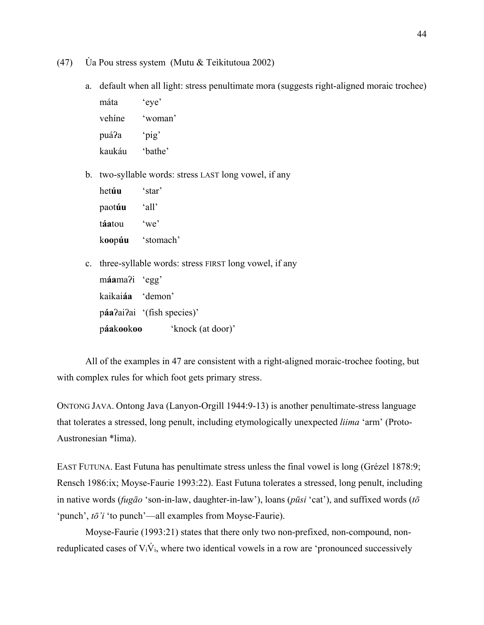- (47) Ùa Pou stress system (Mutu & Teìkitutoua 2002)
	- a. default when all light: stress penultimate mora (suggests right-aligned moraic trochee)

máta 'eye' vehíne 'woman' puáʔa 'pig' kaukáu 'bathe'

b. two-syllable words: stress LAST long vowel, if any

| hetúu  | 'star'                |
|--------|-----------------------|
| paotúu | 'all'                 |
| táatou | $\omega$ <sup>'</sup> |
| koopúu | 'stomach'             |

c. three-syllable words: stress FIRST long vowel, if any máama<sup>?</sup>i 'egg'

| páakookoo               | 'knock (at door)'          |
|-------------------------|----------------------------|
|                         | páa?ai?ai '(fish species)' |
| kaikai <b>áa</b> demon' |                            |
| maxmax                  |                            |

 All of the examples in 47 are consistent with a right-aligned moraic-trochee footing, but with complex rules for which foot gets primary stress.

ONTONG JAVA. Ontong Java (Lanyon-Orgill 1944:9-13) is another penultimate-stress language that tolerates a stressed, long penult, including etymologically unexpected *liima* 'arm' (Proto-Austronesian \*lima).

EAST FUTUNA. East Futuna has penultimate stress unless the final vowel is long (Grézel 1878:9; Rensch 1986:ix; Moyse-Faurie 1993:22). East Futuna tolerates a stressed, long penult, including in native words (*fugāo* 'son-in-law, daughter-in-law'), loans (*pūsi* 'cat'), and suffixed words (*tō* 'punch', *tō'i* 'to punch'—all examples from Moyse-Faurie).

Moyse-Faurie (1993:21) states that there only two non-prefixed, non-compound, nonreduplicated cases of  $V_i\dot{V}_i$ , where two identical vowels in a row are 'pronounced successively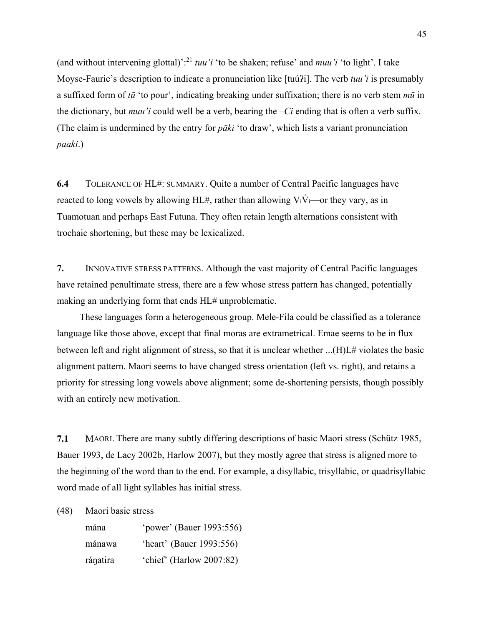(and without intervening glottal)':21 *tuu'i* 'to be shaken; refuse' and *muu'i* 'to light'. I take Moyse-Faurie's description to indicate a pronunciation like [tuú?i]. The verb *tuu'i* is presumably a suffixed form of *tū* 'to pour', indicating breaking under suffixation; there is no verb stem *mū* in the dictionary, but *muu'i* could well be a verb, bearing the *–Ci* ending that is often a verb suffix. (The claim is undermined by the entry for *pāki* 'to draw', which lists a variant pronunciation *paaki*.)

**6.4** TOLERANCE OF HL#: SUMMARY. Quite a number of Central Pacific languages have reacted to long vowels by allowing HL#, rather than allowing  $V_i\dot{V}_i$ —or they vary, as in Tuamotuan and perhaps East Futuna. They often retain length alternations consistent with trochaic shortening, but these may be lexicalized.

**7.** INNOVATIVE STRESS PATTERNS. Although the vast majority of Central Pacific languages have retained penultimate stress, there are a few whose stress pattern has changed, potentially making an underlying form that ends HL# unproblematic.

These languages form a heterogeneous group. Mele-Fila could be classified as a tolerance language like those above, except that final moras are extrametrical. Emae seems to be in flux between left and right alignment of stress, so that it is unclear whether ...(H)L# violates the basic alignment pattern. Maori seems to have changed stress orientation (left vs. right), and retains a priority for stressing long vowels above alignment; some de-shortening persists, though possibly with an entirely new motivation.

**7.1** MAORI. There are many subtly differing descriptions of basic Maori stress (Schütz 1985, Bauer 1993, de Lacy 2002b, Harlow 2007), but they mostly agree that stress is aligned more to the beginning of the word than to the end. For example, a disyllabic, trisyllabic, or quadrisyllabic word made of all light syllables has initial stress.

(48) Maori basic stress

| mána     | 'power' (Bauer 1993:556) |
|----------|--------------------------|
| mánawa   | 'heart' (Bauer 1993:556) |
| ránatira | 'chief' (Harlow 2007:82) |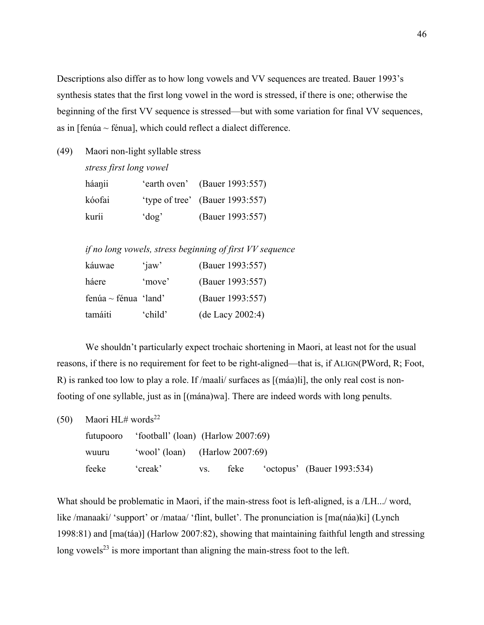Descriptions also differ as to how long vowels and VV sequences are treated. Bauer 1993's synthesis states that the first long vowel in the word is stressed, if there is one; otherwise the beginning of the first VV sequence is stressed—but with some variation for final VV sequences, as in  $[fenúa ~ fénua]$ , which could reflect a dialect difference.

(49) Maori non-light syllable stress

*stress first long vowel* 

| háaŋii |          | 'earth oven' (Bauer 1993:557)   |
|--------|----------|---------------------------------|
| kóofai |          | 'type of tree' (Bauer 1993:557) |
| kuríi  | $'$ dog' | (Bauer 1993:557)                |

*if no long vowels, stress beginning of first VV sequence* 

| káuwae               | $'$ jaw' | (Bauer 1993:557) |
|----------------------|----------|------------------|
| háere                | 'move'   | (Bauer 1993:557) |
| fenúa ~ fénua 'land' |          | (Bauer 1993:557) |
| tamáiti              | 'child'  | (de Lacy 2002:4) |

We shouldn't particularly expect trochaic shortening in Maori, at least not for the usual reasons, if there is no requirement for feet to be right-aligned—that is, if ALIGN(PWord, R; Foot, R) is ranked too low to play a role. If /maali/ surfaces as [(máa)li], the only real cost is nonfooting of one syllable, just as in [(mána)wa]. There are indeed words with long penults.

(50) Maori HL# words<sup>22</sup>

|       | futupooro 'football' (loan) (Harlow 2007:69) |          |      |                            |
|-------|----------------------------------------------|----------|------|----------------------------|
| wuuru | 'wool' (loan) (Harlow $2007:69$ )            |          |      |                            |
| feeke | creak'                                       | $VS_{-}$ | feke | 'octopus' (Bauer 1993:534) |

What should be problematic in Maori, if the main-stress foot is left-aligned, is a /LH.../ word, like /manaaki/ 'support' or /mataa/ 'flint, bullet'. The pronunciation is [ma(náa)ki] (Lynch 1998:81) and [ma(táa)] (Harlow 2007:82), showing that maintaining faithful length and stressing long vowels<sup>23</sup> is more important than aligning the main-stress foot to the left.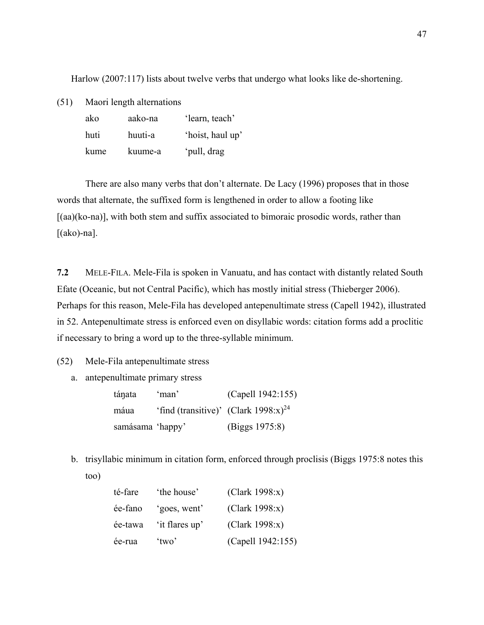Harlow (2007:117) lists about twelve verbs that undergo what looks like de-shortening.

(51) Maori length alternations

| ako  | aako-na | 'learn, teach'   |
|------|---------|------------------|
| huti | huuti-a | 'hoist, haul up' |
| kume | kuume-a | 'pull, drag      |

 There are also many verbs that don't alternate. De Lacy (1996) proposes that in those words that alternate, the suffixed form is lengthened in order to allow a footing like  $[(aa)(ko-na)]$ , with both stem and suffix associated to bimoraic prosodic words, rather than  $[(ako)-na]$ .

**7.2** MELE-FILA. Mele-Fila is spoken in Vanuatu, and has contact with distantly related South Efate (Oceanic, but not Central Pacific), which has mostly initial stress (Thieberger 2006). Perhaps for this reason, Mele-Fila has developed antepenultimate stress (Capell 1942), illustrated in 52. Antepenultimate stress is enforced even on disyllabic words: citation forms add a proclitic if necessary to bring a word up to the three-syllable minimum.

(52) Mele-Fila antepenultimate stress

a. antepenultimate primary stress

| táŋata           | 'man'                                            | (Capell 1942:155) |
|------------------|--------------------------------------------------|-------------------|
| máua             | 'find (transitive)' (Clark 1998:x) <sup>24</sup> |                   |
| samásama 'happy' |                                                  | (Biggs 1975:8)    |

b. trisyllabic minimum in citation form, enforced through proclisis (Biggs 1975:8 notes this

| ×<br>۰.<br>× |
|--------------|
|--------------|

| té-fare | 'the house'    | (Clark 1998:x)    |
|---------|----------------|-------------------|
| ée-fano | 'goes, went'   | (Clark 1998:x)    |
| ée-tawa | 'it flares up' | (Clark 1998:x)    |
| ée-rua  | 'two'          | (Capell 1942:155) |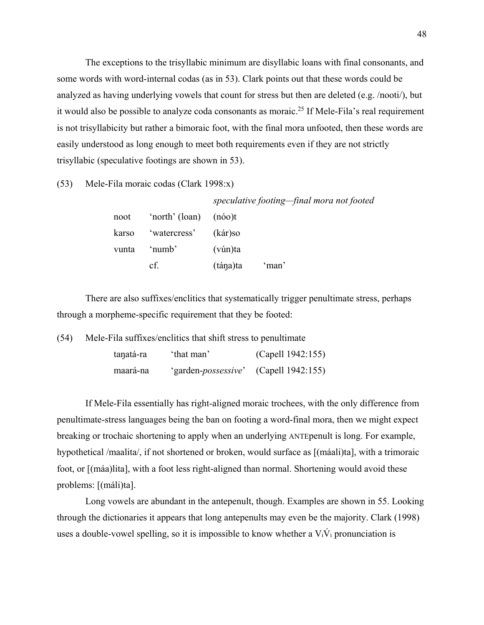The exceptions to the trisyllabic minimum are disyllabic loans with final consonants, and some words with word-internal codas (as in 53). Clark points out that these words could be analyzed as having underlying vowels that count for stress but then are deleted (e.g. /nooti/), but it would also be possible to analyze coda consonants as moraic.<sup>25</sup> If Mele-Fila's real requirement is not trisyllabicity but rather a bimoraic foot, with the final mora unfooted, then these words are easily understood as long enough to meet both requirements even if they are not strictly trisyllabic (speculative footings are shown in 53).

(53) Mele-Fila moraic codas (Clark 1998:x)

|       |                | speculative footing-final mora not footed |
|-------|----------------|-------------------------------------------|
| noot  | 'north' (loan) | (n60)t                                    |
| karso | 'watercress'   | (kár)so                                   |
| vunta | 'numb'         | (vún)ta                                   |
|       | cf.            | 'man'<br>(tána)ta                         |

There are also suffixes/enclitics that systematically trigger penultimate stress, perhaps through a morpheme-specific requirement that they be footed:

(54) Mele-Fila suffixes/enclitics that shift stress to penultimate

| taŋatá-ra | 'that man'                   | (Capell 1942:155) |
|-----------|------------------------------|-------------------|
| maará-na  | 'garden- <i>possessive</i> ' | (Capell 1942:155) |

If Mele-Fila essentially has right-aligned moraic trochees, with the only difference from penultimate-stress languages being the ban on footing a word-final mora, then we might expect breaking or trochaic shortening to apply when an underlying ANTEpenult is long. For example, hypothetical /maalita/, if not shortened or broken, would surface as [(máali)ta], with a trimoraic foot, or [(máa)lita], with a foot less right-aligned than normal. Shortening would avoid these problems: [(máli)ta].

Long vowels are abundant in the antepenult, though. Examples are shown in 55. Looking through the dictionaries it appears that long antepenults may even be the majority. Clark (1998) uses a double-vowel spelling, so it is impossible to know whether a  $V_i\dot{V}_i$  pronunciation is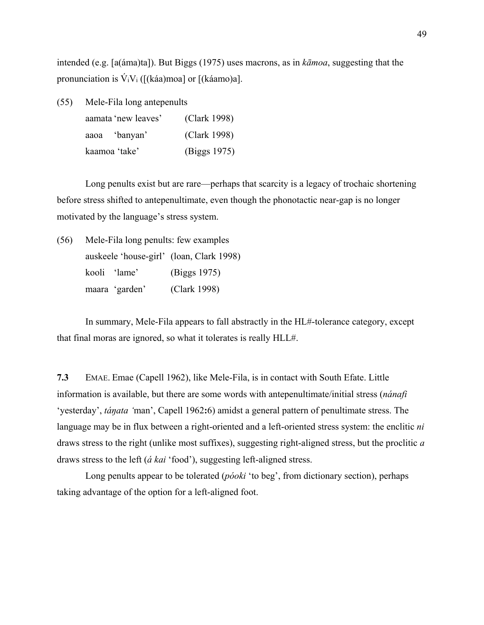intended (e.g. [a(áma)ta]). But Biggs (1975) uses macrons, as in *kāmoa*, suggesting that the pronunciation is  $V_iV_i$  ([(káa)moa] or [(káamo)a].

| (55) | Mele-Fila long antepenults |              |  |  |  |
|------|----------------------------|--------------|--|--|--|
|      | aamata 'new leaves'        | (Clark 1998) |  |  |  |
|      | aaoa 'banyan'              | (Clark 1998) |  |  |  |
|      | kaamoa 'take'              | (Biggs 1975) |  |  |  |

Long penults exist but are rare—perhaps that scarcity is a legacy of trochaic shortening before stress shifted to antepenultimate, even though the phonotactic near-gap is no longer motivated by the language's stress system.

| (56) | Mele-Fila long penults: few examples     |              |
|------|------------------------------------------|--------------|
|      | auskeele 'house-girl' (loan, Clark 1998) |              |
|      | kooli 'lame'                             | (Biggs 1975) |
|      | maara 'garden'                           | (Clark 1998) |

In summary, Mele-Fila appears to fall abstractly in the HL#-tolerance category, except that final moras are ignored, so what it tolerates is really HLL#.

**7.3** EMAE. Emae (Capell 1962), like Mele-Fila, is in contact with South Efate. Little information is available, but there are some words with antepenultimate/initial stress (*nánafi* 'yesterday', *táŋata '*man', Capell 1962**:**6) amidst a general pattern of penultimate stress. The language may be in flux between a right-oriented and a left-oriented stress system: the enclitic *ni* draws stress to the right (unlike most suffixes), suggesting right-aligned stress, but the proclitic *a* draws stress to the left (*á kai* 'food'), suggesting left-aligned stress.

 Long penults appear to be tolerated (*póoki* 'to beg', from dictionary section), perhaps taking advantage of the option for a left-aligned foot.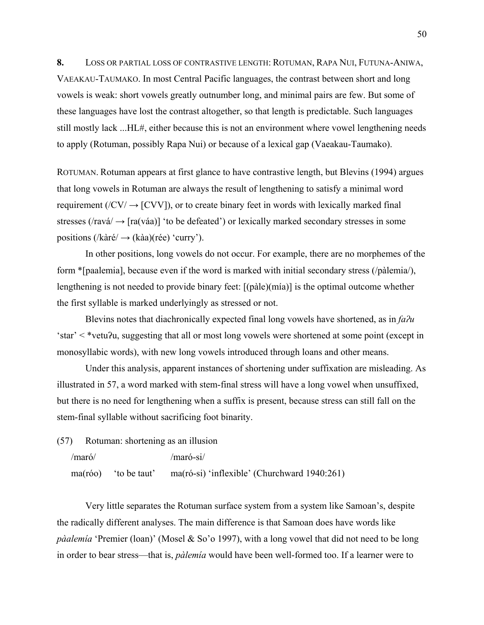**8.** LOSS OR PARTIAL LOSS OF CONTRASTIVE LENGTH: ROTUMAN, RAPA NUI, FUTUNA-ANIWA, VAEAKAU-TAUMAKO. In most Central Pacific languages, the contrast between short and long vowels is weak: short vowels greatly outnumber long, and minimal pairs are few. But some of these languages have lost the contrast altogether, so that length is predictable. Such languages still mostly lack ...HL#, either because this is not an environment where vowel lengthening needs to apply (Rotuman, possibly Rapa Nui) or because of a lexical gap (Vaeakau-Taumako).

ROTUMAN. Rotuman appears at first glance to have contrastive length, but Blevins (1994) argues that long vowels in Rotuman are always the result of lengthening to satisfy a minimal word requirement ( $\angle$ CV $\angle$   $\rightarrow$  [CVV]), or to create binary feet in words with lexically marked final stresses ( $\forall$ ravá $\rightarrow$  [ra(váa)] 'to be defeated') or lexically marked secondary stresses in some positions ( $/$ kàré $/$   $\rightarrow$  (kàa)(rée) 'curry').

In other positions, long vowels do not occur. For example, there are no morphemes of the form \*[paalemia], because even if the word is marked with initial secondary stress (/pàlemia/), lengthening is not needed to provide binary feet: [(pàle)(mía)] is the optimal outcome whether the first syllable is marked underlyingly as stressed or not.

Blevins notes that diachronically expected final long vowels have shortened, as in *faʔu* 'star' < \*vetuʔu, suggesting that all or most long vowels were shortened at some point (except in monosyllabic words), with new long vowels introduced through loans and other means.

 Under this analysis, apparent instances of shortening under suffixation are misleading. As illustrated in 57, a word marked with stem-final stress will have a long vowel when unsuffixed, but there is no need for lengthening when a suffix is present, because stress can still fall on the stem-final syllable without sacrificing foot binarity.

(57) Rotuman: shortening as an illusion

```
/maró/ /maró-si/
```
ma(róo) 'to be taut' ma(ró-si) 'inflexible' (Churchward 1940:261)

 Very little separates the Rotuman surface system from a system like Samoan's, despite the radically different analyses. The main difference is that Samoan does have words like *pàalemía* 'Premier (loan)' (Mosel & So'o 1997), with a long vowel that did not need to be long in order to bear stress—that is, *pàlemía* would have been well-formed too. If a learner were to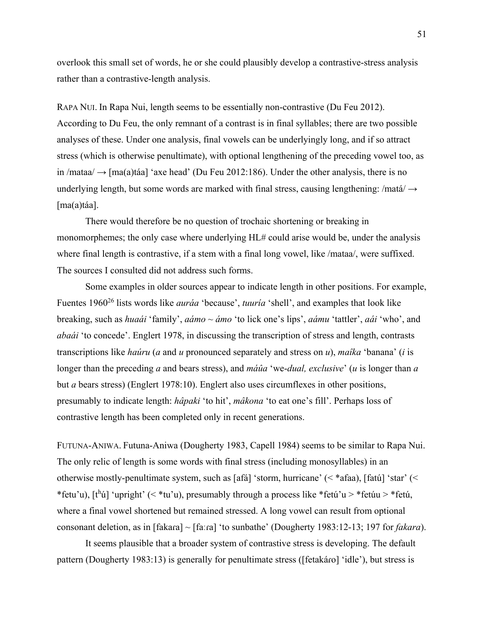overlook this small set of words, he or she could plausibly develop a contrastive-stress analysis rather than a contrastive-length analysis.

RAPA NUI. In Rapa Nui, length seems to be essentially non-contrastive (Du Feu 2012). According to Du Feu, the only remnant of a contrast is in final syllables; there are two possible analyses of these. Under one analysis, final vowels can be underlyingly long, and if so attract stress (which is otherwise penultimate), with optional lengthening of the preceding vowel too, as in /mataa/  $\rightarrow$  [ma(a)táa] 'axe head' (Du Feu 2012:186). Under the other analysis, there is no underlying length, but some words are marked with final stress, causing lengthening: /matá/  $\rightarrow$ [ma(a)táa].

There would therefore be no question of trochaic shortening or breaking in monomorphemes; the only case where underlying HL# could arise would be, under the analysis where final length is contrastive, if a stem with a final long vowel, like /mataa/, were suffixed. The sources I consulted did not address such forms.

Some examples in older sources appear to indicate length in other positions. For example, Fuentes 196026 lists words like *auráa* 'because', *tuuría* 'shell', and examples that look like breaking, such as *huaái* 'family', *aámo ~ ámo* 'to lick one's lips', *aámu* 'tattler', *aái* 'who', and *abaái* 'to concede'. Englert 1978, in discussing the transcription of stress and length, contrasts transcriptions like *haúru* (*a* and *u* pronounced separately and stress on *u*), *maîka* 'banana' (*i* is longer than the preceding *a* and bears stress), and *máûa* 'we-*dual, exclusive*' (*u* is longer than *a* but *a* bears stress) (Englert 1978:10). Englert also uses circumflexes in other positions, presumably to indicate length: *hâpaki* 'to hit', *mâkona* 'to eat one's fill'. Perhaps loss of contrastive length has been completed only in recent generations.

FUTUNA-ANIWA. Futuna-Aniwa (Dougherty 1983, Capell 1984) seems to be similar to Rapa Nui. The only relic of length is some words with final stress (including monosyllables) in an otherwise mostly-penultimate system, such as [afá] 'storm, hurricane' (< \*afaa), [fatú] 'star' (< \*fetu'u),  $[t<sup>h</sup>ú]$  'upright' (< \*tu'u), presumably through a process like \*fetú'u > \*fetúu > \*fetú, where a final vowel shortened but remained stressed. A long vowel can result from optional consonant deletion, as in [fakaɾa] ~ [faːɾa] 'to sunbathe' (Dougherty 1983:12-13; 197 for *fakara*).

 It seems plausible that a broader system of contrastive stress is developing. The default pattern (Dougherty 1983:13) is generally for penultimate stress ([fetakáro] 'idle'), but stress is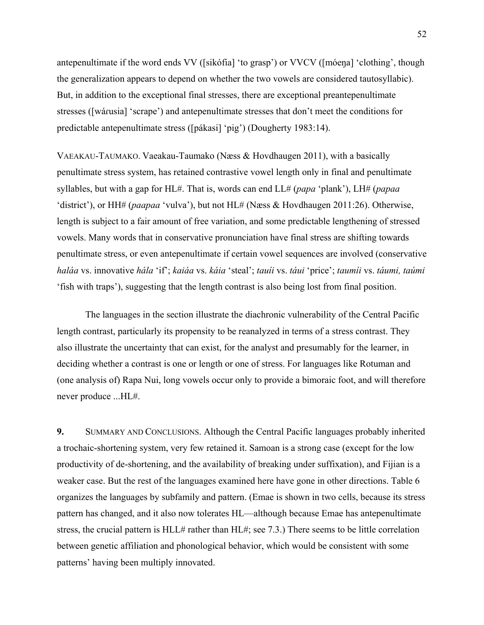antepenultimate if the word ends VV ([sikófia] 'to grasp') or VVCV ([móeŋa] 'clothing', though the generalization appears to depend on whether the two vowels are considered tautosyllabic). But, in addition to the exceptional final stresses, there are exceptional preantepenultimate stresses ([wáɾusia] 'scrape') and antepenultimate stresses that don't meet the conditions for predictable antepenultimate stress ([pákasi] 'pig') (Dougherty 1983:14).

VAEAKAU-TAUMAKO. Vaeakau-Taumako (Næss & Hovdhaugen 2011), with a basically penultimate stress system, has retained contrastive vowel length only in final and penultimate syllables, but with a gap for HL#. That is, words can end LL# (*papa* 'plank'), LH# (*papaa* 'district'), or HH# (*paapaa* 'vulva'), but not HL# (Næss & Hovdhaugen 2011:26). Otherwise, length is subject to a fair amount of free variation, and some predictable lengthening of stressed vowels. Many words that in conservative pronunciation have final stress are shifting towards penultimate stress, or even antepenultimate if certain vowel sequences are involved (conservative *haláa* vs. innovative *hála* 'if'; *kaiáa* vs. *káia* 'steal'; *tauíi* vs. *táui* 'price'; *taumíi* vs. *táumi, taúmi* 'fish with traps'), suggesting that the length contrast is also being lost from final position.

 The languages in the section illustrate the diachronic vulnerability of the Central Pacific length contrast, particularly its propensity to be reanalyzed in terms of a stress contrast. They also illustrate the uncertainty that can exist, for the analyst and presumably for the learner, in deciding whether a contrast is one or length or one of stress. For languages like Rotuman and (one analysis of) Rapa Nui, long vowels occur only to provide a bimoraic foot, and will therefore never produce ...HL#.

**9.** SUMMARY AND CONCLUSIONS. Although the Central Pacific languages probably inherited a trochaic-shortening system, very few retained it. Samoan is a strong case (except for the low productivity of de-shortening, and the availability of breaking under suffixation), and Fijian is a weaker case. But the rest of the languages examined here have gone in other directions. Table 6 organizes the languages by subfamily and pattern. (Emae is shown in two cells, because its stress pattern has changed, and it also now tolerates HL—although because Emae has antepenultimate stress, the crucial pattern is HLL# rather than HL#; see 7.3.) There seems to be little correlation between genetic affiliation and phonological behavior, which would be consistent with some patterns' having been multiply innovated.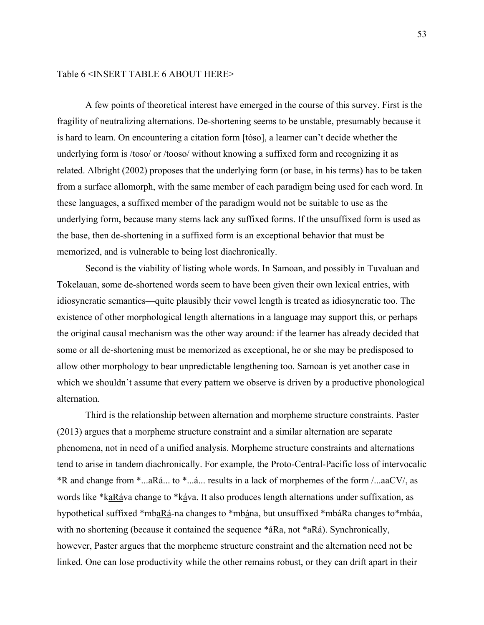## Table 6 <INSERT TABLE 6 ABOUT HERE>

 A few points of theoretical interest have emerged in the course of this survey. First is the fragility of neutralizing alternations. De-shortening seems to be unstable, presumably because it is hard to learn. On encountering a citation form [tóso], a learner can't decide whether the underlying form is /toso/ or /tooso/ without knowing a suffixed form and recognizing it as related. Albright (2002) proposes that the underlying form (or base, in his terms) has to be taken from a surface allomorph, with the same member of each paradigm being used for each word. In these languages, a suffixed member of the paradigm would not be suitable to use as the underlying form, because many stems lack any suffixed forms. If the unsuffixed form is used as the base, then de-shortening in a suffixed form is an exceptional behavior that must be memorized, and is vulnerable to being lost diachronically.

 Second is the viability of listing whole words. In Samoan, and possibly in Tuvaluan and Tokelauan, some de-shortened words seem to have been given their own lexical entries, with idiosyncratic semantics—quite plausibly their vowel length is treated as idiosyncratic too. The existence of other morphological length alternations in a language may support this, or perhaps the original causal mechanism was the other way around: if the learner has already decided that some or all de-shortening must be memorized as exceptional, he or she may be predisposed to allow other morphology to bear unpredictable lengthening too. Samoan is yet another case in which we shouldn't assume that every pattern we observe is driven by a productive phonological alternation.

 Third is the relationship between alternation and morpheme structure constraints. Paster (2013) argues that a morpheme structure constraint and a similar alternation are separate phenomena, not in need of a unified analysis. Morpheme structure constraints and alternations tend to arise in tandem diachronically. For example, the Proto-Central-Pacific loss of intervocalic \*R and change from \*...aRá... to \*...á... results in a lack of morphemes of the form /...aaCV/, as words like \*kaRáva change to \*káva. It also produces length alternations under suffixation, as hypothetical suffixed \*mbaRá-na changes to \*mbána, but unsuffixed \*mbáRa changes to \*mbáa, with no shortening (because it contained the sequence \*áRa, not \*aRá). Synchronically, however, Paster argues that the morpheme structure constraint and the alternation need not be linked. One can lose productivity while the other remains robust, or they can drift apart in their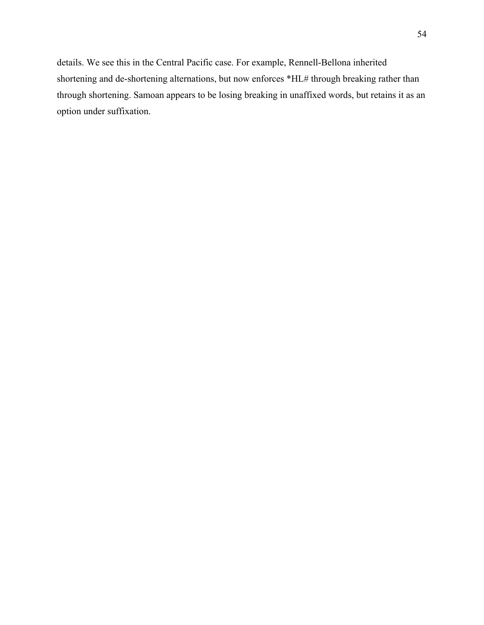details. We see this in the Central Pacific case. For example, Rennell-Bellona inherited shortening and de-shortening alternations, but now enforces \*HL# through breaking rather than through shortening. Samoan appears to be losing breaking in unaffixed words, but retains it as an option under suffixation.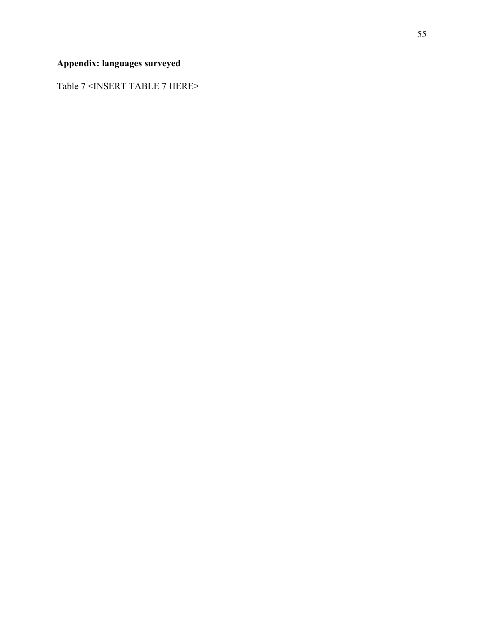## **Appendix: languages surveyed**

Table 7 <INSERT TABLE 7 HERE>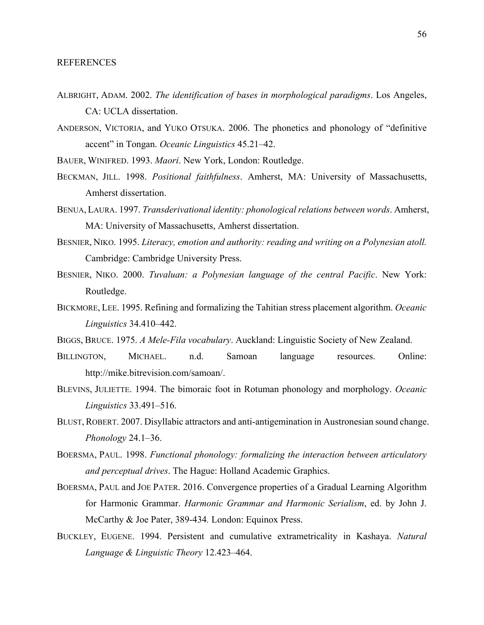- ALBRIGHT, ADAM. 2002. *The identification of bases in morphological paradigms*. Los Angeles, CA: UCLA dissertation.
- ANDERSON, VICTORIA, and YUKO OTSUKA. 2006. The phonetics and phonology of "definitive accent" in Tongan. *Oceanic Linguistics* 45.21–42.
- BAUER, WINIFRED. 1993. *Maori*. New York, London: Routledge.
- BECKMAN, JILL. 1998. *Positional faithfulness*. Amherst, MA: University of Massachusetts, Amherst dissertation.
- BENUA, LAURA. 1997. *Transderivational identity: phonological relations between words*. Amherst, MA: University of Massachusetts, Amherst dissertation.
- BESNIER, NIKO. 1995. *Literacy, emotion and authority: reading and writing on a Polynesian atoll.* Cambridge: Cambridge University Press.
- BESNIER, NIKO. 2000. *Tuvaluan: a Polynesian language of the central Pacific*. New York: Routledge.
- BICKMORE, LEE. 1995. Refining and formalizing the Tahitian stress placement algorithm. *Oceanic Linguistics* 34.410–442.
- BIGGS, BRUCE. 1975. *A Mele-Fila vocabulary*. Auckland: Linguistic Society of New Zealand.
- BILLINGTON, MICHAEL. n.d. Samoan language resources. Online: http://mike.bitrevision.com/samoan/.
- BLEVINS, JULIETTE. 1994. The bimoraic foot in Rotuman phonology and morphology. *Oceanic Linguistics* 33.491–516.
- BLUST, ROBERT. 2007. Disyllabic attractors and anti-antigemination in Austronesian sound change. *Phonology* 24.1–36.
- BOERSMA, PAUL. 1998. *Functional phonology: formalizing the interaction between articulatory and perceptual drives*. The Hague: Holland Academic Graphics.
- BOERSMA, PAUL and JOE PATER. 2016. Convergence properties of a Gradual Learning Algorithm for Harmonic Grammar. *Harmonic Grammar and Harmonic Serialism*, ed. by John J. McCarthy & Joe Pater, 389-434*.* London: Equinox Press.
- BUCKLEY, EUGENE. 1994. Persistent and cumulative extrametricality in Kashaya. *Natural Language & Linguistic Theory* 12.423–464.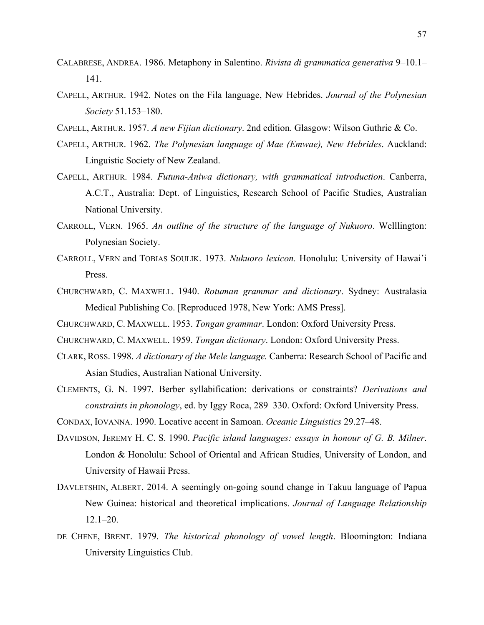- CALABRESE, ANDREA. 1986. Metaphony in Salentino. *Rivista di grammatica generativa* 9–10.1– 141.
- CAPELL, ARTHUR. 1942. Notes on the Fila language, New Hebrides. *Journal of the Polynesian Society* 51.153–180.
- CAPELL, ARTHUR. 1957. *A new Fijian dictionary*. 2nd edition. Glasgow: Wilson Guthrie & Co.
- CAPELL, ARTHUR. 1962. *The Polynesian language of Mae (Emwae), New Hebrides*. Auckland: Linguistic Society of New Zealand.
- CAPELL, ARTHUR. 1984. *Futuna-Aniwa dictionary, with grammatical introduction*. Canberra, A.C.T., Australia: Dept. of Linguistics, Research School of Pacific Studies, Australian National University.
- CARROLL, VERN. 1965. *An outline of the structure of the language of Nukuoro*. Welllington: Polynesian Society.
- CARROLL, VERN and TOBIAS SOULIK. 1973. *Nukuoro lexicon.* Honolulu: University of Hawai'i Press.
- CHURCHWARD, C. MAXWELL. 1940. *Rotuman grammar and dictionary*. Sydney: Australasia Medical Publishing Co. [Reproduced 1978, New York: AMS Press].
- CHURCHWARD, C. MAXWELL. 1953. *Tongan grammar*. London: Oxford University Press.
- CHURCHWARD, C. MAXWELL. 1959. *Tongan dictionary*. London: Oxford University Press.
- CLARK, ROSS. 1998. *A dictionary of the Mele language.* Canberra: Research School of Pacific and Asian Studies, Australian National University.
- CLEMENTS, G. N. 1997. Berber syllabification: derivations or constraints? *Derivations and constraints in phonology*, ed. by Iggy Roca, 289–330. Oxford: Oxford University Press.
- CONDAX, IOVANNA. 1990. Locative accent in Samoan. *Oceanic Linguistics* 29.27–48.
- DAVIDSON, JEREMY H. C. S. 1990. *Pacific island languages: essays in honour of G. B. Milner*. London & Honolulu: School of Oriental and African Studies, University of London, and University of Hawaii Press.
- DAVLETSHIN, ALBERT. 2014. A seemingly on-going sound change in Takuu language of Papua New Guinea: historical and theoretical implications. *Journal of Language Relationship*  $12.1 - 20.$
- DE CHENE, BRENT. 1979. *The historical phonology of vowel length*. Bloomington: Indiana University Linguistics Club.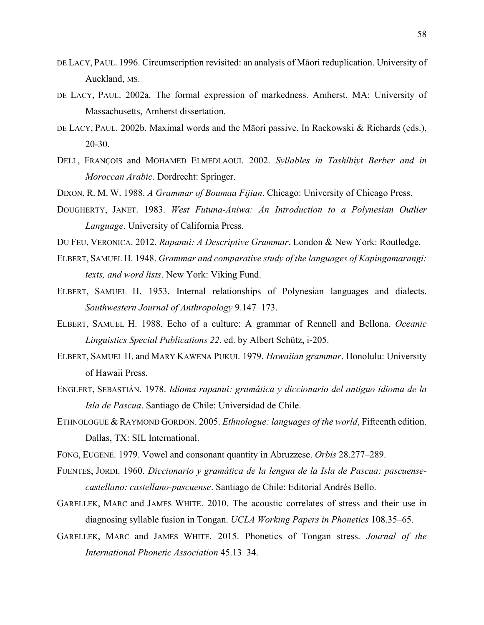- DE LACY, PAUL. 1996. Circumscription revisited: an analysis of Māori reduplication. University of Auckland, MS.
- DE LACY, PAUL. 2002a. The formal expression of markedness. Amherst, MA: University of Massachusetts, Amherst dissertation.
- DE LACY, PAUL. 2002b. Maximal words and the Māori passive. In Rackowski & Richards (eds.), 20-30.
- DELL, FRANÇOIS and MOHAMED ELMEDLAOUI. 2002. *Syllables in Tashlhiyt Berber and in Moroccan Arabic*. Dordrecht: Springer.
- DIXON, R. M. W. 1988. *A Grammar of Boumaa Fijian*. Chicago: University of Chicago Press.
- DOUGHERTY, JANET. 1983. *West Futuna-Aniwa: An Introduction to a Polynesian Outlier Language*. University of California Press.
- DU FEU, VERONICA. 2012. *Rapanui: A Descriptive Grammar*. London & New York: Routledge.
- ELBERT, SAMUEL H. 1948. *Grammar and comparative study of the languages of Kapingamarangi: texts, and word lists*. New York: Viking Fund.
- ELBERT, SAMUEL H. 1953. Internal relationships of Polynesian languages and dialects. *Southwestern Journal of Anthropology* 9.147–173.
- ELBERT, SAMUEL H. 1988. Echo of a culture: A grammar of Rennell and Bellona. *Oceanic Linguistics Special Publications 22*, ed. by Albert Schütz, i-205.
- ELBERT, SAMUEL H. and MARY KAWENA PUKUI. 1979. *Hawaiian grammar*. Honolulu: University of Hawaii Press.
- ENGLERT, SEBASTIÁN. 1978. *Idioma rapanui: gramática y diccionario del antiguo idioma de la Isla de Pascua*. Santiago de Chile: Universidad de Chile.
- ETHNOLOGUE & RAYMOND GORDON. 2005. *Ethnologue: languages of the world*, Fifteenth edition. Dallas, TX: SIL International.
- FONG, EUGENE. 1979. Vowel and consonant quantity in Abruzzese. *Orbis* 28.277–289.
- FUENTES, JORDI. 1960. *Diccionario y gramática de la lengua de la Isla de Pascua: pascuensecastellano: castellano-pascuense*. Santiago de Chile: Editorial Andrés Bello.
- GARELLEK, MARC and JAMES WHITE. 2010. The acoustic correlates of stress and their use in diagnosing syllable fusion in Tongan. *UCLA Working Papers in Phonetics* 108.35–65.
- GARELLEK, MARC and JAMES WHITE. 2015. Phonetics of Tongan stress. *Journal of the International Phonetic Association* 45.13–34.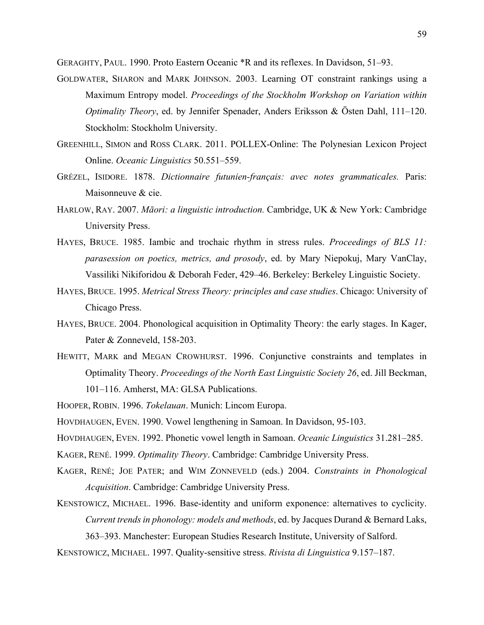GERAGHTY, PAUL. 1990. Proto Eastern Oceanic \*R and its reflexes. In Davidson, 51–93.

- GOLDWATER, SHARON and MARK JOHNSON. 2003. Learning OT constraint rankings using a Maximum Entropy model. *Proceedings of the Stockholm Workshop on Variation within Optimality Theory*, ed. by Jennifer Spenader, Anders Eriksson & Östen Dahl, 111–120. Stockholm: Stockholm University.
- GREENHILL, SIMON and ROSS CLARK. 2011. POLLEX-Online: The Polynesian Lexicon Project Online. *Oceanic Linguistics* 50.551–559.
- GRÉZEL, ISIDORE. 1878. *Dictionnaire futunien-français: avec notes grammaticales.* Paris: Maisonneuve & cie.
- HARLOW, RAY. 2007. *Māori: a linguistic introduction.* Cambridge, UK & New York: Cambridge University Press.
- HAYES, BRUCE. 1985. Iambic and trochaic rhythm in stress rules. *Proceedings of BLS 11: parasession on poetics, metrics, and prosody*, ed. by Mary Niepokuj, Mary VanClay, Vassiliki Nikiforidou & Deborah Feder, 429–46. Berkeley: Berkeley Linguistic Society.
- HAYES, BRUCE. 1995. *Metrical Stress Theory: principles and case studies*. Chicago: University of Chicago Press.
- HAYES, BRUCE. 2004. Phonological acquisition in Optimality Theory: the early stages. In Kager, Pater & Zonneveld, 158-203.
- HEWITT, MARK and MEGAN CROWHURST. 1996. Conjunctive constraints and templates in Optimality Theory. *Proceedings of the North East Linguistic Society 26*, ed. Jill Beckman, 101–116. Amherst, MA: GLSA Publications.
- HOOPER, ROBIN. 1996. *Tokelauan*. Munich: Lincom Europa.
- HOVDHAUGEN, EVEN. 1990. Vowel lengthening in Samoan. In Davidson, 95-103.

HOVDHAUGEN, EVEN. 1992. Phonetic vowel length in Samoan. *Oceanic Linguistics* 31.281–285.

- KAGER, RENÉ. 1999. *Optimality Theory*. Cambridge: Cambridge University Press.
- KAGER, RENÉ; JOE PATER; and WIM ZONNEVELD (eds.) 2004. *Constraints in Phonological Acquisition*. Cambridge: Cambridge University Press.
- KENSTOWICZ, MICHAEL. 1996. Base-identity and uniform exponence: alternatives to cyclicity. *Current trends in phonology: models and methods*, ed. by Jacques Durand & Bernard Laks, 363–393. Manchester: European Studies Research Institute, University of Salford.
- KENSTOWICZ, MICHAEL. 1997. Quality-sensitive stress. *Rivista di Linguistica* 9.157–187.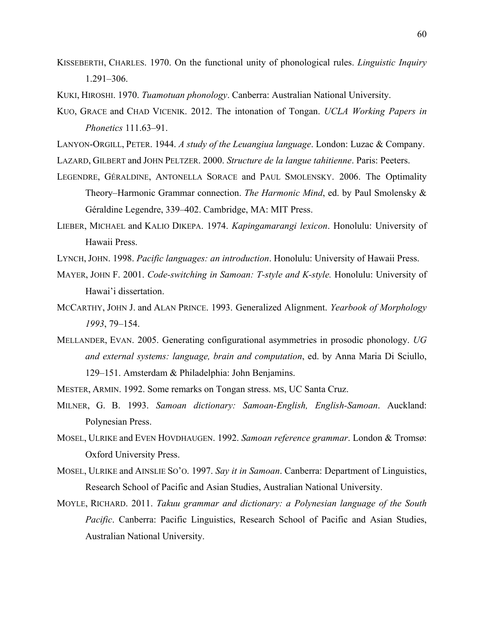- KISSEBERTH, CHARLES. 1970. On the functional unity of phonological rules. *Linguistic Inquiry* 1.291–306.
- KUKI, HIROSHI. 1970. *Tuamotuan phonology*. Canberra: Australian National University.
- KUO, GRACE and CHAD VICENIK. 2012. The intonation of Tongan. *UCLA Working Papers in Phonetics* 111.63–91.
- LANYON-ORGILL, PETER. 1944. *A study of the Leuangiua language*. London: Luzac & Company.
- LAZARD, GILBERT and JOHN PELTZER. 2000. *Structure de la langue tahitienne*. Paris: Peeters.
- LEGENDRE, GÉRALDINE, ANTONELLA SORACE and PAUL SMOLENSKY. 2006. The Optimality Theory–Harmonic Grammar connection. *The Harmonic Mind*, ed. by Paul Smolensky & Géraldine Legendre, 339–402. Cambridge, MA: MIT Press.
- LIEBER, MICHAEL and KALIO DIKEPA. 1974. *Kapingamarangi lexicon*. Honolulu: University of Hawaii Press.
- LYNCH, JOHN. 1998. *Pacific languages: an introduction*. Honolulu: University of Hawaii Press.
- MAYER, JOHN F. 2001. *Code-switching in Samoan: T-style and K-style.* Honolulu: University of Hawai'i dissertation.
- MCCARTHY, JOHN J. and ALAN PRINCE. 1993. Generalized Alignment. *Yearbook of Morphology 1993*, 79–154.
- MELLANDER, EVAN. 2005. Generating configurational asymmetries in prosodic phonology. *UG and external systems: language, brain and computation*, ed. by Anna Maria Di Sciullo, 129–151. Amsterdam & Philadelphia: John Benjamins.
- MESTER, ARMIN. 1992. Some remarks on Tongan stress. MS, UC Santa Cruz.
- MILNER, G. B. 1993. *Samoan dictionary: Samoan-English, English-Samoan*. Auckland: Polynesian Press.
- MOSEL, ULRIKE and EVEN HOVDHAUGEN. 1992. *Samoan reference grammar*. London & Tromsø: Oxford University Press.
- MOSEL, ULRIKE and AINSLIE SO'O. 1997. *Say it in Samoan*. Canberra: Department of Linguistics, Research School of Pacific and Asian Studies, Australian National University.
- MOYLE, RICHARD. 2011. *Takuu grammar and dictionary: a Polynesian language of the South Pacific*. Canberra: Pacific Linguistics, Research School of Pacific and Asian Studies, Australian National University.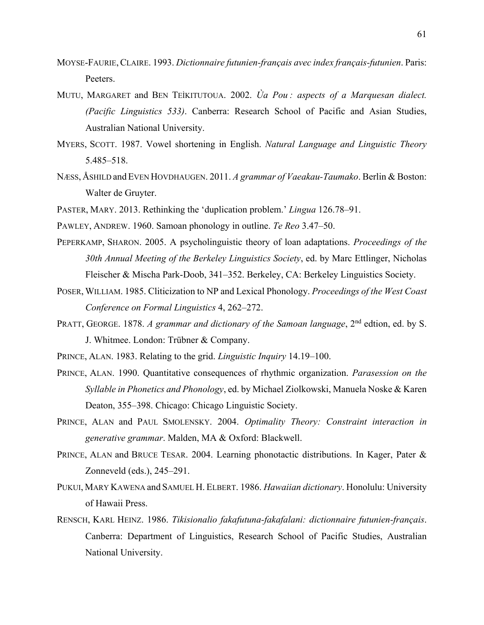- MOYSE-FAURIE,CLAIRE. 1993. *Dictionnaire futunien-français avec index français-futunien*. Paris: Peeters.
- MUTU, MARGARET and BEN TEIKITUTOUA. 2002. *Ua Pou: aspects of a Marquesan dialect. (Pacific Linguistics 533)*. Canberra: Research School of Pacific and Asian Studies, Australian National University.
- MYERS, SCOTT. 1987. Vowel shortening in English. *Natural Language and Linguistic Theory* 5.485–518.
- NÆSS, ÅSHILD andEVEN HOVDHAUGEN. 2011. *A grammar of Vaeakau-Taumako*. Berlin & Boston: Walter de Gruyter.
- PASTER, MARY. 2013. Rethinking the 'duplication problem.' *Lingua* 126.78–91.
- PAWLEY, ANDREW. 1960. Samoan phonology in outline. *Te Reo* 3.47–50.
- PEPERKAMP, SHARON. 2005. A psycholinguistic theory of loan adaptations. *Proceedings of the 30th Annual Meeting of the Berkeley Linguistics Society*, ed. by Marc Ettlinger, Nicholas Fleischer & Mischa Park-Doob, 341–352. Berkeley, CA: Berkeley Linguistics Society.
- POSER, WILLIAM. 1985. Cliticization to NP and Lexical Phonology. *Proceedings of the West Coast Conference on Formal Linguistics* 4, 262–272.
- PRATT, GEORGE. 1878. *A grammar and dictionary of the Samoan language*, 2<sup>nd</sup> edtion, ed. by S. J. Whitmee. London: Trübner & Company.
- PRINCE, ALAN. 1983. Relating to the grid. *Linguistic Inquiry* 14.19–100.
- PRINCE, ALAN. 1990. Quantitative consequences of rhythmic organization. *Parasession on the Syllable in Phonetics and Phonology*, ed. by Michael Ziolkowski, Manuela Noske & Karen Deaton, 355–398. Chicago: Chicago Linguistic Society.
- PRINCE, ALAN and PAUL SMOLENSKY. 2004. *Optimality Theory: Constraint interaction in generative grammar*. Malden, MA & Oxford: Blackwell.
- PRINCE, ALAN and BRUCE TESAR. 2004. Learning phonotactic distributions. In Kager, Pater & Zonneveld (eds.), 245–291.
- PUKUI, MARY KAWENA and SAMUEL H. ELBERT. 1986. *Hawaiian dictionary*. Honolulu: University of Hawaii Press.
- RENSCH, KARL HEINZ. 1986. *Tikisionalio fakafutuna-fakafalani: dictionnaire futunien-français*. Canberra: Department of Linguistics, Research School of Pacific Studies, Australian National University.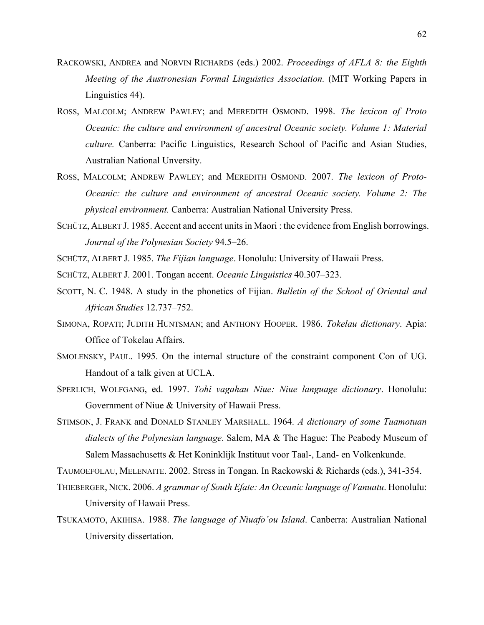- RACKOWSKI, ANDREA and NORVIN RICHARDS (eds.) 2002. *Proceedings of AFLA 8: the Eighth Meeting of the Austronesian Formal Linguistics Association.* (MIT Working Papers in Linguistics 44).
- ROSS, MALCOLM; ANDREW PAWLEY; and MEREDITH OSMOND. 1998. *The lexicon of Proto Oceanic: the culture and environment of ancestral Oceanic society. Volume 1: Material culture.* Canberra: Pacific Linguistics, Research School of Pacific and Asian Studies, Australian National Unversity.
- ROSS, MALCOLM; ANDREW PAWLEY; and MEREDITH OSMOND. 2007. *The lexicon of Proto-Oceanic: the culture and environment of ancestral Oceanic society. Volume 2: The physical environment.* Canberra: Australian National University Press.
- SCHÜTZ, ALBERT J. 1985. Accent and accent units in Maori : the evidence from English borrowings. *Journal of the Polynesian Society* 94.5–26.
- SCHÜTZ, ALBERT J. 1985. *The Fijian language*. Honolulu: University of Hawaii Press.
- SCHÜTZ, ALBERT J. 2001. Tongan accent. *Oceanic Linguistics* 40.307–323.
- SCOTT, N. C. 1948. A study in the phonetics of Fijian. *Bulletin of the School of Oriental and African Studies* 12.737–752.
- SIMONA, ROPATI; JUDITH HUNTSMAN; and ANTHONY HOOPER. 1986. *Tokelau dictionary*. Apia: Office of Tokelau Affairs.
- SMOLENSKY, PAUL. 1995. On the internal structure of the constraint component Con of UG. Handout of a talk given at UCLA.
- SPERLICH, WOLFGANG, ed. 1997. *Tohi vagahau Niue: Niue language dictionary*. Honolulu: Government of Niue & University of Hawaii Press.
- STIMSON, J. FRANK and DONALD STANLEY MARSHALL. 1964. *A dictionary of some Tuamotuan dialects of the Polynesian language*. Salem, MA & The Hague: The Peabody Museum of Salem Massachusetts & Het Koninklijk Instituut voor Taal-, Land- en Volkenkunde.

TAUMOEFOLAU, MELENAITE. 2002. Stress in Tongan. In Rackowski & Richards (eds.), 341-354.

- THIEBERGER, NICK. 2006. *A grammar of South Efate: An Oceanic language of Vanuatu*. Honolulu: University of Hawaii Press.
- TSUKAMOTO, AKIHISA. 1988. *The language of Niuafo'ou Island*. Canberra: Australian National University dissertation.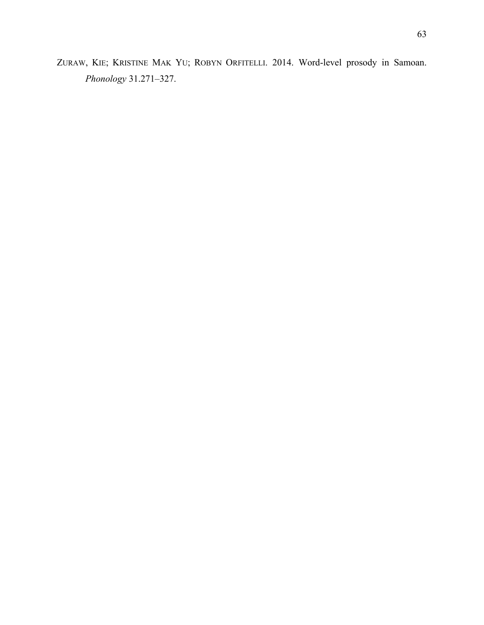ZURAW, KIE; KRISTINE MAK YU; ROBYN ORFITELLI. 2014. Word-level prosody in Samoan. *Phonology* 31.271–327.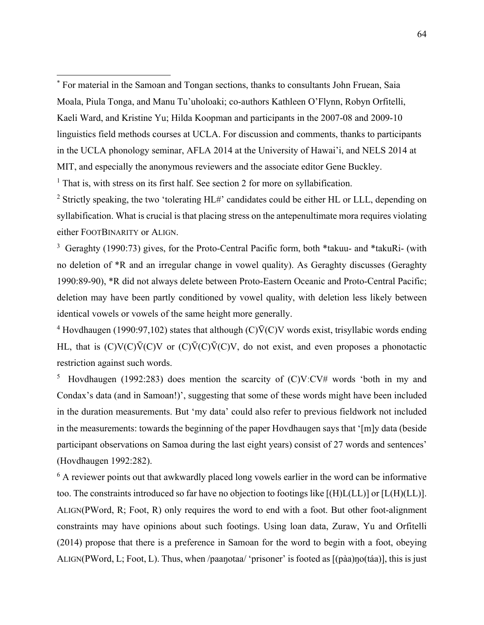\* For material in the Samoan and Tongan sections, thanks to consultants John Fruean, Saia Moala, Piula Tonga, and Manu Tu'uholoaki; co-authors Kathleen O'Flynn, Robyn Orfitelli, Kaeli Ward, and Kristine Yu; Hilda Koopman and participants in the 2007-08 and 2009-10 linguistics field methods courses at UCLA. For discussion and comments, thanks to participants in the UCLA phonology seminar, AFLA 2014 at the University of Hawai'i, and NELS 2014 at MIT, and especially the anonymous reviewers and the associate editor Gene Buckley.

<sup>1</sup> That is, with stress on its first half. See section 2 for more on syllabification.

 $\overline{a}$ 

<sup>2</sup> Strictly speaking, the two 'tolerating  $HL#$ ' candidates could be either HL or LLL, depending on syllabification. What is crucial is that placing stress on the antepenultimate mora requires violating either FOOTBINARITY or ALIGN.

<sup>3</sup> Geraghty (1990:73) gives, for the Proto-Central Pacific form, both \*takuu- and \*takuRi- (with no deletion of \*R and an irregular change in vowel quality). As Geraghty discusses (Geraghty 1990:89-90), \*R did not always delete between Proto-Eastern Oceanic and Proto-Central Pacific; deletion may have been partly conditioned by vowel quality, with deletion less likely between identical vowels or vowels of the same height more generally.

<sup>4</sup> Hovdhaugen (1990:97,102) states that although (C) $\overline{V}(C)V$  words exist, trisyllabic words ending HL, that is  $(C)V(C)\overline{V}(C)V$  or  $(C)\overline{V}(C)\overline{V}(C)V$ , do not exist, and even proposes a phonotactic restriction against such words.

5 Hovdhaugen (1992:283) does mention the scarcity of (C)VːCV# words 'both in my and Condax's data (and in Samoan!)', suggesting that some of these words might have been included in the duration measurements. But 'my data' could also refer to previous fieldwork not included in the measurements: towards the beginning of the paper Hovdhaugen says that '[m]y data (beside participant observations on Samoa during the last eight years) consist of 27 words and sentences' (Hovdhaugen 1992:282).

<sup>6</sup> A reviewer points out that awkwardly placed long vowels earlier in the word can be informative too. The constraints introduced so far have no objection to footings like [(H)L(LL)] or [L(H)(LL)]. ALIGN(PWord, R; Foot, R) only requires the word to end with a foot. But other foot-alignment constraints may have opinions about such footings. Using loan data, Zuraw, Yu and Orfitelli (2014) propose that there is a preference in Samoan for the word to begin with a foot, obeying ALIGN(PWord, L; Foot, L). Thus, when /paaŋotaa/ 'prisoner' is footed as [(pàa)ŋo(táa)], this is just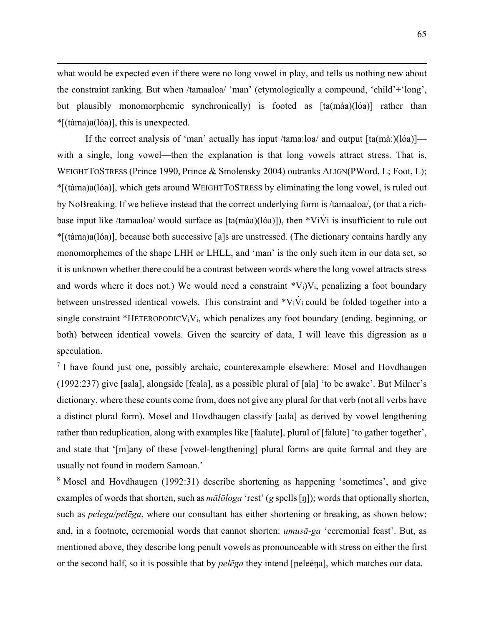what would be expected even if there were no long vowel in play, and tells us nothing new about the constraint ranking. But when /tamaaloa/ 'man' (etymologically a compound, 'child'+'long', but plausibly monomorphemic synchronically) is footed as [ta(màa)(lóa)] rather than \*[(tàma)a(lóa)], this is unexpected.

1

If the correct analysis of 'man' actually has input /tamaːloa/ and output [ta(màː)(lóa)] with a single, long vowel—then the explanation is that long vowels attract stress. That is, WEIGHTTOSTRESS (Prince 1990, Prince & Smolensky 2004) outranks ALIGN(PWord, L; Foot, L); \*[(tàma)a(lóa)], which gets around WEIGHTTOSTRESS by eliminating the long vowel, is ruled out by NoBreaking. If we believe instead that the correct underlying form is /tamaaloa/, (or that a richbase input like /tamaaloa/ would surface as [ta(màa)(lóa)]), then \*ViVi is insufficient to rule out \*[(tàma)a(lóa)], because both successive [a]s are unstressed. (The dictionary contains hardly any monomorphemes of the shape LHH or LHLL, and 'man' is the only such item in our data set, so it is unknown whether there could be a contrast between words where the long vowel attracts stress and words where it does not.) We would need a constraint  $*V_i/V_i$ , penalizing a foot boundary between unstressed identical vowels. This constraint and  $\mathbf{v}_i \dot{V}_i$  could be folded together into a single constraint \*HETEROPODIC $V_iV_i$ , which penalizes any foot boundary (ending, beginning, or both) between identical vowels. Given the scarcity of data, I will leave this digression as a speculation.

<sup>7</sup> I have found just one, possibly archaic, counterexample elsewhere: Mosel and Hovdhaugen (1992:237) give [aala], alongside [feala], as a possible plural of [ala] 'to be awake'. But Milner's dictionary, where these counts come from, does not give any plural for that verb (not all verbs have a distinct plural form). Mosel and Hovdhaugen classify [aala] as derived by vowel lengthening rather than reduplication, along with examples like [faalute], plural of [falute] 'to gather together', and state that '[m]any of these [vowel-lengthening] plural forms are quite formal and they are usually not found in modern Samoan.'

<sup>8</sup> Mosel and Hovdhaugen (1992:31) describe shortening as happening 'sometimes', and give examples of words that shorten, such as *mālōloga* 'rest' (*g* spells [ŋ]); words that optionally shorten, such as *pelega/pelēga*, where our consultant has either shortening or breaking, as shown below; and, in a footnote, ceremonial words that cannot shorten: *umusā-ga* 'ceremonial feast'. But, as mentioned above, they describe long penult vowels as pronounceable with stress on either the first or the second half, so it is possible that by *pelēga* they intend [peleéŋa], which matches our data.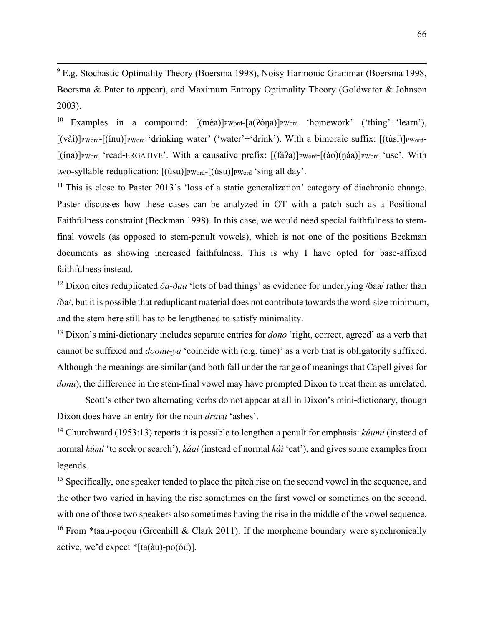–<br>9 E.g. Stochastic Optimality Theory (Boersma 1998), Noisy Harmonic Grammar (Boersma 1998, Boersma & Pater to appear), and Maximum Entropy Optimality Theory (Goldwater & Johnson 2003).

<sup>10</sup> Examples in a compound:  $[(m\grave{e}a)]_{\text{PWord}} - [a(26\eta a)]_{\text{PWord}}$  'homework' ('thing'+'learn'), [(vài)]PWord-[(inu)]PWord 'drinking water' ('water'+'drink'). With a bimoraic suffix: [(tùsi)]PWord-[(ina)]<sub>PWord</sub> 'read-ERGATIVE'. With a causative prefix: [(fà?a)]<sub>PWord</sub>-[(ào)(ŋáa)]<sub>PWord</sub> 'use'. With two-syllable reduplication:  $[(\text{ùsu})]_{\text{PWord}}$ - $[(\text{úsu})]_{\text{PWord}}$  'sing all day'.

 $11$  This is close to Paster 2013's 'loss of a static generalization' category of diachronic change. Paster discusses how these cases can be analyzed in OT with a patch such as a Positional Faithfulness constraint (Beckman 1998). In this case, we would need special faithfulness to stemfinal vowels (as opposed to stem-penult vowels), which is not one of the positions Beckman documents as showing increased faithfulness. This is why I have opted for base-affixed faithfulness instead.

<sup>12</sup> Dixon cites reduplicated  $\partial a$ - $\partial a$ a<sup>'</sup> lots of bad things' as evidence for underlying / $\partial a$ a/ rather than /ða/, but it is possible that reduplicant material does not contribute towards the word-size minimum, and the stem here still has to be lengthened to satisfy minimality.

13 Dixon's mini-dictionary includes separate entries for *dono* 'right, correct, agreed' as a verb that cannot be suffixed and *doonu-ya* 'coincide with (e.g. time)' as a verb that is obligatorily suffixed. Although the meanings are similar (and both fall under the range of meanings that Capell gives for *donu*), the difference in the stem-final vowel may have prompted Dixon to treat them as unrelated.

Scott's other two alternating verbs do not appear at all in Dixon's mini-dictionary, though Dixon does have an entry for the noun *dravu* 'ashes'.

14 Churchward (1953:13) reports it is possible to lengthen a penult for emphasis: *kúumi* (instead of normal *kúmi* 'to seek or search'), *káai* (instead of normal *kái* 'eat'), and gives some examples from legends.

<sup>15</sup> Specifically, one speaker tended to place the pitch rise on the second vowel in the sequence, and the other two varied in having the rise sometimes on the first vowel or sometimes on the second, with one of those two speakers also sometimes having the rise in the middle of the vowel sequence. <sup>16</sup> From \*taau-poqou (Greenhill & Clark 2011). If the morpheme boundary were synchronically active, we'd expect \*[ta(àu)-po(óu)].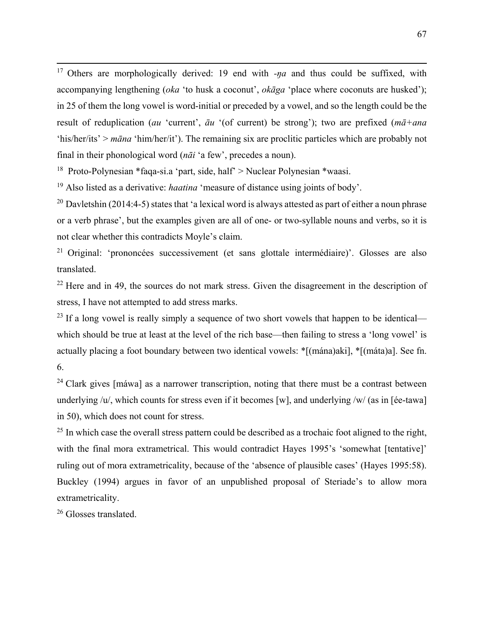<sup>17</sup> Others are morphologically derived: 19 end with *-na* and thus could be suffixed, with accompanying lengthening (*oka* 'to husk a coconut', *okāga* 'place where coconuts are husked'); in 25 of them the long vowel is word-initial or preceded by a vowel, and so the length could be the result of reduplication (*au* 'current', *āu* '(of current) be strong'); two are prefixed (*mā+ana* 'his/her/its' > *māna* 'him/her/it'). The remaining six are proclitic particles which are probably not final in their phonological word (*nāi* 'a few', precedes a noun).

<sup>18</sup> Proto-Polynesian \*faqa-si.a 'part, side, half' > Nuclear Polynesian \*waasi.

19 Also listed as a derivative: *haatina* 'measure of distance using joints of body'.

<sup>20</sup> Davletshin (2014:4-5) states that 'a lexical word is always attested as part of either a noun phrase or a verb phrase', but the examples given are all of one- or two-syllable nouns and verbs, so it is not clear whether this contradicts Moyle's claim.

21 Original: 'prononcées successivement (et sans glottale intermédiaire)'. Glosses are also translated.

 $22$  Here and in 49, the sources do not mark stress. Given the disagreement in the description of stress, I have not attempted to add stress marks.

 $^{23}$  If a long vowel is really simply a sequence of two short vowels that happen to be identical which should be true at least at the level of the rich base—then failing to stress a 'long vowel' is actually placing a foot boundary between two identical vowels: \*[(mána)aki], \*[(máta)a]. See fn. 6.

 $24$  Clark gives [máwa] as a narrower transcription, noting that there must be a contrast between underlying /u/, which counts for stress even if it becomes [w], and underlying /w/ (as in [ée-tawa] in 50), which does not count for stress.

<sup>25</sup> In which case the overall stress pattern could be described as a trochaic foot aligned to the right, with the final mora extrametrical. This would contradict Hayes 1995's 'somewhat [tentative]' ruling out of mora extrametricality, because of the 'absence of plausible cases' (Hayes 1995:58). Buckley (1994) argues in favor of an unpublished proposal of Steriade's to allow mora extrametricality.

26 Glosses translated.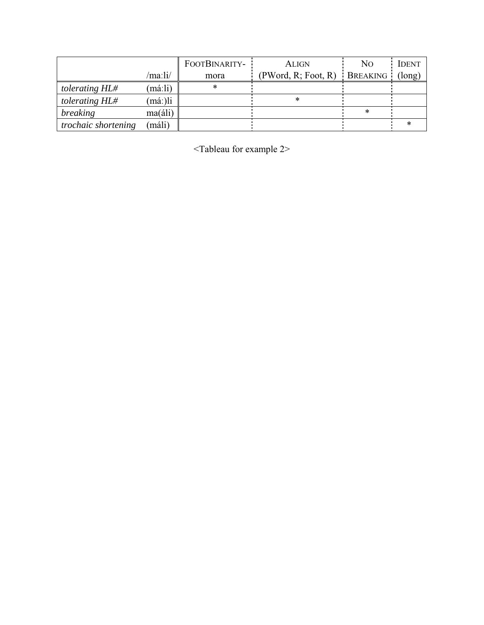|                            |                  | FOOTBINARITY- | <b>ALIGN</b>        | N <sub>O</sub> | <b>IDENT</b> |
|----------------------------|------------------|---------------|---------------------|----------------|--------------|
|                            | /maːli/          | mora          | (PWord, R; Foot, R) | BREAKING       | (long)       |
| tolerating HL#             | (máːli)          |               |                     |                |              |
| tolerating HL#             | má:)li           |               |                     |                |              |
| breaking                   | $ma(\text{áli})$ |               |                     |                |              |
| <i>trochaic shortening</i> | máli)            |               |                     |                |              |

<Tableau for example 2>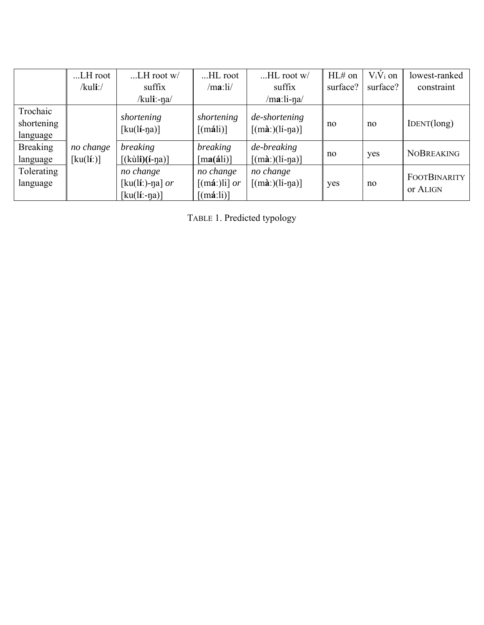|                 | LH root                           | $$ LH root w/       | HL root                                        | $HL$ root $w/$                                   | HL# on   | $V_i V_i$ on | lowest-ranked       |
|-----------------|-----------------------------------|---------------------|------------------------------------------------|--------------------------------------------------|----------|--------------|---------------------|
|                 | $/kuli$ :/                        | suffix              | /ma:li/                                        | suffix                                           | surface? | surface?     | constraint          |
|                 |                                   | /kuli:-ŋa/          |                                                | $/$ ma:li-na $/$                                 |          |              |                     |
| Trochaic        |                                   |                     |                                                |                                                  |          |              |                     |
| shortening      |                                   | shortening          | shortening                                     | de-shortening                                    | no       | no           | IDENT(long)         |
| language        |                                   | $[ku(li-na)]$       | $\left[ \text{(máli)} \right]$                 | $\left[$ (mà:)(lí-na) $\left]$                   |          |              |                     |
| <b>Breaking</b> | no change                         | <i>breaking</i>     | <i>breaking</i>                                | de-breaking                                      |          |              | <b>NOBREAKING</b>   |
| language        | $\left[\text{ku}($ lí: $)\right]$ | $[(kùli)(i-na)]$    | $[\text{ma}(\text{á}li)]$                      | $[(m\mathbf{\hat{a}})(l\mathbf{i}-n\mathbf{a})]$ | no       | yes          |                     |
| Tolerating      |                                   | no change           | no change                                      | no change                                        |          |              | <b>FOOTBINARITY</b> |
| language        |                                   | [ $ku(li:)$ -ŋa] or | $\left[\text{(m\'a:)}\right]$ or               | $[(m\lambda)(li-\eta\lambda)]$                   | yes      | no           |                     |
|                 |                                   | $[ku(li:-na)]$      | $\left[ \left( \text{m\'a:li} \right) \right]$ |                                                  |          |              | or ALIGN            |

TABLE 1. Predicted typology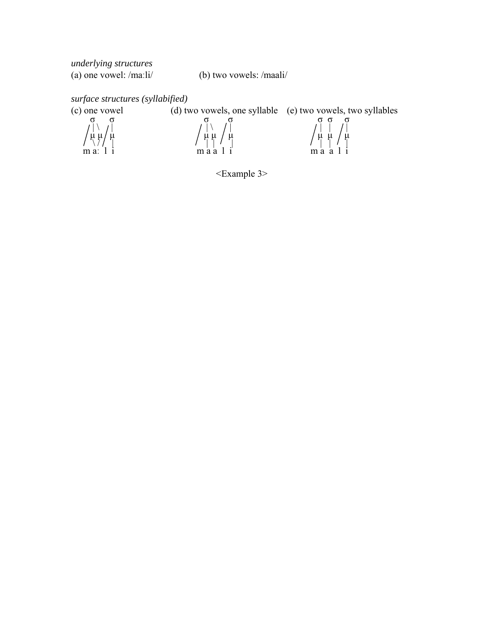*underlying structures* (a) one vowel: /maːli/ (b) two vowels: /maali/

*surface structures (syllabified)*  (d) two vowels, one syllable (e) two vowels, two syllables  $\int_{\mu}^{\sigma} \int_{\mu}^{\sigma} \int_{\mu}^{\sigma}$  or  $\int_{\mu}^{\sigma}$   $\int_{\mu}^{\sigma}$   $\int_{\mu}^{\sigma}$   $\int_{\mu}^{\sigma}$   $\int_{\mu}^{\sigma}$  | \ | | \ | | | |  $\left\langle \mu \mu \right\rangle$   $\mu$   $\left\langle \mu \mu \right\rangle$   $\left\langle \mu \mu \right\rangle$   $\left\langle \mu \mu \right\rangle$  $m a$ :  $l i$   $m a a l i$   $m a a l i$ 

<Example 3>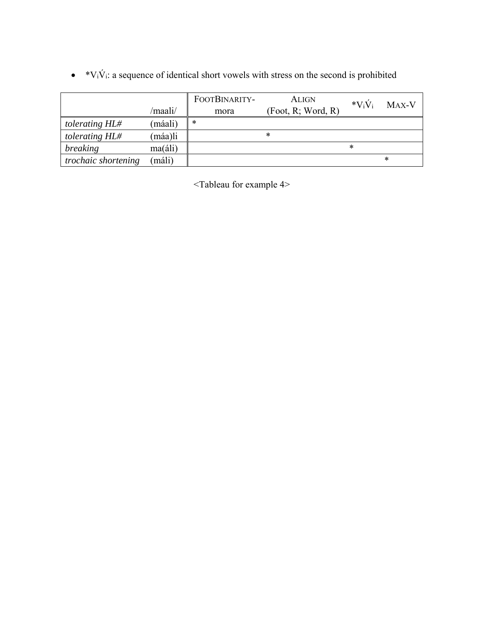|                     |                  | FOOTBINARITY- | <b>ALIGN</b>       | $*V_iV_i$ | MAX-V  |
|---------------------|------------------|---------------|--------------------|-----------|--------|
|                     | /maali/          | mora          | (Foot, R; Word, R) |           |        |
| tolerating HL#      | (máali)          | $\ast$        |                    |           |        |
| tolerating HL#      | (máa)li          |               | $\ast$             |           |        |
| <i>breaking</i>     | $ma(\text{áli})$ |               |                    | ∗         |        |
| trochaic shortening | (máli)           |               |                    |           | $\ast$ |

 $\bullet$  \*V<sub>i</sub>V<sub>i</sub>: a sequence of identical short vowels with stress on the second is prohibited

<Tableau for example 4>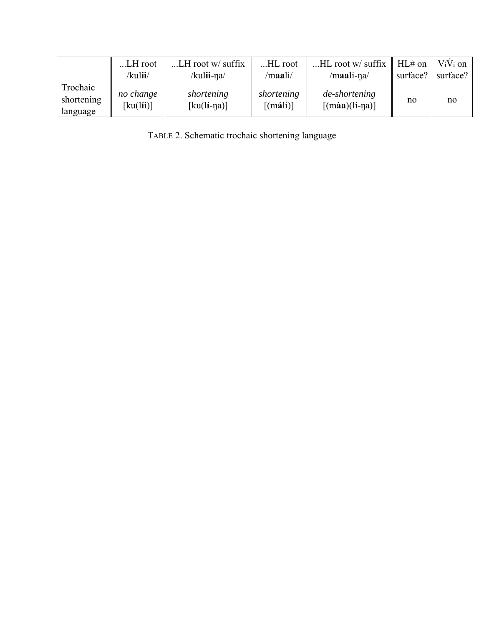|                                    | LH root                                             | $LH$ root w/ suffix         | HL root                                      | $HL$ root w/ suffix                     | $HL#$ on | $V_iV_i$ on |
|------------------------------------|-----------------------------------------------------|-----------------------------|----------------------------------------------|-----------------------------------------|----------|-------------|
|                                    | /kulii/                                             | /kul <b>ii-</b> na/         | /maali/                                      | /maali-na/                              | surface? | surface?    |
| Trochaic<br>shortening<br>language | no change<br>$\left[\text{ku}(l\mathbf{ii})\right]$ | shortening<br>$[ku(li-na)]$ | shortening<br>$\left[ \text{(máli)} \right]$ | de-shortening<br>$\lceil$ (màa)(lí-na)] | no       | no          |

TABLE 2. Schematic trochaic shortening language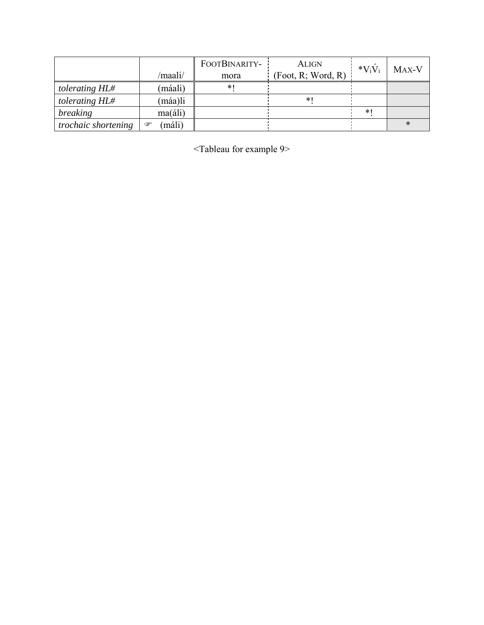|                     |                  | FOOTBINARITY- | <b>ALIGN</b>       | $*V_iV_i$ | MAX-V |
|---------------------|------------------|---------------|--------------------|-----------|-------|
|                     | /maali/          | mora          | (Foot, R; Word, R) |           |       |
| tolerating HL#      | (máali)          | $*1$          |                    |           |       |
| tolerating HL#      | (máa)li          |               | *                  |           |       |
| breaking            | $ma(\text{áli})$ |               |                    | *         |       |
| trochaic shortening | (máli)<br>☞      |               |                    |           |       |

<Tableau for example 9>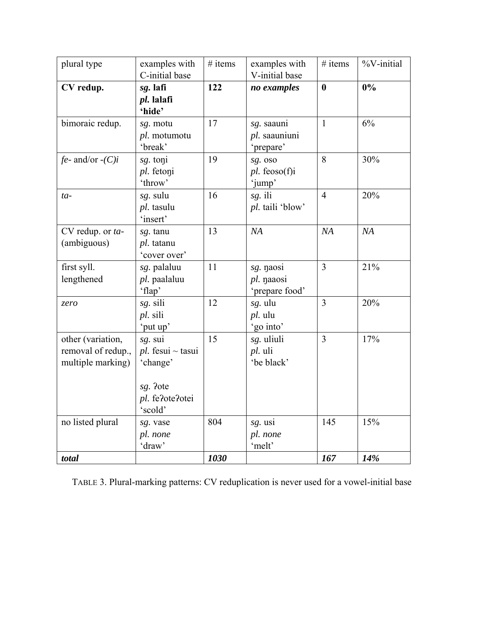| plural type                                                  | examples with<br>C-initial base                                           | $#$ items | examples with<br>V-initial base           | $#$ items        | %V-initial |
|--------------------------------------------------------------|---------------------------------------------------------------------------|-----------|-------------------------------------------|------------------|------------|
| CV redup.                                                    | sg. lafi<br>pl. lalafi<br>'hide'                                          | 122       | no examples                               | $\boldsymbol{0}$ | 0%         |
| bimoraic redup.                                              | sg. motu<br>pl. motumotu<br>'break'                                       | 17        | sg. saauni<br>pl. saauniuni<br>'prepare'  | $\mathbf{1}$     | 6%         |
| $fe$ - and/or -(C)i                                          | sg. toni<br>pl. fetoni<br>'throw'                                         | 19        | sg. oso<br>$pl.$ feoso(f)i<br>'jump'      | 8                | 30%        |
| $ta-$                                                        | sg. sulu<br>pl. tasulu<br>'insert'                                        | 16        | sg. ili<br>pl. taili 'blow'               | $\overline{4}$   | 20%        |
| CV redup. or ta-<br>(ambiguous)                              | sg. tanu<br>pl. tatanu<br>'cover over'                                    | 13        | NA                                        | NA               | NA         |
| first syll.<br>lengthened                                    | sg. palaluu<br>pl. paalaluu<br>'flap'                                     | 11        | sg. naosi<br>pl. naaosi<br>'prepare food' | $\overline{3}$   | 21%        |
| zero                                                         | sg. sili<br>pl. sili<br>'put up'                                          | 12        | sg. ulu<br>pl. ulu<br>'go into'           | $\overline{3}$   | 20%        |
| other (variation,<br>removal of redup.,<br>multiple marking) | sg. sui<br>$pl.$ fesui ~ tasui<br>'change'<br>sg. ?ote<br>pl. fe?ote?otei | 15        | sg. uliuli<br>pl. uli<br>'be black'       | $\overline{3}$   | 17%        |
| no listed plural                                             | 'scold'                                                                   | 804       |                                           | 145              | 15%        |
|                                                              | sg. vase<br>pl. none<br>'draw'                                            |           | sg. usi<br>pl. none<br>'melt'             |                  |            |
| total                                                        |                                                                           | 1030      |                                           | 167              | 14%        |

TABLE 3. Plural-marking patterns: CV reduplication is never used for a vowel-initial base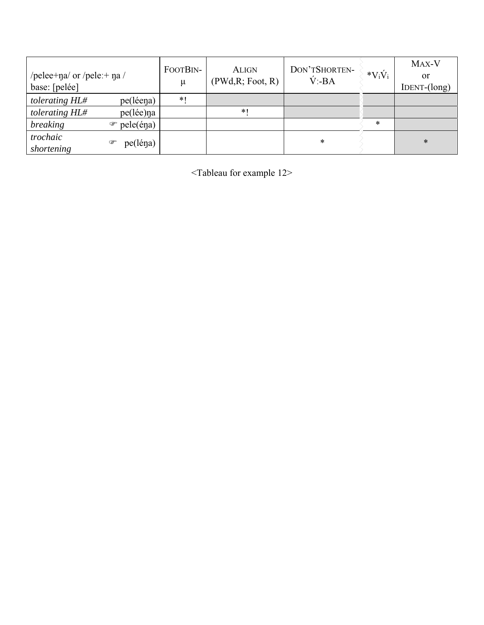| /pelee+na/ or /pele:+ na /<br>base: [pelée] |                            | FOOTBIN-<br>$\mu$ | <b>ALIGN</b><br>(PWd, R; Foot, R) | DON'TSHORTEN-<br>$V$ :-BA | $*V_iV_i$ | MAX-V<br><sub>or</sub><br>$IDENT-(long)$ |
|---------------------------------------------|----------------------------|-------------------|-----------------------------------|---------------------------|-----------|------------------------------------------|
| tolerating HL#                              | pe(léena)                  | $*1$              |                                   |                           |           |                                          |
| tolerating HL#                              | pe(lée)na                  |                   | $*1$                              |                           |           |                                          |
| breaking                                    | $pele(\hat{e}\eta a)$<br>☞ |                   |                                   |                           | *         |                                          |
| trochaic<br>shortening                      | pe(léna)<br>☞              |                   |                                   | *                         |           | $\ast$                                   |

<Tableau for example 12>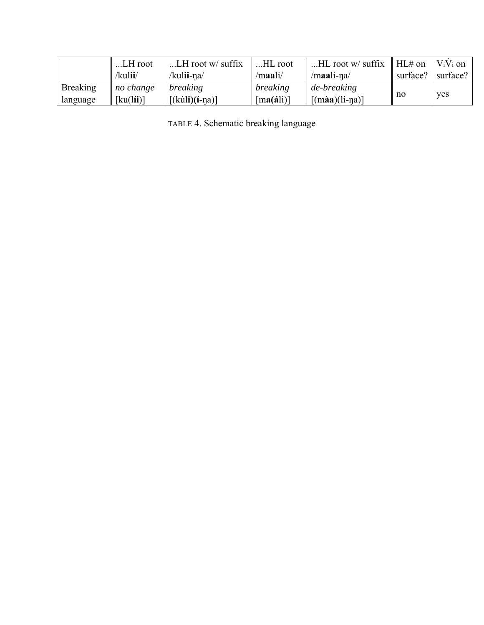|                 | LH root   | LH root w/ suffix   | HL root                   | $HL$ root w/ suffix    | $HL#$ on | $V_iV_i$ on |
|-----------------|-----------|---------------------|---------------------------|------------------------|----------|-------------|
|                 | /kulii/   | /kul <b>ii-</b> na/ | /maali/                   | $/$ maali-na $/$       | surface? | surface?    |
| <b>Breaking</b> | no change | breaking            | breaking                  | de-breaking            |          |             |
| language        | [ku(lii)] | $[(kùli)(i-na)]$    | $[\text{ma}(\text{áli})]$ | $\lceil$ (màa)(lí-na)] | no       | ves         |

TABLE 4. Schematic breaking language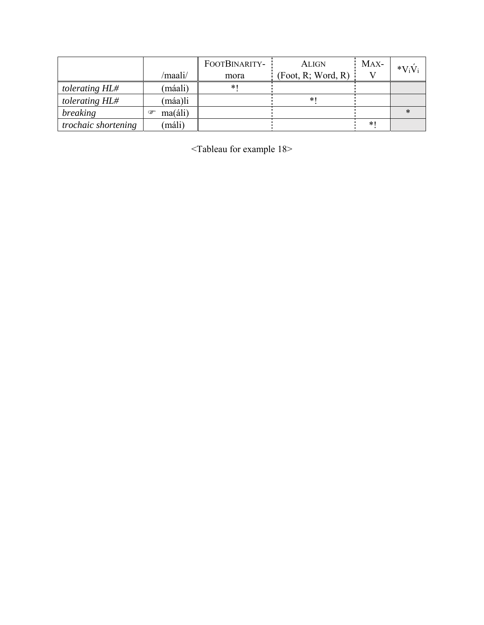|                            |                       | FOOTBINARITY- | <b>ALIGN</b>       | MAX- | $*V_iV_i$ |
|----------------------------|-----------------------|---------------|--------------------|------|-----------|
|                            | /maali/               | mora          | (Foot, R; Word, R) |      |           |
| tolerating HL#             | (máali)               | *1            |                    |      |           |
| tolerating HL#             | (máa)li               |               | ∗                  |      |           |
| breaking                   | $ma(\text{áli})$<br>☞ |               |                    |      |           |
| <i>trochaic shortening</i> | (máli)                |               |                    | $*1$ |           |

 $\le$ Tableau for example 18>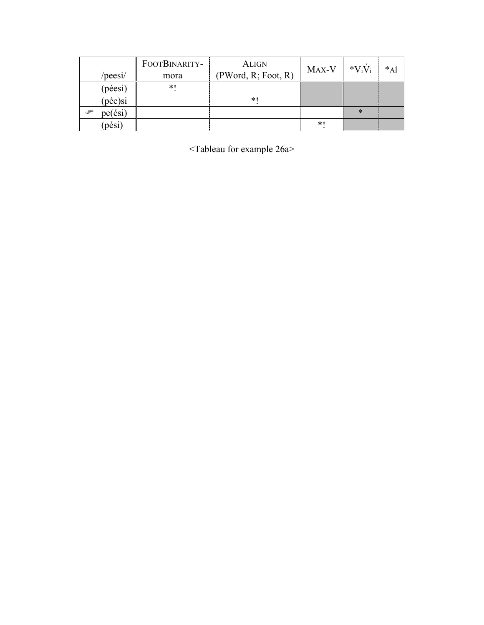|                   | FOOTBINARITY- | <b>ALIGN</b>        | MAX-V | $*V_iV_i$ | $*_{\mathrm{A}\mathrm{I}}$ |
|-------------------|---------------|---------------------|-------|-----------|----------------------------|
| /peesi/           | mora          | (PWord, R; Foot, R) |       |           |                            |
| (péesi)           | $*$           |                     |       |           |                            |
| $(p\acute{e}e)si$ |               | $*1$                |       |           |                            |
| pe(ési)<br>☞      |               |                     |       | ∗         |                            |
| (pési)            |               |                     | $*1$  |           |                            |

<Tableau for example 26a>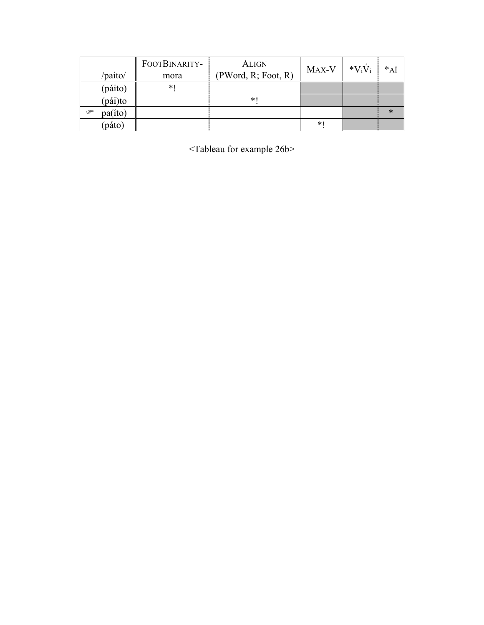|              | FOOTBINARITY- | <b>ALIGN</b>        | MAX-V  | $*V_iV_i$ | $*_{\mathrm{A}\mathrm{I}}$ |
|--------------|---------------|---------------------|--------|-----------|----------------------------|
| /paito/      | mora          | (PWord, R; Foot, R) |        |           |                            |
| (páito)      | $\ast$        |                     |        |           |                            |
| (pái)to      |               | $*1$                |        |           |                            |
| pa(íto)<br>P |               |                     |        |           | ∗                          |
| (páto)       |               |                     | $\ast$ |           |                            |

<Tableau for example 26b>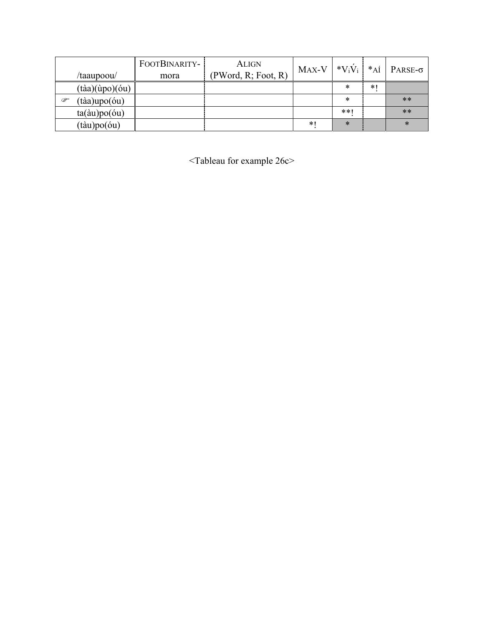|               |                                          | FOOTBINARITY- | <b>ALIGN</b>        | MAX-V | $*V_iV_i$ | $*_{\mathrm{A}\mathrm{I}}$ |                 |
|---------------|------------------------------------------|---------------|---------------------|-------|-----------|----------------------------|-----------------|
|               | /taaupoou/                               | mora          | (PWord, R; Foot, R) |       |           |                            | PARSE- $\sigma$ |
|               | $(t\grave{a}a)(\grave{u}po)(\acute{o}u)$ |               |                     |       | ∗         | $*1$                       |                 |
| $\mathscr{P}$ | $(t\grave{a}a) \text{upo}(\acute{o}u)$   |               |                     |       | $\ast$    |                            | $**$            |
|               | $ta(\text{àu})po(\text{óu})$             |               |                     |       | $**1$     |                            | $**$            |
|               | $(t\text{àu})\text{po}(\text{óu})$       |               |                     | $*1$  | $\ast$    |                            | $\ast$          |

<Tableau for example 26c>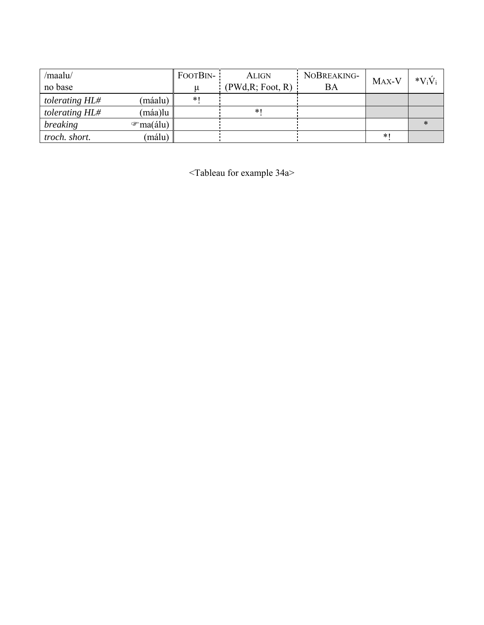| /maalu/        |                       | FOOTBIN- | <b>ALIGN</b>      | NOBREAKING- | MAX-V | $*V_iV_i$ |
|----------------|-----------------------|----------|-------------------|-------------|-------|-----------|
| no base        |                       |          | (PWd, R; Foot, R) | ВA          |       |           |
| tolerating HL# | (máalu)               | $*1$     |                   |             |       |           |
| tolerating HL# | (máa)lu               |          | $*$               |             |       |           |
| breaking       | $\mathcal{F}$ ma(álu) |          |                   |             |       |           |
| troch. short.  | (málu)                |          |                   |             | $*1$  |           |

<Tableau for example 34a>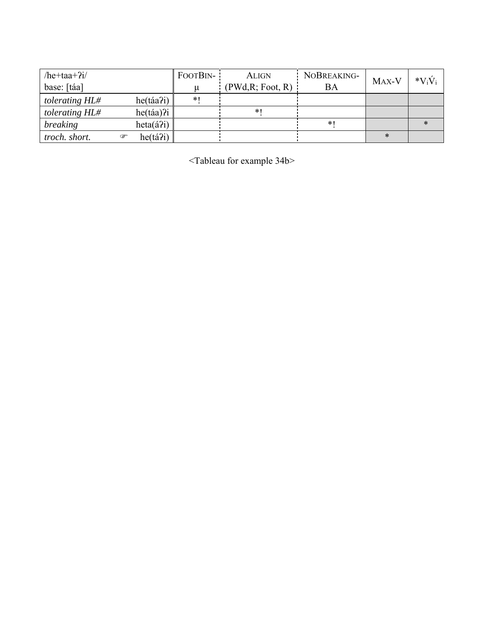| /he+taa+ $2i/$ |                   | FOOTBIN- | <b>ALIGN</b>     | NOBREAKING- | MAX-V | $*V_iV_i$ |
|----------------|-------------------|----------|------------------|-------------|-------|-----------|
| base: [táa]    |                   |          | (PWd,R; Foot, R) | BA          |       |           |
| tolerating HL# | he(táa?i)         | $*1$     |                  |             |       |           |
| tolerating HL# | $he(t\land a)$ ?i |          | $*1$             |             |       |           |
| breaking       | $heta(\hat{a}2i)$ |          |                  | * I         |       |           |
| troch. short.  | he(tá?i)<br>☞     |          |                  |             | ∗     |           |

<Tableau for example 34b>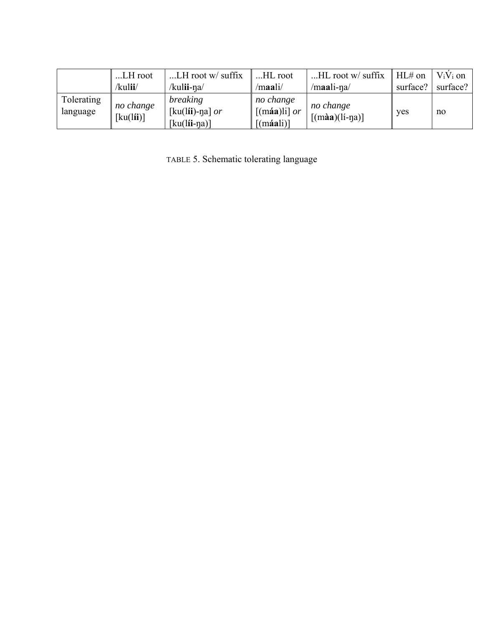|                        | LH root                                             | $LH$ root w/ suffix                             | HL root                                                          | $HL$ root w/ suffix                 | $HL#$ on | $V_iV_i$ on |
|------------------------|-----------------------------------------------------|-------------------------------------------------|------------------------------------------------------------------|-------------------------------------|----------|-------------|
|                        | /kulii/                                             | /kul <b>ii-</b> na/                             | /maali/                                                          | /maali-na/                          | surface? | surface?    |
| Tolerating<br>language | no change<br>$\left[\text{ku}(l\mathbf{ii})\right]$ | breaking<br>[ku(lii)-ŋa] $or$<br>$[ku(lii-na)]$ | no change<br>$\left[\text{(máa)}\right]$ or<br>$\lceil$ (máali)] | no change<br>$\lceil$ (màa)(lí-na)] | ves      | no          |

TABLE 5. Schematic tolerating language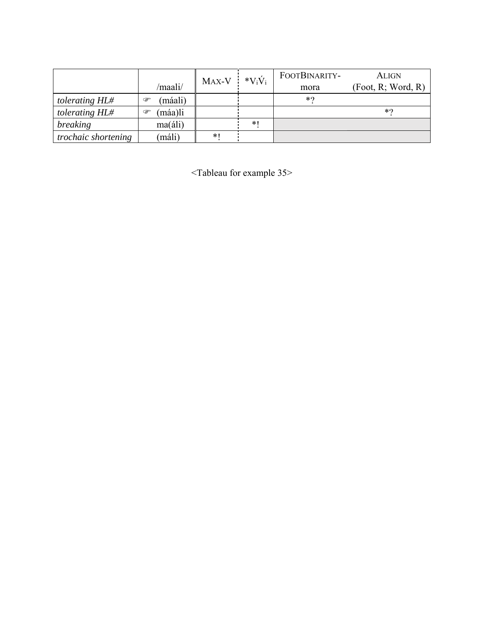|                     |                         | MAX-V | $*V_iV_i$ | FOOTBINARITY- | <b>ALIGN</b>       |
|---------------------|-------------------------|-------|-----------|---------------|--------------------|
|                     | /maali/                 |       |           | mora          | (Foot, R; Word, R) |
| tolerating HL#      | (máali)<br>☞            |       |           | $*$           |                    |
| tolerating HL#      | máa)li<br>$\circledast$ |       |           |               | $*$ 0              |
| breaking            | $ma(\text{áli})$        |       | $*1$      |               |                    |
| trochaic shortening | máli)                   | $*1$  |           |               |                    |

<Tableau for example 35>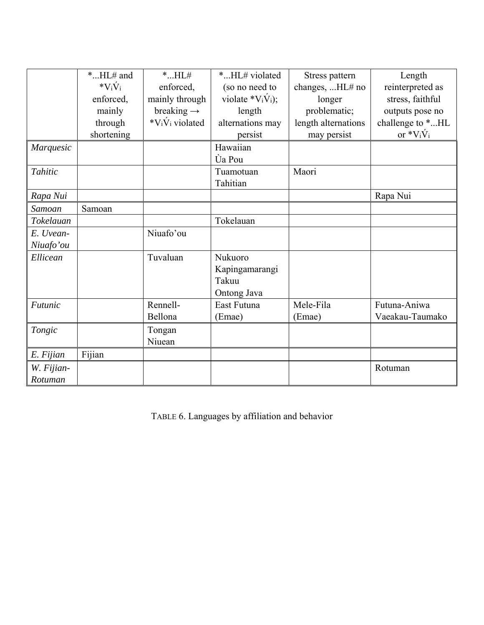|            | $*HL#$ and | $*$ $HL#$                 | *HL# violated               | Stress pattern      | Length           |
|------------|------------|---------------------------|-----------------------------|---------------------|------------------|
|            | $*V_iV_i$  | enforced,                 | (so no need to              | changes,  HL# no    | reinterpreted as |
|            | enforced,  | mainly through            | violate * $V_i\dot{V}_i$ ;  | longer              | stress, faithful |
|            | mainly     | breaking $\rightarrow$    | length                      | problematic;        | outputs pose no  |
|            | through    | * $V_i\dot{V}_i$ violated | alternations may            | length alternations | challenge to *HL |
|            | shortening |                           | persist                     | may persist         | or $V_iV_i$      |
| Marquesic  |            |                           | Hawaiian                    |                     |                  |
|            |            |                           | <b><i><u>Úa Pou</u></i></b> |                     |                  |
| Tahitic    |            |                           | Tuamotuan                   | Maori               |                  |
|            |            |                           | Tahitian                    |                     |                  |
| Rapa Nui   |            |                           |                             |                     | Rapa Nui         |
| Samoan     | Samoan     |                           |                             |                     |                  |
| Tokelauan  |            |                           | Tokelauan                   |                     |                  |
| E. Uvean-  |            | Niuafo'ou                 |                             |                     |                  |
| Niuafo'ou  |            |                           |                             |                     |                  |
| Ellicean   |            | Tuvaluan                  | Nukuoro                     |                     |                  |
|            |            |                           | Kapingamarangi              |                     |                  |
|            |            |                           | Takuu                       |                     |                  |
|            |            |                           | Ontong Java                 |                     |                  |
| Futunic    |            | Rennell-                  | East Futuna                 | Mele-Fila           | Futuna-Aniwa     |
|            |            | Bellona                   | (Emae)                      | (Emae)              | Vaeakau-Taumako  |
| Tongic     |            | Tongan                    |                             |                     |                  |
|            |            | Niuean                    |                             |                     |                  |
| E. Fijian  | Fijian     |                           |                             |                     |                  |
| W. Fijian- |            |                           |                             |                     | Rotuman          |
| Rotuman    |            |                           |                             |                     |                  |

TABLE 6. Languages by affiliation and behavior